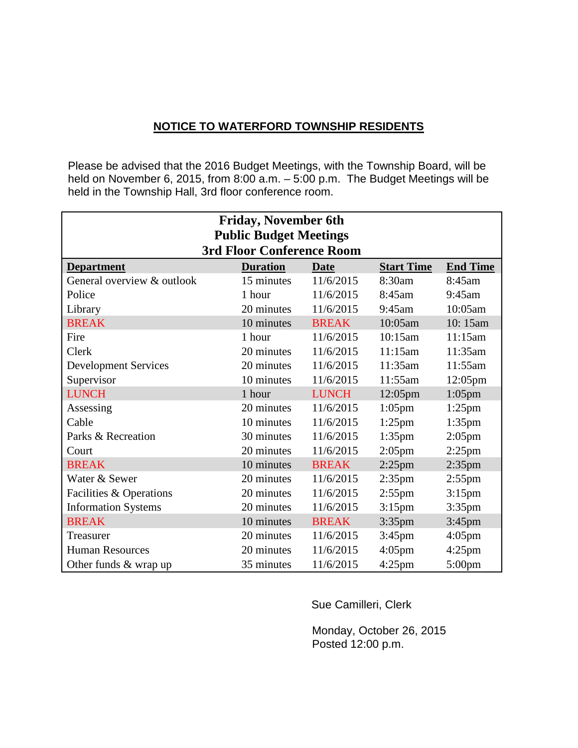#### **NOTICE TO WATERFORD TOWNSHIP RESIDENTS**

Please be advised that the 2016 Budget Meetings, with the Township Board, will be held on November 6, 2015, from 8:00 a.m. - 5:00 p.m. The Budget Meetings will be held in the Township Hall, 3rd floor conference room.

| <b>Friday, November 6th</b>   |                                  |              |                   |                 |  |  |  |  |
|-------------------------------|----------------------------------|--------------|-------------------|-----------------|--|--|--|--|
| <b>Public Budget Meetings</b> |                                  |              |                   |                 |  |  |  |  |
|                               | <b>3rd Floor Conference Room</b> |              |                   |                 |  |  |  |  |
| <b>Department</b>             | <b>Duration</b>                  | <b>Date</b>  | <b>Start Time</b> | <b>End Time</b> |  |  |  |  |
| General overview & outlook    | 15 minutes                       | 11/6/2015    | 8:30am            | 8:45am          |  |  |  |  |
| Police                        | 1 hour                           | 11/6/2015    | 8:45am            | $9:45$ am       |  |  |  |  |
| Library                       | 20 minutes                       | 11/6/2015    | 9:45am            | 10:05am         |  |  |  |  |
| <b>BREAK</b>                  | 10 minutes                       | <b>BREAK</b> | 10:05am           | 10:15am         |  |  |  |  |
| Fire                          | 1 hour                           | 11/6/2015    | 10:15am           | 11:15am         |  |  |  |  |
| Clerk                         | 20 minutes                       | 11/6/2015    | 11:15am           | 11:35am         |  |  |  |  |
| <b>Development Services</b>   | 20 minutes                       | 11/6/2015    | 11:35am           | 11:55am         |  |  |  |  |
| Supervisor                    | 10 minutes                       | 11/6/2015    | 11:55am           | 12:05pm         |  |  |  |  |
| <b>LUNCH</b>                  | 1 hour                           | <b>LUNCH</b> | $12:05$ pm        | $1:05$ pm       |  |  |  |  |
| Assessing                     | 20 minutes                       | 11/6/2015    | $1:05$ pm         | $1:25$ pm       |  |  |  |  |
| Cable                         | 10 minutes                       | 11/6/2015    | $1:25$ pm         | $1:35$ pm       |  |  |  |  |
| Parks & Recreation            | 30 minutes                       | 11/6/2015    | $1:35$ pm         | $2:05$ pm       |  |  |  |  |
| Court                         | 20 minutes                       | 11/6/2015    | $2:05$ pm         | $2:25$ pm       |  |  |  |  |
| <b>BREAK</b>                  | 10 minutes                       | <b>BREAK</b> | $2:25$ pm         | $2:35$ pm       |  |  |  |  |
| Water & Sewer                 | 20 minutes                       | 11/6/2015    | $2:35$ pm         | $2:55$ pm       |  |  |  |  |
| Facilities & Operations       | 20 minutes                       | 11/6/2015    | $2:55$ pm         | $3:15$ pm       |  |  |  |  |
| <b>Information Systems</b>    | 20 minutes                       | 11/6/2015    | $3:15$ pm         | $3:35$ pm       |  |  |  |  |
| <b>BREAK</b>                  | 10 minutes                       | <b>BREAK</b> | $3:35$ pm         | 3:45pm          |  |  |  |  |
| Treasurer                     | 20 minutes                       | 11/6/2015    | $3:45$ pm         | $4:05$ pm       |  |  |  |  |
| <b>Human Resources</b>        | 20 minutes                       | 11/6/2015    | $4:05$ pm         | $4:25$ pm       |  |  |  |  |
| Other funds & wrap up         | 35 minutes                       | 11/6/2015    | $4:25$ pm         | 5:00pm          |  |  |  |  |

Sue Camilleri, Clerk

 Monday, October 26, 2015 Posted 12:00 p.m.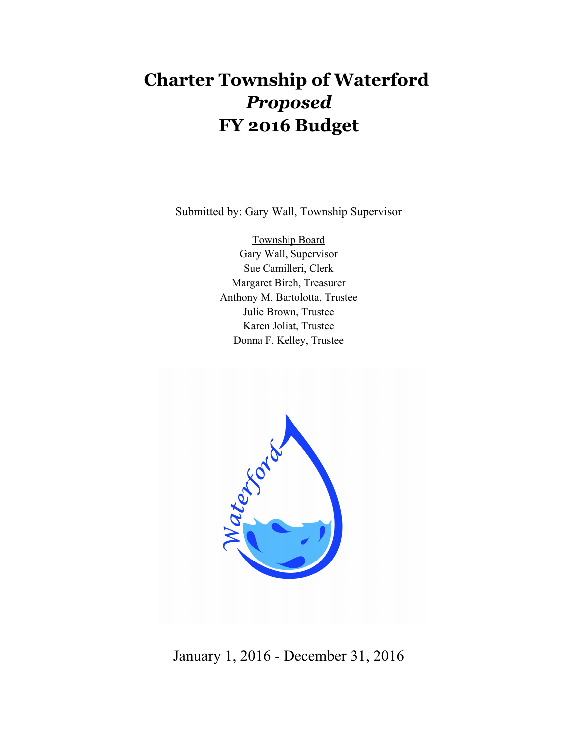# **Charter Township of Waterford**  *Proposed* **FY 2016 Budget**

Submitted by: Gary Wall, Township Supervisor

Township Board Gary Wall, Supervisor Sue Camilleri, Clerk Margaret Birch, Treasurer Anthony M. Bartolotta, Trustee Julie Brown, Trustee Karen Joliat, Trustee Donna F. Kelley, Trustee



January 1, 2016 - December 31, 2016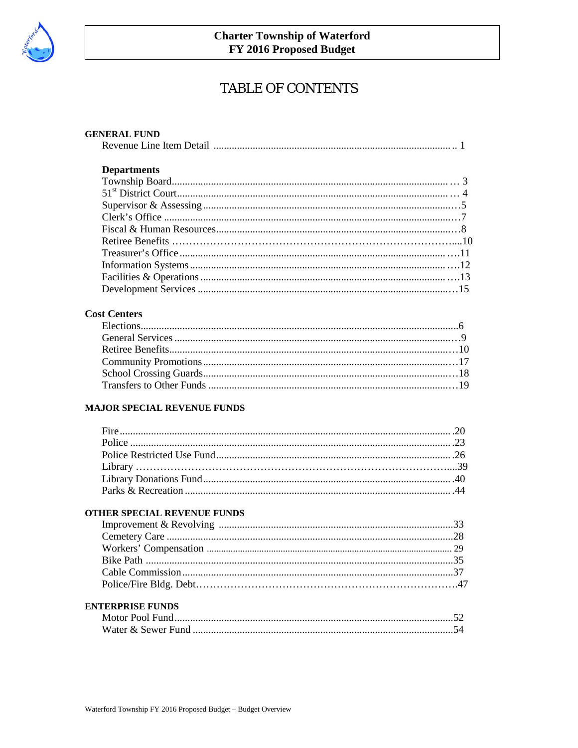

# **TABLE OF CONTENTS**

| <b>GENERAL FUND</b> |  |
|---------------------|--|
|                     |  |
|                     |  |
| <b>Departments</b>  |  |
|                     |  |
|                     |  |
|                     |  |
|                     |  |
|                     |  |
|                     |  |
|                     |  |
|                     |  |
|                     |  |
|                     |  |

#### **Cost Centers**

#### **MAJOR SPECIAL REVENUE FUNDS**

#### OTHER SPECIAL REVENUE FUNDS

#### **ENTERPRISE FUNDS**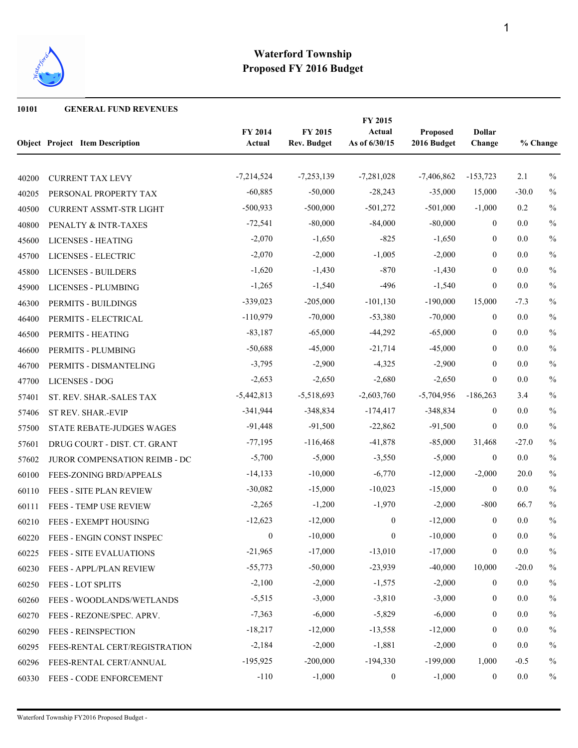

 **GENERAL FUND REVENUES**

|       | <b>Object Project Item Description</b> | FY 2014<br>Actual | FY 2015<br><b>Rev. Budget</b> | FY 2015<br>Actual<br>As of 6/30/15 | Proposed<br>2016 Budget | <b>Dollar</b><br>Change | % Change |               |
|-------|----------------------------------------|-------------------|-------------------------------|------------------------------------|-------------------------|-------------------------|----------|---------------|
| 40200 | <b>CURRENT TAX LEVY</b>                | $-7,214,524$      | $-7,253,139$                  | $-7,281,028$                       | $-7,406,862$            | $-153,723$              | 2.1      | $\%$          |
| 40205 | PERSONAL PROPERTY TAX                  | $-60,885$         | $-50,000$                     | $-28,243$                          | $-35,000$               | 15,000                  | $-30.0$  | $\%$          |
| 40500 | <b>CURRENT ASSMT-STR LIGHT</b>         | $-500,933$        | $-500,000$                    | $-501,272$                         | $-501,000$              | $-1,000$                | 0.2      | $\%$          |
| 40800 | PENALTY & INTR-TAXES                   | $-72,541$         | $-80,000$                     | $-84,000$                          | $-80,000$               | $\boldsymbol{0}$        | 0.0      | $\%$          |
| 45600 | LICENSES - HEATING                     | $-2,070$          | $-1,650$                      | $-825$                             | $-1,650$                | $\mathbf{0}$            | 0.0      | $\%$          |
| 45700 | LICENSES - ELECTRIC                    | $-2,070$          | $-2,000$                      | $-1,005$                           | $-2,000$                | $\boldsymbol{0}$        | 0.0      | $\frac{0}{0}$ |
| 45800 | <b>LICENSES - BUILDERS</b>             | $-1,620$          | $-1,430$                      | $-870$                             | $-1,430$                | $\boldsymbol{0}$        | 0.0      | $\%$          |
| 45900 | LICENSES - PLUMBING                    | $-1,265$          | $-1,540$                      | $-496$                             | $-1,540$                | $\mathbf{0}$            | 0.0      | $\%$          |
| 46300 | PERMITS - BUILDINGS                    | $-339,023$        | $-205,000$                    | $-101,130$                         | $-190,000$              | 15,000                  | $-7.3$   | $\frac{0}{0}$ |
| 46400 | PERMITS - ELECTRICAL                   | $-110,979$        | $-70,000$                     | $-53,380$                          | $-70,000$               | $\mathbf{0}$            | 0.0      | $\frac{0}{0}$ |
| 46500 | PERMITS - HEATING                      | $-83,187$         | $-65,000$                     | $-44,292$                          | $-65,000$               | $\boldsymbol{0}$        | 0.0      | $\%$          |
| 46600 | PERMITS - PLUMBING                     | $-50,688$         | $-45,000$                     | $-21,714$                          | $-45,000$               | $\mathbf{0}$            | 0.0      | $\%$          |
| 46700 | PERMITS - DISMANTELING                 | $-3,795$          | $-2,900$                      | $-4,325$                           | $-2,900$                | $\mathbf{0}$            | 0.0      | $\%$          |
| 47700 | <b>LICENSES - DOG</b>                  | $-2,653$          | $-2,650$                      | $-2,680$                           | $-2,650$                | $\boldsymbol{0}$        | 0.0      | $\frac{0}{0}$ |
| 57401 | ST. REV. SHAR.-SALES TAX               | $-5,442,813$      | $-5,518,693$                  | $-2,603,760$                       | $-5,704,956$            | $-186,263$              | 3.4      | $\frac{0}{0}$ |
| 57406 | ST REV. SHAR.-EVIP                     | $-341,944$        | $-348,834$                    | $-174,417$                         | $-348,834$              | $\boldsymbol{0}$        | 0.0      | $\%$          |
| 57500 | STATE REBATE-JUDGES WAGES              | $-91,448$         | $-91,500$                     | $-22,862$                          | $-91,500$               | $\boldsymbol{0}$        | 0.0      | $\%$          |
| 57601 | DRUG COURT - DIST. CT. GRANT           | $-77,195$         | $-116,468$                    | $-41,878$                          | $-85,000$               | 31,468                  | $-27.0$  | $\frac{0}{0}$ |
| 57602 | JUROR COMPENSATION REIMB - DC          | $-5,700$          | $-5,000$                      | $-3,550$                           | $-5,000$                | $\boldsymbol{0}$        | 0.0      | $\frac{0}{0}$ |
| 60100 | FEES-ZONING BRD/APPEALS                | $-14,133$         | $-10,000$                     | $-6,770$                           | $-12,000$               | $-2,000$                | 20.0     | $\%$          |
| 60110 | FEES - SITE PLAN REVIEW                | $-30,082$         | $-15,000$                     | $-10,023$                          | $-15,000$               | $\boldsymbol{0}$        | 0.0      | $\%$          |
| 60111 | FEES - TEMP USE REVIEW                 | $-2,265$          | $-1,200$                      | $-1,970$                           | $-2,000$                | $-800$                  | 66.7     | $\frac{0}{0}$ |
| 60210 | FEES - EXEMPT HOUSING                  | $-12,623$         | $-12,000$                     | $\mathbf{0}$                       | $-12,000$               | $\boldsymbol{0}$        | 0.0      | $\frac{0}{0}$ |
| 60220 | FEES - ENGIN CONST INSPEC              | $\boldsymbol{0}$  | $-10,000$                     | $\boldsymbol{0}$                   | $-10,000$               | $\boldsymbol{0}$        | 0.0      | $\%$          |
| 60225 | FEES - SITE EVALUATIONS                | $-21,965$         | $-17,000$                     | $-13,010$                          | $-17,000$               | $\boldsymbol{0}$        | $0.0\,$  | $\%$          |
| 60230 | FEES - APPL/PLAN REVIEW                | $-55,773$         | $-50,000$                     | $-23,939$                          | $-40,000$               | 10,000                  | $-20.0$  | $\%$          |
| 60250 | FEES - LOT SPLITS                      | $-2,100$          | $-2,000$                      | $-1,575$                           | $-2,000$                | $\boldsymbol{0}$        | 0.0      | $\%$          |
| 60260 | FEES - WOODLANDS/WETLANDS              | $-5,515$          | $-3,000$                      | $-3,810$                           | $-3,000$                | $\boldsymbol{0}$        | 0.0      | $\%$          |
| 60270 | FEES - REZONE/SPEC. APRV.              | $-7,363$          | $-6,000$                      | $-5,829$                           | $-6,000$                | $\boldsymbol{0}$        | 0.0      | $\%$          |
| 60290 | <b>FEES - REINSPECTION</b>             | $-18,217$         | $-12,000$                     | $-13,558$                          | $-12,000$               | $\boldsymbol{0}$        | 0.0      | $\%$          |
| 60295 | FEES-RENTAL CERT/REGISTRATION          | $-2,184$          | $-2,000$                      | $-1,881$                           | $-2,000$                | $\boldsymbol{0}$        | 0.0      | $\%$          |
| 60296 | FEES-RENTAL CERT/ANNUAL                | $-195,925$        | $-200,000$                    | $-194,330$                         | $-199,000$              | 1,000                   | $-0.5$   | $\%$          |
| 60330 | FEES - CODE ENFORCEMENT                | $-110$            | $-1,000$                      | $\boldsymbol{0}$                   | $-1,000$                | $\boldsymbol{0}$        | 0.0      | $\%$          |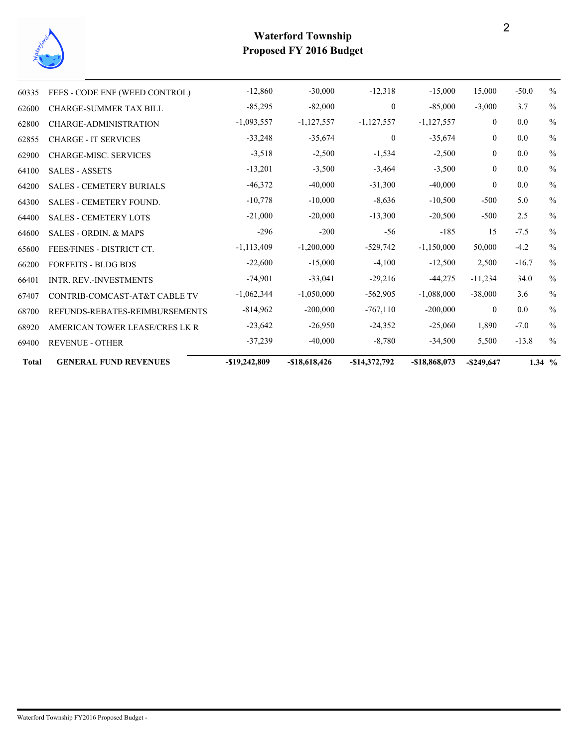

| <b>Total</b> | <b>GENERAL FUND REVENUES</b>     | $-$ \$19,242,809 | $-$18,618,426$ | $-$14,372,792$ | $-$18,868,073$ | $-$ \$249,647  |         | $1.34\%$      |
|--------------|----------------------------------|------------------|----------------|----------------|----------------|----------------|---------|---------------|
| 69400        | <b>REVENUE - OTHER</b>           | $-37,239$        | $-40,000$      | $-8,780$       | $-34,500$      | 5,500          | $-13.8$ | $\frac{0}{0}$ |
| 68920        | AMERICAN TOWER LEASE/CRES LK R   | $-23,642$        | $-26,950$      | $-24,352$      | $-25,060$      | 1,890          | $-7.0$  | $\frac{0}{0}$ |
| 68700        | REFUNDS-REBATES-REIMBURSEMENTS   | $-814,962$       | $-200,000$     | $-767,110$     | $-200,000$     | $\overline{0}$ | $0.0\,$ | $\frac{0}{0}$ |
| 67407        | CONTRIB-COMCAST-AT&T CABLE TV    | $-1,062,344$     | $-1,050,000$   | $-562,905$     | $-1,088,000$   | $-38,000$      | 3.6     | $\frac{0}{0}$ |
| 66401        | <b>INTR. REV.-INVESTMENTS</b>    | $-74,901$        | $-33,041$      | $-29,216$      | $-44,275$      | $-11,234$      | 34.0    | $\frac{0}{0}$ |
| 66200        | <b>FORFEITS - BLDG BDS</b>       | $-22,600$        | $-15,000$      | $-4,100$       | $-12,500$      | 2,500          | $-16.7$ | $\frac{0}{0}$ |
| 65600        | FEES/FINES - DISTRICT CT.        | $-1,113,409$     | $-1,200,000$   | $-529,742$     | $-1,150,000$   | 50,000         | $-4.2$  | $\frac{0}{0}$ |
| 64600        | <b>SALES - ORDIN. &amp; MAPS</b> | $-296$           | $-200$         | $-56$          | $-185$         | 15             | $-7.5$  | $\frac{0}{0}$ |
| 64400        | <b>SALES - CEMETERY LOTS</b>     | $-21,000$        | $-20,000$      | $-13,300$      | $-20,500$      | $-500$         | 2.5     | $\frac{0}{0}$ |
| 64300        | <b>SALES - CEMETERY FOUND.</b>   | $-10,778$        | $-10,000$      | $-8,636$       | $-10,500$      | $-500$         | 5.0     | $\frac{0}{0}$ |
| 64200        | <b>SALES - CEMETERY BURIALS</b>  | $-46,372$        | $-40,000$      | $-31,300$      | $-40,000$      | $\theta$       | 0.0     | $\frac{0}{0}$ |
| 64100        | <b>SALES - ASSETS</b>            | $-13,201$        | $-3,500$       | $-3,464$       | $-3,500$       | $\theta$       | 0.0     | $\frac{0}{0}$ |
| 62900        | <b>CHARGE-MISC. SERVICES</b>     | $-3,518$         | $-2,500$       | $-1,534$       | $-2,500$       | $\theta$       | 0.0     | $\frac{0}{0}$ |
| 62855        | <b>CHARGE - IT SERVICES</b>      | $-33,248$        | $-35,674$      | $\mathbf{0}$   | $-35,674$      | $\theta$       | 0.0     | $\frac{0}{0}$ |
| 62800        | <b>CHARGE-ADMINISTRATION</b>     | $-1,093,557$     | $-1,127,557$   | $-1,127,557$   | $-1,127,557$   | $\overline{0}$ | 0.0     | $\frac{0}{0}$ |
| 62600        | <b>CHARGE-SUMMER TAX BILL</b>    | $-85,295$        | $-82,000$      | $\mathbf{0}$   | $-85,000$      | $-3,000$       | 3.7     | $\frac{0}{0}$ |
| 60335        | FEES - CODE ENF (WEED CONTROL)   | $-12,860$        | $-30,000$      | $-12,318$      | $-15,000$      | 15,000         | $-50.0$ | $\frac{0}{0}$ |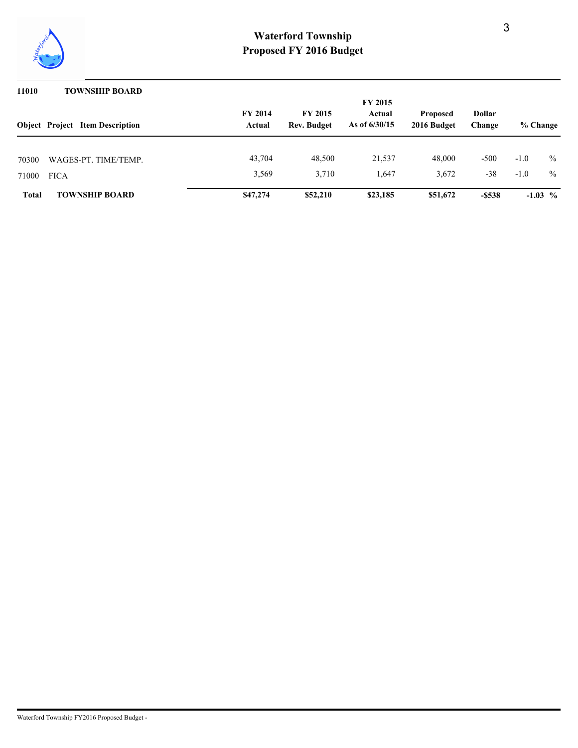

#### **11010 TOWNSHIP BOARD**

|                               | <b>Object Project Item Description</b> | <b>FY 2014</b><br>Actual | <b>Dollar</b><br>Change | % Change        |                 |                 |                  |              |
|-------------------------------|----------------------------------------|--------------------------|-------------------------|-----------------|-----------------|-----------------|------------------|--------------|
| 70300<br>71000<br><b>FICA</b> | WAGES-PT. TIME/TEMP.                   | 43,704<br>3,569          | 48,500<br>3,710         | 21,537<br>1.647 | 48,000<br>3,672 | $-500$<br>$-38$ | $-1.0$<br>$-1.0$ | $\%$<br>$\%$ |
| <b>Total</b>                  | <b>TOWNSHIP BOARD</b>                  | \$47,274                 | \$52,210                | \$23,185        | \$51,672        | $-5538$         |                  | $-1.03$ %    |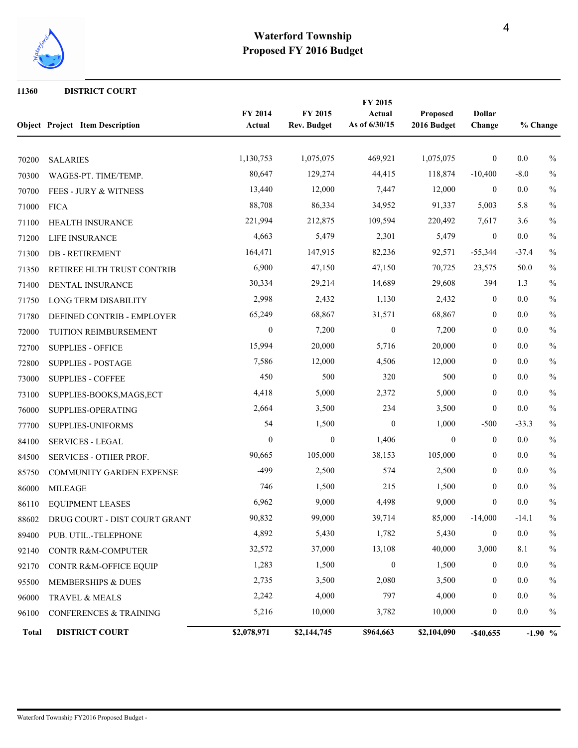

#### **DISTRICT COURT**

|              | <b>Object Project Item Description</b> | FY 2014<br>Actual | FY 2015<br><b>Rev. Budget</b> | FY 2015<br>Actual<br>As of 6/30/15 | <b>Proposed</b><br>2016 Budget | <b>Dollar</b><br>Change | % Change |               |
|--------------|----------------------------------------|-------------------|-------------------------------|------------------------------------|--------------------------------|-------------------------|----------|---------------|
| 70200        | <b>SALARIES</b>                        | 1,130,753         | 1,075,075                     | 469,921                            | 1,075,075                      | $\bf{0}$                | $0.0\,$  | $\%$          |
| 70300        | WAGES-PT. TIME/TEMP.                   | 80,647            | 129,274                       | 44,415                             | 118,874                        | $-10,400$               | $-8.0$   | $\%$          |
| 70700        | FEES - JURY & WITNESS                  | 13,440            | 12,000                        | 7,447                              | 12,000                         | $\mathbf{0}$            | 0.0      | $\%$          |
| 71000        | <b>FICA</b>                            | 88,708            | 86,334                        | 34,952                             | 91,337                         | 5,003                   | 5.8      | $\%$          |
| 71100        | HEALTH INSURANCE                       | 221,994           | 212,875                       | 109,594                            | 220,492                        | 7,617                   | 3.6      | $\%$          |
| 71200        | LIFE INSURANCE                         | 4,663             | 5,479                         | 2,301                              | 5,479                          | $\boldsymbol{0}$        | $0.0\,$  | $\%$          |
| 71300        | <b>DB-RETIREMENT</b>                   | 164,471           | 147,915                       | 82,236                             | 92,571                         | $-55,344$               | $-37.4$  | $\%$          |
| 71350        | RETIREE HLTH TRUST CONTRIB             | 6,900             | 47,150                        | 47,150                             | 70,725                         | 23,575                  | 50.0     | $\%$          |
| 71400        | DENTAL INSURANCE                       | 30,334            | 29,214                        | 14,689                             | 29,608                         | 394                     | 1.3      | $\%$          |
| 71750        | LONG TERM DISABILITY                   | 2,998             | 2,432                         | 1,130                              | 2,432                          | $\overline{0}$          | 0.0      | $\%$          |
| 71780        | DEFINED CONTRIB - EMPLOYER             | 65,249            | 68,867                        | 31,571                             | 68,867                         | $\boldsymbol{0}$        | 0.0      | $\%$          |
| 72000        | TUITION REIMBURSEMENT                  | $\boldsymbol{0}$  | 7,200                         | $\boldsymbol{0}$                   | 7,200                          | $\boldsymbol{0}$        | 0.0      | $\frac{0}{0}$ |
| 72700        | <b>SUPPLIES - OFFICE</b>               | 15,994            | 20,000                        | 5,716                              | 20,000                         | $\boldsymbol{0}$        | 0.0      | $\%$          |
| 72800        | <b>SUPPLIES - POSTAGE</b>              | 7,586             | 12,000                        | 4,506                              | 12,000                         | $\overline{0}$          | 0.0      | $\%$          |
| 73000        | <b>SUPPLIES - COFFEE</b>               | 450               | 500                           | 320                                | 500                            | $\overline{0}$          | 0.0      | $\%$          |
| 73100        | SUPPLIES-BOOKS, MAGS, ECT              | 4,418             | 5,000                         | 2,372                              | 5,000                          | $\boldsymbol{0}$        | 0.0      | $\%$          |
| 76000        | SUPPLIES-OPERATING                     | 2,664             | 3,500                         | 234                                | 3,500                          | $\boldsymbol{0}$        | 0.0      | $\%$          |
| 77700        | SUPPLIES-UNIFORMS                      | 54                | 1,500                         | $\overline{0}$                     | 1,000                          | $-500$                  | $-33.3$  | $\%$          |
| 84100        | <b>SERVICES - LEGAL</b>                | $\mathbf{0}$      | $\boldsymbol{0}$              | 1,406                              | $\boldsymbol{0}$               | $\overline{0}$          | 0.0      | $\%$          |
| 84500        | <b>SERVICES - OTHER PROF.</b>          | 90,665            | 105,000                       | 38,153                             | 105,000                        | $\boldsymbol{0}$        | 0.0      | $\%$          |
| 85750        | COMMUNITY GARDEN EXPENSE               | $-499$            | 2,500                         | 574                                | 2,500                          | $\boldsymbol{0}$        | 0.0      | $\%$          |
| 86000        | <b>MILEAGE</b>                         | 746               | 1,500                         | 215                                | 1,500                          | $\boldsymbol{0}$        | 0.0      | $\%$          |
| 86110        | <b>EQUIPMENT LEASES</b>                | 6,962             | 9,000                         | 4,498                              | 9,000                          | $\overline{0}$          | 0.0      | $\%$          |
| 88602        | DRUG COURT - DIST COURT GRANT          | 90,832            | 99,000                        | 39,714                             | 85,000                         | $-14,000$               | $-14.1$  | $\%$          |
| 89400        | PUB. UTIL.-TELEPHONE                   | 4,892             | 5,430                         | 1,782                              | 5,430                          | $\boldsymbol{0}$        | $0.0\,$  | $\%$          |
| 92140        | CONTR R&M-COMPUTER                     | 32,572            | 37,000                        | 13,108                             | 40,000                         | 3,000                   | 8.1      | $\%$          |
| 92170        | CONTR R&M-OFFICE EQUIP                 | 1,283             | 1,500                         | $\overline{0}$                     | 1,500                          | $\overline{0}$          | 0.0      | $\%$          |
| 95500        | MEMBERSHIPS & DUES                     | 2,735             | 3,500                         | 2,080                              | 3,500                          | $\boldsymbol{0}$        | $0.0\,$  | $\%$          |
| 96000        | TRAVEL & MEALS                         | 2,242             | 4,000                         | 797                                | 4,000                          | $\bf{0}$                | 0.0      | $\%$          |
| 96100        | CONFERENCES & TRAINING                 | 5,216             | 10,000                        | 3,782                              | 10,000                         | $\boldsymbol{0}$        | $0.0\,$  | $\%$          |
| <b>Total</b> | <b>DISTRICT COURT</b>                  | \$2,078,971       | \$2,144,745                   | \$964,663                          | \$2,104,090                    | $-$ \$40,655            |          | $-1.90\%$     |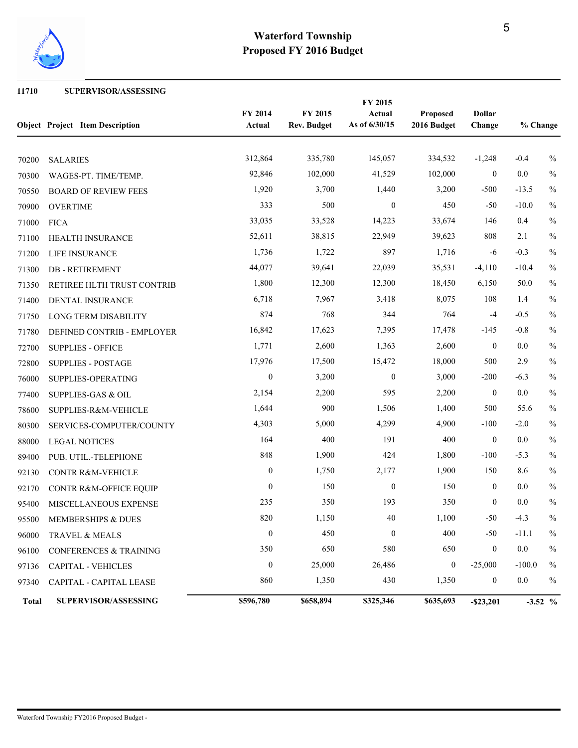

#### **SUPERVISOR/ASSESSING**

|              | <b>Object Project Item Description</b> | FY 2014<br>FY 2015<br>Actual<br><b>Rev. Budget</b> |           |                  |                  | <b>Dollar</b><br>Change | % Change |               |  |
|--------------|----------------------------------------|----------------------------------------------------|-----------|------------------|------------------|-------------------------|----------|---------------|--|
| 70200        | <b>SALARIES</b>                        | 312,864                                            | 335,780   | 145,057          | 334,532          | $-1,248$                | $-0.4$   | $\%$          |  |
| 70300        | WAGES-PT. TIME/TEMP.                   | 92,846                                             | 102,000   | 41,529           | 102,000          | $\overline{0}$          | 0.0      | $\%$          |  |
| 70550        | <b>BOARD OF REVIEW FEES</b>            | 1,920                                              | 3,700     | 1,440            | 3,200            | $-500$                  | $-13.5$  | $\%$          |  |
| 70900        | <b>OVERTIME</b>                        | 333                                                | 500       | $\boldsymbol{0}$ | 450              | $-50$                   | $-10.0$  | $\%$          |  |
| 71000        | <b>FICA</b>                            | 33,035                                             | 33,528    | 14,223           | 33,674           | 146                     | 0.4      | $\%$          |  |
| 71100        | HEALTH INSURANCE                       | 52,611                                             | 38,815    | 22,949           | 39,623           | 808                     | 2.1      | $\%$          |  |
| 71200        | LIFE INSURANCE                         | 1,736                                              | 1,722     | 897              | 1,716            | -6                      | $-0.3$   | $\frac{0}{0}$ |  |
| 71300        | <b>DB-RETIREMENT</b>                   | 44,077                                             | 39,641    | 22,039           | 35,531           | $-4,110$                | $-10.4$  | $\%$          |  |
| 71350        | RETIREE HLTH TRUST CONTRIB             | 1,800                                              | 12,300    | 12,300           | 18,450           | 6,150                   | 50.0     | $\%$          |  |
| 71400        | DENTAL INSURANCE                       | 6,718                                              | 7,967     | 3,418            | 8,075            | 108                     | 1.4      | $\%$          |  |
| 71750        | <b>LONG TERM DISABILITY</b>            | 874                                                | 768       | 344              | 764              | $-4$                    | $-0.5$   | $\%$          |  |
| 71780        | DEFINED CONTRIB - EMPLOYER             | 16,842                                             | 17,623    | 7,395            | 17,478           | $-145$                  | $-0.8$   | $\%$          |  |
| 72700        | <b>SUPPLIES - OFFICE</b>               | 1,771                                              | 2,600     | 1,363            | 2,600            | $\boldsymbol{0}$        | 0.0      | $\%$          |  |
| 72800        | <b>SUPPLIES - POSTAGE</b>              | 17,976                                             | 17,500    | 15,472           | 18,000           | 500                     | 2.9      | $\%$          |  |
| 76000        | SUPPLIES-OPERATING                     | $\boldsymbol{0}$                                   | 3,200     | $\boldsymbol{0}$ | 3,000            | $-200$                  | $-6.3$   | $\%$          |  |
| 77400        | SUPPLIES-GAS & OIL                     | 2,154                                              | 2,200     | 595              | 2,200            | $\boldsymbol{0}$        | $0.0\,$  | $\%$          |  |
| 78600        | SUPPLIES-R&M-VEHICLE                   | 1,644                                              | 900       | 1,506            | 1,400            | 500                     | 55.6     | $\%$          |  |
| 80300        | SERVICES-COMPUTER/COUNTY               | 4,303                                              | 5,000     | 4,299            | 4,900            | $-100$                  | $-2.0$   | $\%$          |  |
| 88000        | <b>LEGAL NOTICES</b>                   | 164                                                | 400       | 191              | 400              | $\mathbf{0}$            | $0.0\,$  | $\%$          |  |
| 89400        | PUB. UTIL.-TELEPHONE                   | 848                                                | 1,900     | 424              | 1,800            | $-100$                  | $-5.3$   | $\%$          |  |
| 92130        | CONTR R&M-VEHICLE                      | $\boldsymbol{0}$                                   | 1,750     | 2,177            | 1,900            | 150                     | 8.6      | $\%$          |  |
| 92170        | CONTR R&M-OFFICE EQUIP                 | $\overline{0}$                                     | 150       | $\boldsymbol{0}$ | 150              | $\boldsymbol{0}$        | $0.0\,$  | $\%$          |  |
| 95400        | MISCELLANEOUS EXPENSE                  | 235                                                | 350       | 193              | 350              | $\mathbf{0}$            | 0.0      | $\%$          |  |
| 95500        | MEMBERSHIPS & DUES                     | 820                                                | 1,150     | 40               | 1,100            | $-50$                   | $-4.3$   | $\%$          |  |
| 96000        | TRAVEL & MEALS                         | $\boldsymbol{0}$                                   | 450       | $\boldsymbol{0}$ | 400              | $-50$                   | $-11.1$  | $\%$          |  |
| 96100        | CONFERENCES & TRAINING                 | 350                                                | 650       | 580              | 650              | $\boldsymbol{0}$        | $0.0\,$  | $\%$          |  |
| 97136        | <b>CAPITAL - VEHICLES</b>              | $\boldsymbol{0}$                                   | 25,000    | 26,486           | $\boldsymbol{0}$ | $-25,000$               | $-100.0$ | $\%$          |  |
| 97340        | CAPITAL - CAPITAL LEASE                | 860                                                | 1,350     | 430              | 1,350            | $\boldsymbol{0}$        | $0.0\,$  | $\%$          |  |
| <b>Total</b> | SUPERVISOR/ASSESSING                   | \$596,780                                          | \$658,894 | \$325,346        | \$635,693        | $-$ \$23,201            |          | $-3.52$ %     |  |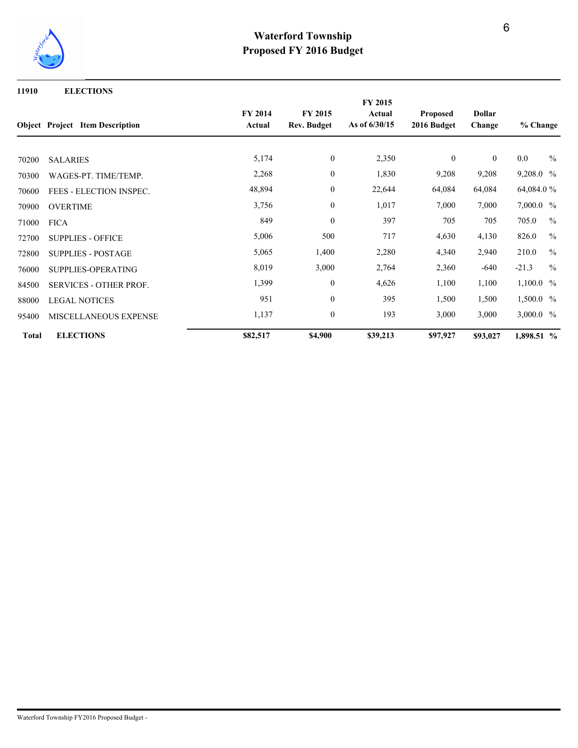

#### **11910 ELECTIONS**

|                |                                         | FY 2015                  |                               |                         |                                |                         |             |               |
|----------------|-----------------------------------------|--------------------------|-------------------------------|-------------------------|--------------------------------|-------------------------|-------------|---------------|
|                | <b>Object</b> Project Item Description  | <b>FY 2014</b><br>Actual | <b>FY 2015</b><br>Rev. Budget | Actual<br>As of 6/30/15 | <b>Proposed</b><br>2016 Budget | <b>Dollar</b><br>Change | % Change    |               |
|                |                                         | 5,174                    | $\boldsymbol{0}$              | 2,350                   | $\mathbf{0}$                   | $\mathbf{0}$            | $0.0\,$     | $\frac{0}{0}$ |
| 70200<br>70300 | <b>SALARIES</b><br>WAGES-PT. TIME/TEMP. | 2,268                    | $\boldsymbol{0}$              | 1,830                   | 9,208                          | 9,208                   | 9,208.0 %   |               |
| 70600          | FEES - ELECTION INSPEC.                 | 48,894                   | $\boldsymbol{0}$              | 22,644                  | 64,084                         | 64,084                  | 64,084.0 %  |               |
| 70900          | <b>OVERTIME</b>                         | 3,756                    | $\boldsymbol{0}$              | 1,017                   | 7,000                          | 7,000                   | $7,000.0\%$ |               |
| 71000          | <b>FICA</b>                             | 849                      | $\theta$                      | 397                     | 705                            | 705                     | 705.0       | $\frac{0}{0}$ |
| 72700          | <b>SUPPLIES - OFFICE</b>                | 5,006                    | 500                           | 717                     | 4,630                          | 4,130                   | 826.0       | $\frac{0}{0}$ |
| 72800          | <b>SUPPLIES - POSTAGE</b>               | 5,065                    | 1,400                         | 2,280                   | 4,340                          | 2,940                   | 210.0       | $\frac{0}{0}$ |
| 76000          | SUPPLIES-OPERATING                      | 8,019                    | 3,000                         | 2,764                   | 2,360                          | $-640$                  | $-21.3$     | $\frac{0}{0}$ |
| 84500          | <b>SERVICES - OTHER PROF.</b>           | 1,399                    | $\mathbf{0}$                  | 4,626                   | 1,100                          | 1,100                   | $1,100.0\%$ |               |
| 88000          | <b>LEGAL NOTICES</b>                    | 951                      | $\boldsymbol{0}$              | 395                     | 1,500                          | 1,500                   | 1,500.0 %   |               |
| 95400          | MISCELLANEOUS EXPENSE                   | 1,137                    | $\boldsymbol{0}$              | 193                     | 3,000                          | 3,000                   | 3,000.0 %   |               |
| <b>Total</b>   | <b>ELECTIONS</b>                        | \$82,517                 | \$4,900                       | \$39,213                | \$97,927                       | \$93,027                | 1,898.51 %  |               |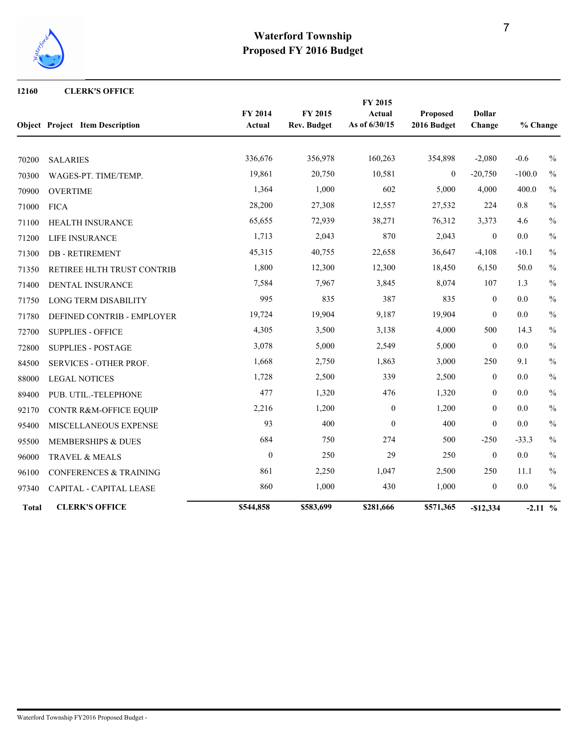

#### **12160 CLERK'S OFFICE**

|              |                                        |                   |                               | FY 2015                 |                         |                         |          |               |
|--------------|----------------------------------------|-------------------|-------------------------------|-------------------------|-------------------------|-------------------------|----------|---------------|
|              | <b>Object Project Item Description</b> | FY 2014<br>Actual | FY 2015<br><b>Rev. Budget</b> | Actual<br>As of 6/30/15 | Proposed<br>2016 Budget | <b>Dollar</b><br>Change | % Change |               |
|              |                                        |                   |                               |                         |                         |                         |          |               |
| 70200        | <b>SALARIES</b>                        | 336,676           | 356,978                       | 160,263                 | 354,898                 | $-2,080$                | $-0.6$   | $\%$          |
| 70300        | WAGES-PT. TIME/TEMP.                   | 19,861            | 20,750                        | 10,581                  | $\mathbf{0}$            | $-20,750$               | $-100.0$ | $\frac{0}{0}$ |
| 70900        | <b>OVERTIME</b>                        | 1,364             | 1,000                         | 602                     | 5,000                   | 4,000                   | 400.0    | $\frac{0}{0}$ |
| 71000        | <b>FICA</b>                            | 28,200            | 27,308                        | 12,557                  | 27,532                  | 224                     | 0.8      | $\frac{0}{0}$ |
| 71100        | HEALTH INSURANCE                       | 65,655            | 72,939                        | 38,271                  | 76,312                  | 3,373                   | 4.6      | $\frac{0}{0}$ |
| 71200        | LIFE INSURANCE                         | 1,713             | 2,043                         | 870                     | 2,043                   | $\mathbf{0}$            | 0.0      | $\frac{0}{0}$ |
| 71300        | <b>DB-RETIREMENT</b>                   | 45,315            | 40,755                        | 22,658                  | 36,647                  | $-4,108$                | $-10.1$  | $\frac{0}{0}$ |
| 71350        | RETIREE HLTH TRUST CONTRIB             | 1,800             | 12,300                        | 12,300                  | 18,450                  | 6,150                   | 50.0     | $\%$          |
| 71400        | DENTAL INSURANCE                       | 7,584             | 7,967                         | 3,845                   | 8,074                   | 107                     | 1.3      | $\frac{0}{0}$ |
| 71750        | <b>LONG TERM DISABILITY</b>            | 995               | 835                           | 387                     | 835                     | $\mathbf{0}$            | 0.0      | $\%$          |
| 71780        | DEFINED CONTRIB - EMPLOYER             | 19,724            | 19,904                        | 9,187                   | 19,904                  | $\mathbf{0}$            | 0.0      | $\frac{0}{0}$ |
| 72700        | <b>SUPPLIES - OFFICE</b>               | 4,305             | 3,500                         | 3,138                   | 4,000                   | 500                     | 14.3     | $\frac{0}{0}$ |
| 72800        | <b>SUPPLIES - POSTAGE</b>              | 3,078             | 5,000                         | 2,549                   | 5,000                   | $\mathbf{0}$            | 0.0      | $\frac{0}{0}$ |
| 84500        | SERVICES - OTHER PROF.                 | 1,668             | 2,750                         | 1,863                   | 3,000                   | 250                     | 9.1      | $\frac{0}{0}$ |
| 88000        | <b>LEGAL NOTICES</b>                   | 1,728             | 2,500                         | 339                     | 2,500                   | $\boldsymbol{0}$        | 0.0      | $\%$          |
| 89400        | PUB. UTIL.-TELEPHONE                   | 477               | 1,320                         | 476                     | 1,320                   | $\boldsymbol{0}$        | 0.0      | $\frac{0}{0}$ |
| 92170        | CONTR R&M-OFFICE EQUIP                 | 2,216             | 1,200                         | $\boldsymbol{0}$        | 1,200                   | $\mathbf{0}$            | 0.0      | $\frac{0}{0}$ |
| 95400        | MISCELLANEOUS EXPENSE                  | 93                | 400                           | $\mathbf{0}$            | 400                     | $\mathbf{0}$            | 0.0      | $\%$          |
| 95500        | MEMBERSHIPS & DUES                     | 684               | 750                           | 274                     | 500                     | $-250$                  | $-33.3$  | $\frac{0}{0}$ |
| 96000        | TRAVEL & MEALS                         | $\mathbf{0}$      | 250                           | 29                      | 250                     | $\theta$                | 0.0      | $\frac{0}{0}$ |
| 96100        | <b>CONFERENCES &amp; TRAINING</b>      | 861               | 2,250                         | 1,047                   | 2,500                   | 250                     | 11.1     | $\%$          |
| 97340        | CAPITAL - CAPITAL LEASE                | 860               | 1,000                         | 430                     | 1,000                   | $\boldsymbol{0}$        | 0.0      | $\frac{0}{0}$ |
| <b>Total</b> | <b>CLERK'S OFFICE</b>                  | \$544,858         | \$583,699                     | \$281,666               | \$571,365               | $-$12,334$              |          | $-2.11\%$     |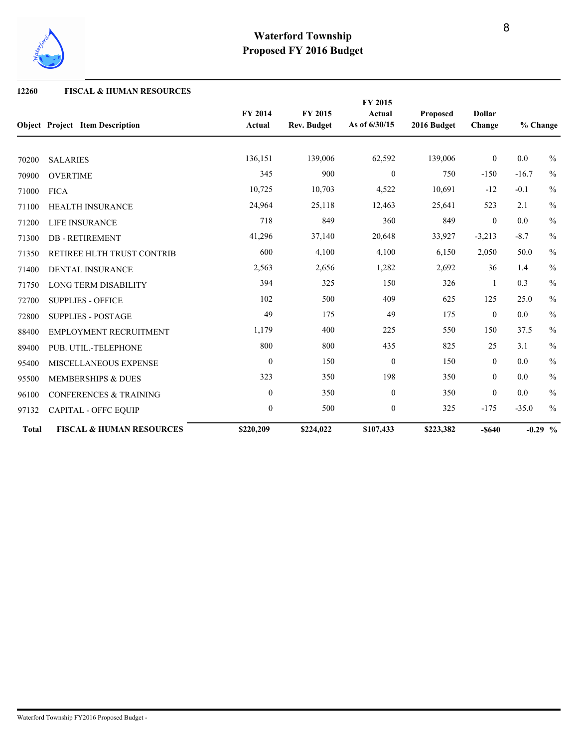

#### **12260 FISCAL & HUMAN RESOURCES**

|              |                                        |                          |                               | FY 2015                 |                                |                         |          |               |
|--------------|----------------------------------------|--------------------------|-------------------------------|-------------------------|--------------------------------|-------------------------|----------|---------------|
|              | <b>Object Project Item Description</b> | <b>FY 2014</b><br>Actual | FY 2015<br><b>Rev. Budget</b> | Actual<br>As of 6/30/15 | <b>Proposed</b><br>2016 Budget | <b>Dollar</b><br>Change | % Change |               |
|              |                                        |                          |                               |                         |                                |                         |          |               |
| 70200        | <b>SALARIES</b>                        | 136,151                  | 139,006                       | 62,592                  | 139,006                        | $\boldsymbol{0}$        | 0.0      | $\frac{0}{0}$ |
| 70900        | <b>OVERTIME</b>                        | 345                      | 900                           | $\overline{0}$          | 750                            | $-150$                  | $-16.7$  | $\%$          |
| 71000        | <b>FICA</b>                            | 10,725                   | 10,703                        | 4,522                   | 10,691                         | $-12$                   | $-0.1$   | $\frac{0}{0}$ |
| 71100        | HEALTH INSURANCE                       | 24,964                   | 25,118                        | 12,463                  | 25,641                         | 523                     | 2.1      | $\frac{0}{0}$ |
| 71200        | LIFE INSURANCE                         | 718                      | 849                           | 360                     | 849                            | $\theta$                | 0.0      | $\%$          |
| 71300        | <b>DB-RETIREMENT</b>                   | 41,296                   | 37,140                        | 20,648                  | 33,927                         | $-3,213$                | $-8.7$   | $\%$          |
| 71350        | RETIREE HLTH TRUST CONTRIB             | 600                      | 4,100                         | 4,100                   | 6,150                          | 2,050                   | 50.0     | $\frac{0}{0}$ |
| 71400        | <b>DENTAL INSURANCE</b>                | 2,563                    | 2,656                         | 1,282                   | 2,692                          | 36                      | 1.4      | $\%$          |
| 71750        | <b>LONG TERM DISABILITY</b>            | 394                      | 325                           | 150                     | 326                            | $\overline{1}$          | 0.3      | $\frac{0}{0}$ |
| 72700        | <b>SUPPLIES - OFFICE</b>               | 102                      | 500                           | 409                     | 625                            | 125                     | 25.0     | $\frac{0}{0}$ |
| 72800        | <b>SUPPLIES - POSTAGE</b>              | 49                       | 175                           | 49                      | 175                            | $\mathbf{0}$            | 0.0      | $\frac{0}{0}$ |
| 88400        | <b>EMPLOYMENT RECRUITMENT</b>          | 1,179                    | 400                           | 225                     | 550                            | 150                     | 37.5     | $\frac{0}{0}$ |
| 89400        | PUB. UTIL.-TELEPHONE                   | 800                      | 800                           | 435                     | 825                            | 25                      | 3.1      | $\frac{0}{0}$ |
| 95400        | MISCELLANEOUS EXPENSE                  | $\mathbf{0}$             | 150                           | $\mathbf{0}$            | 150                            | $\overline{0}$          | 0.0      | $\frac{0}{0}$ |
| 95500        | <b>MEMBERSHIPS &amp; DUES</b>          | 323                      | 350                           | 198                     | 350                            | $\mathbf{0}$            | 0.0      | $\frac{0}{0}$ |
| 96100        | <b>CONFERENCES &amp; TRAINING</b>      | $\boldsymbol{0}$         | 350                           | $\overline{0}$          | 350                            | $\mathbf{0}$            | 0.0      | $\%$          |
| 97132        | <b>CAPITAL - OFFC EQUIP</b>            | $\boldsymbol{0}$         | 500                           | $\boldsymbol{0}$        | 325                            | $-175$                  | $-35.0$  | $\frac{0}{0}$ |
| <b>Total</b> | <b>FISCAL &amp; HUMAN RESOURCES</b>    | \$220,209                | \$224,022                     | \$107,433               | \$223,382                      | $-$ \$640               |          | $-0.29$ %     |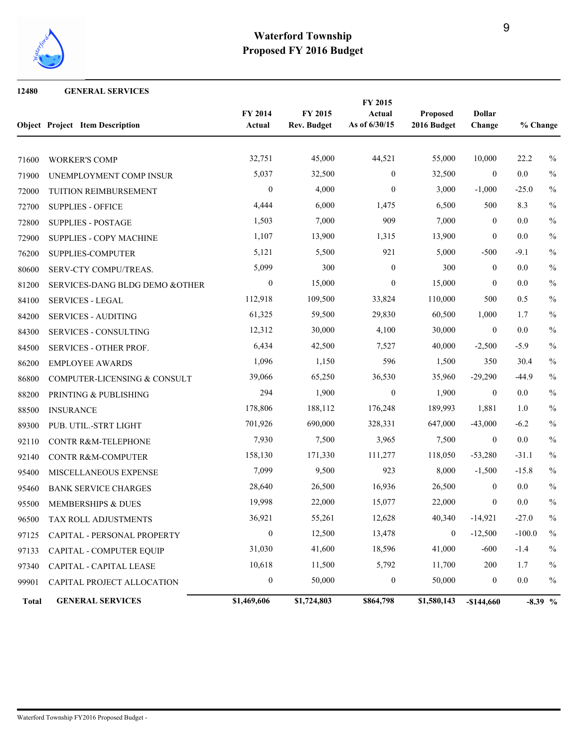

#### **GENERAL SERVICES**

|              | <b>Object Project Item Description</b> | FY 2014<br>Actual | FY 2015<br><b>Rev. Budget</b> | FY 2015<br>Actual<br>As of 6/30/15 | Proposed<br>2016 Budget | <b>Dollar</b><br>Change | % Change  |               |
|--------------|----------------------------------------|-------------------|-------------------------------|------------------------------------|-------------------------|-------------------------|-----------|---------------|
| 71600        | <b>WORKER'S COMP</b>                   | 32,751            | 45,000                        | 44,521                             | 55,000                  | 10,000                  | 22.2      | $\frac{0}{0}$ |
| 71900        | UNEMPLOYMENT COMP INSUR                | 5,037             | 32,500                        | $\overline{0}$                     | 32,500                  | $\overline{0}$          | 0.0       | $\%$          |
| 72000        | TUITION REIMBURSEMENT                  | $\boldsymbol{0}$  | 4,000                         | $\mathbf{0}$                       | 3,000                   | $-1,000$                | $-25.0$   | $\frac{0}{0}$ |
| 72700        | <b>SUPPLIES - OFFICE</b>               | 4,444             | 6,000                         | 1,475                              | 6,500                   | 500                     | 8.3       | $\frac{0}{0}$ |
| 72800        | <b>SUPPLIES - POSTAGE</b>              | 1,503             | 7,000                         | 909                                | 7,000                   | $\overline{0}$          | 0.0       | $\frac{0}{0}$ |
| 72900        | SUPPLIES - COPY MACHINE                | 1,107             | 13,900                        | 1,315                              | 13,900                  | $\boldsymbol{0}$        | 0.0       | $\frac{0}{0}$ |
| 76200        | SUPPLIES-COMPUTER                      | 5,121             | 5,500                         | 921                                | 5,000                   | $-500$                  | $-9.1$    | $\frac{0}{0}$ |
| 80600        | SERV-CTY COMPU/TREAS.                  | 5,099             | 300                           | $\mathbf{0}$                       | 300                     | $\overline{0}$          | 0.0       | $\%$          |
| 81200        | SERVICES-DANG BLDG DEMO &OTHER         | $\boldsymbol{0}$  | 15,000                        | $\mathbf{0}$                       | 15,000                  | $\overline{0}$          | 0.0       | $\frac{0}{0}$ |
| 84100        | <b>SERVICES - LEGAL</b>                | 112,918           | 109,500                       | 33,824                             | 110,000                 | 500                     | 0.5       | $\%$          |
| 84200        | <b>SERVICES - AUDITING</b>             | 61,325            | 59,500                        | 29,830                             | 60,500                  | 1,000                   | 1.7       | $\frac{0}{0}$ |
| 84300        | <b>SERVICES - CONSULTING</b>           | 12,312            | 30,000                        | 4,100                              | 30,000                  | $\overline{0}$          | 0.0       | $\%$          |
| 84500        | SERVICES - OTHER PROF.                 | 6,434             | 42,500                        | 7,527                              | 40,000                  | $-2,500$                | $-5.9$    | $\frac{0}{0}$ |
| 86200        | <b>EMPLOYEE AWARDS</b>                 | 1,096             | 1,150                         | 596                                | 1,500                   | 350                     | 30.4      | $\%$          |
| 86800        | COMPUTER-LICENSING & CONSULT           | 39,066            | 65,250                        | 36,530                             | 35,960                  | $-29,290$               | $-44.9$   | $\%$          |
| 88200        | PRINTING & PUBLISHING                  | 294               | 1,900                         | $\boldsymbol{0}$                   | 1,900                   | $\mathbf{0}$            | 0.0       | $\%$          |
| 88500        | <b>INSURANCE</b>                       | 178,806           | 188,112                       | 176,248                            | 189,993                 | 1,881                   | 1.0       | $\frac{0}{0}$ |
| 89300        | PUB. UTIL.-STRT LIGHT                  | 701,926           | 690,000                       | 328,331                            | 647,000                 | $-43,000$               | $-6.2$    | $\frac{0}{0}$ |
| 92110        | <b>CONTR R&amp;M-TELEPHONE</b>         | 7,930             | 7,500                         | 3,965                              | 7,500                   | $\boldsymbol{0}$        | $0.0\,$   | $\frac{0}{0}$ |
| 92140        | <b>CONTR R&amp;M-COMPUTER</b>          | 158,130           | 171,330                       | 111,277                            | 118,050                 | $-53,280$               | $-31.1$   | $\%$          |
| 95400        | MISCELLANEOUS EXPENSE                  | 7,099             | 9,500                         | 923                                | 8,000                   | $-1,500$                | $-15.8$   | $\frac{0}{0}$ |
| 95460        | <b>BANK SERVICE CHARGES</b>            | 28,640            | 26,500                        | 16,936                             | 26,500                  | $\overline{0}$          | 0.0       | $\frac{0}{0}$ |
| 95500        | MEMBERSHIPS & DUES                     | 19,998            | 22,000                        | 15,077                             | 22,000                  | $\mathbf{0}$            | 0.0       | $\%$          |
| 96500        | TAX ROLL ADJUSTMENTS                   | 36,921            | 55,261                        | 12,628                             | 40,340                  | $-14,921$               | $-27.0$   | $\frac{0}{0}$ |
| 97125        | CAPITAL - PERSONAL PROPERTY            | $\boldsymbol{0}$  | 12,500                        | 13,478                             | $\boldsymbol{0}$        | $-12,500$               | $-100.0$  | $\frac{0}{0}$ |
| 97133        | CAPITAL - COMPUTER EQUIP               | 31,030            | 41,600                        | 18,596                             | 41,000                  | $-600$                  | $-1.4$    | $\%$          |
| 97340        | CAPITAL - CAPITAL LEASE                | 10,618            | 11,500                        | 5,792                              | 11,700                  | 200                     | 1.7       | $\%$          |
| 99901        | CAPITAL PROJECT ALLOCATION             | $\boldsymbol{0}$  | 50,000                        | $\boldsymbol{0}$                   | 50,000                  | $\bf{0}$                | $0.0\,$   | $\%$          |
| <b>Total</b> | <b>GENERAL SERVICES</b>                | \$1,469,606       | \$1,724,803                   | \$864,798                          | \$1,580,143             | $-$144,660$             | $-8.39\%$ |               |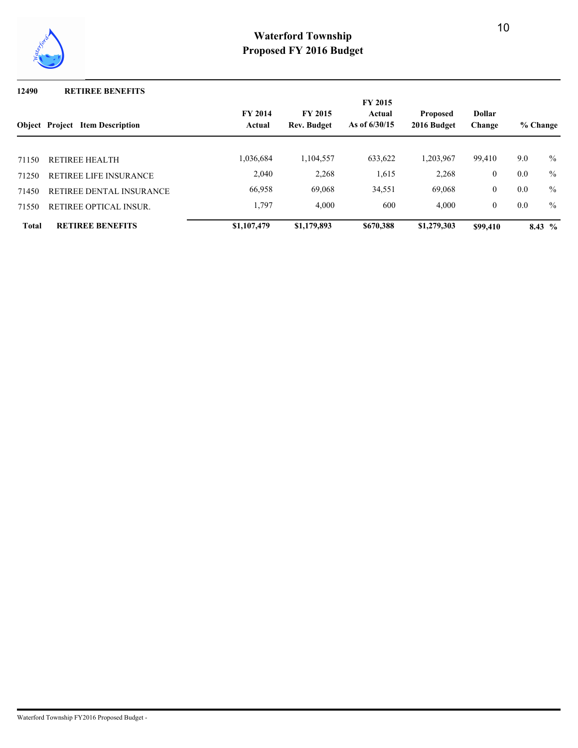

#### **12490 RETIREE BENEFITS**

|              |                                        |                          |                                      | <b>FY 2015</b>            |                                |                         |     |               |
|--------------|----------------------------------------|--------------------------|--------------------------------------|---------------------------|--------------------------------|-------------------------|-----|---------------|
|              | <b>Object</b> Project Item Description | <b>FY 2014</b><br>Actual | <b>FY 2015</b><br><b>Rev. Budget</b> | Actual<br>As of $6/30/15$ | <b>Proposed</b><br>2016 Budget | <b>Dollar</b><br>Change |     | % Change      |
|              |                                        |                          |                                      |                           |                                |                         |     |               |
| 71150        | <b>RETIREE HEALTH</b>                  | 1,036,684                | 1,104,557                            | 633,622                   | 1,203,967                      | 99,410                  | 9.0 | $\frac{0}{0}$ |
| 71250        | RETIREE LIFE INSURANCE                 | 2,040                    | 2,268                                | 1,615                     | 2,268                          | $\boldsymbol{0}$        | 0.0 | $\%$          |
| 71450        | RETIREE DENTAL INSURANCE               | 66,958                   | 69,068                               | 34,551                    | 69,068                         | $\boldsymbol{0}$        | 0.0 | $\frac{0}{0}$ |
| 71550        | RETIREE OPTICAL INSUR.                 | 1,797                    | 4,000                                | 600                       | 4.000                          | $\mathbf{0}$            | 0.0 | $\frac{0}{0}$ |
| <b>Total</b> | <b>RETIREE BENEFITS</b>                | \$1,107,479              | \$1,179,893                          | \$670,388                 | \$1,279,303                    | \$99,410                |     | 8.43 $\%$     |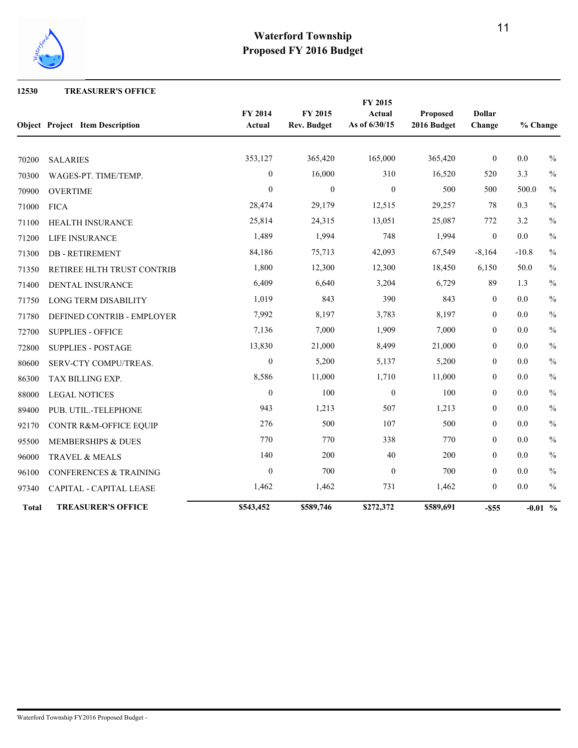

#### **12530 TREASURER'S OFFICE**

|              |                                        |                   |                               | FY 2015                 |                                |                         |          |               |
|--------------|----------------------------------------|-------------------|-------------------------------|-------------------------|--------------------------------|-------------------------|----------|---------------|
|              | <b>Object Project Item Description</b> | FY 2014<br>Actual | FY 2015<br><b>Rev. Budget</b> | Actual<br>As of 6/30/15 | <b>Proposed</b><br>2016 Budget | <b>Dollar</b><br>Change | % Change |               |
|              |                                        |                   |                               |                         |                                |                         |          |               |
| 70200        | <b>SALARIES</b>                        | 353,127           | 365,420                       | 165,000                 | 365,420                        | $\boldsymbol{0}$        | 0.0      | $\frac{0}{0}$ |
| 70300        | WAGES-PT. TIME/TEMP.                   | $\mathbf{0}$      | 16,000                        | 310                     | 16,520                         | 520                     | 3.3      | $\frac{0}{0}$ |
| 70900        | <b>OVERTIME</b>                        | $\mathbf{0}$      | $\boldsymbol{0}$              | $\mathbf{0}$            | 500                            | 500                     | 500.0    | $\frac{0}{0}$ |
| 71000        | <b>FICA</b>                            | 28,474            | 29,179                        | 12,515                  | 29,257                         | 78                      | 0.3      | $\frac{0}{0}$ |
| 71100        | HEALTH INSURANCE                       | 25,814            | 24,315                        | 13,051                  | 25,087                         | 772                     | 3.2      | $\%$          |
| 71200        | LIFE INSURANCE                         | 1,489             | 1,994                         | 748                     | 1,994                          | $\overline{0}$          | 0.0      | $\%$          |
| 71300        | <b>DB-RETIREMENT</b>                   | 84,186            | 75,713                        | 42,093                  | 67,549                         | $-8,164$                | $-10.8$  | $\%$          |
| 71350        | RETIREE HLTH TRUST CONTRIB             | 1,800             | 12,300                        | 12,300                  | 18,450                         | 6,150                   | 50.0     | $\%$          |
| 71400        | DENTAL INSURANCE                       | 6,409             | 6,640                         | 3,204                   | 6,729                          | 89                      | 1.3      | $\%$          |
| 71750        | <b>LONG TERM DISABILITY</b>            | 1,019             | 843                           | 390                     | 843                            | $\boldsymbol{0}$        | 0.0      | $\frac{0}{0}$ |
| 71780        | DEFINED CONTRIB - EMPLOYER             | 7,992             | 8,197                         | 3,783                   | 8,197                          | $\mathbf{0}$            | 0.0      | $\%$          |
| 72700        | <b>SUPPLIES - OFFICE</b>               | 7,136             | 7,000                         | 1,909                   | 7,000                          | $\mathbf{0}$            | 0.0      | $\frac{0}{0}$ |
| 72800        | <b>SUPPLIES - POSTAGE</b>              | 13,830            | 21,000                        | 8,499                   | 21,000                         | $\mathbf{0}$            | 0.0      | $\frac{0}{0}$ |
| 80600        | SERV-CTY COMPU/TREAS.                  | $\mathbf{0}$      | 5,200                         | 5,137                   | 5,200                          | $\mathbf{0}$            | 0.0      | $\%$          |
| 86300        | TAX BILLING EXP.                       | 8,586             | 11,000                        | 1,710                   | 11,000                         | $\mathbf{0}$            | 0.0      | $\%$          |
| 88000        | <b>LEGAL NOTICES</b>                   | $\mathbf{0}$      | 100                           | $\overline{0}$          | 100                            | $\mathbf{0}$            | 0.0      | $\frac{0}{0}$ |
| 89400        | PUB. UTIL.-TELEPHONE                   | 943               | 1,213                         | 507                     | 1,213                          | $\mathbf{0}$            | 0.0      | $\frac{0}{0}$ |
| 92170        | CONTR R&M-OFFICE EQUIP                 | 276               | 500                           | 107                     | 500                            | $\boldsymbol{0}$        | 0.0      | $\%$          |
| 95500        | MEMBERSHIPS & DUES                     | 770               | 770                           | 338                     | 770                            | $\mathbf{0}$            | 0.0      | $\%$          |
| 96000        | TRAVEL & MEALS                         | 140               | 200                           | 40                      | 200                            | $\boldsymbol{0}$        | 0.0      | $\%$          |
| 96100        | <b>CONFERENCES &amp; TRAINING</b>      | $\boldsymbol{0}$  | 700                           | $\mathbf{0}$            | 700                            | $\mathbf{0}$            | 0.0      | $\%$          |
| 97340        | CAPITAL - CAPITAL LEASE                | 1,462             | 1,462                         | 731                     | 1,462                          | $\boldsymbol{0}$        | 0.0      | $\%$          |
| <b>Total</b> | <b>TREASURER'S OFFICE</b>              | \$543,452         | \$589,746                     | \$272,372               | \$589,691                      | $-$ \$55                |          | $-0.01~\%$    |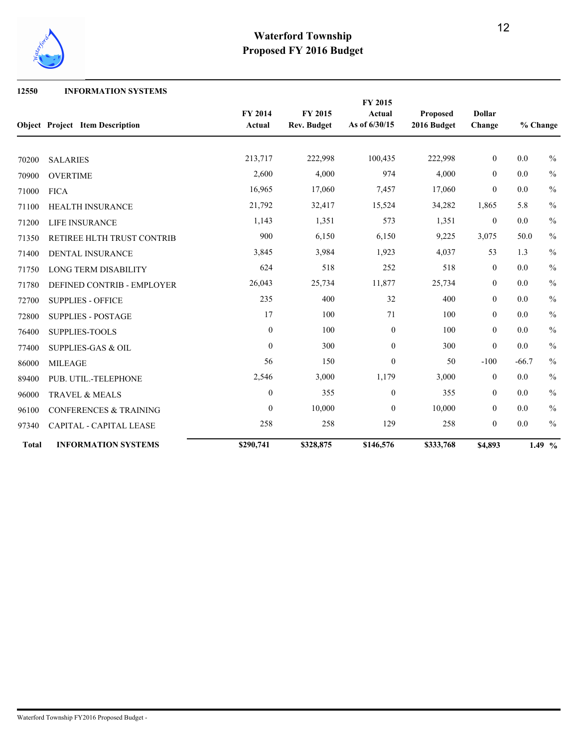

#### **12550 INFORMATION SYSTEMS**

|              | <b>Object Project Item Description</b> | FY 2014<br>Actual | FY 2015<br><b>Rev. Budget</b> | FY 2015<br><b>Actual</b><br>As of 6/30/15 | <b>Proposed</b><br>2016 Budget | <b>Dollar</b><br>Change |         | % Change      |
|--------------|----------------------------------------|-------------------|-------------------------------|-------------------------------------------|--------------------------------|-------------------------|---------|---------------|
| 70200        | <b>SALARIES</b>                        | 213,717           | 222,998                       | 100,435                                   | 222,998                        | $\overline{0}$          | 0.0     | $\frac{0}{0}$ |
| 70900        | <b>OVERTIME</b>                        | 2,600             | 4,000                         | 974                                       | 4,000                          | $\mathbf{0}$            | 0.0     | $\%$          |
| 71000        | <b>FICA</b>                            | 16,965            | 17,060                        | 7,457                                     | 17,060                         | $\theta$                | 0.0     | $\frac{0}{0}$ |
| 71100        | <b>HEALTH INSURANCE</b>                | 21,792            | 32,417                        | 15,524                                    | 34,282                         | 1,865                   | 5.8     | $\frac{0}{0}$ |
| 71200        | LIFE INSURANCE                         | 1,143             | 1,351                         | 573                                       | 1,351                          | $\boldsymbol{0}$        | 0.0     | $\frac{0}{0}$ |
| 71350        | RETIREE HLTH TRUST CONTRIB             | 900               | 6,150                         | 6,150                                     | 9,225                          | 3,075                   | 50.0    | $\frac{0}{0}$ |
| 71400        | DENTAL INSURANCE                       | 3,845             | 3,984                         | 1,923                                     | 4,037                          | 53                      | 1.3     | $\frac{0}{0}$ |
| 71750        | <b>LONG TERM DISABILITY</b>            | 624               | 518                           | 252                                       | 518                            | $\mathbf{0}$            | 0.0     | $\%$          |
| 71780        | DEFINED CONTRIB - EMPLOYER             | 26,043            | 25,734                        | 11,877                                    | 25,734                         | $\overline{0}$          | 0.0     | $\frac{0}{0}$ |
| 72700        | <b>SUPPLIES - OFFICE</b>               | 235               | 400                           | 32                                        | 400                            | $\mathbf{0}$            | 0.0     | $\frac{0}{0}$ |
| 72800        | <b>SUPPLIES - POSTAGE</b>              | 17                | 100                           | 71                                        | 100                            | $\mathbf{0}$            | 0.0     | $\%$          |
| 76400        | SUPPLIES-TOOLS                         | $\mathbf{0}$      | 100                           | $\mathbf{0}$                              | 100                            | $\mathbf{0}$            | 0.0     | $\frac{0}{0}$ |
| 77400        | <b>SUPPLIES-GAS &amp; OIL</b>          | $\mathbf{0}$      | 300                           | $\overline{0}$                            | 300                            | $\mathbf{0}$            | 0.0     | $\frac{0}{0}$ |
| 86000        | <b>MILEAGE</b>                         | 56                | 150                           | $\overline{0}$                            | 50                             | $-100$                  | $-66.7$ | $\%$          |
| 89400        | PUB. UTIL.-TELEPHONE                   | 2,546             | 3,000                         | 1,179                                     | 3,000                          | $\mathbf{0}$            | 0.0     | $\frac{0}{0}$ |
| 96000        | TRAVEL & MEALS                         | $\boldsymbol{0}$  | 355                           | $\boldsymbol{0}$                          | 355                            | $\mathbf{0}$            | 0.0     | $\frac{0}{0}$ |
| 96100        | <b>CONFERENCES &amp; TRAINING</b>      | $\Omega$          | 10,000                        | $\theta$                                  | 10,000                         | $\theta$                | 0.0     | $\%$          |
| 97340        | CAPITAL - CAPITAL LEASE                | 258               | 258                           | 129                                       | 258                            | $\mathbf{0}$            | 0.0     | $\frac{0}{0}$ |
| <b>Total</b> | <b>INFORMATION SYSTEMS</b>             | \$290,741         | \$328,875                     | \$146,576                                 | \$333,768                      | \$4,893                 |         | 1.49 $%$      |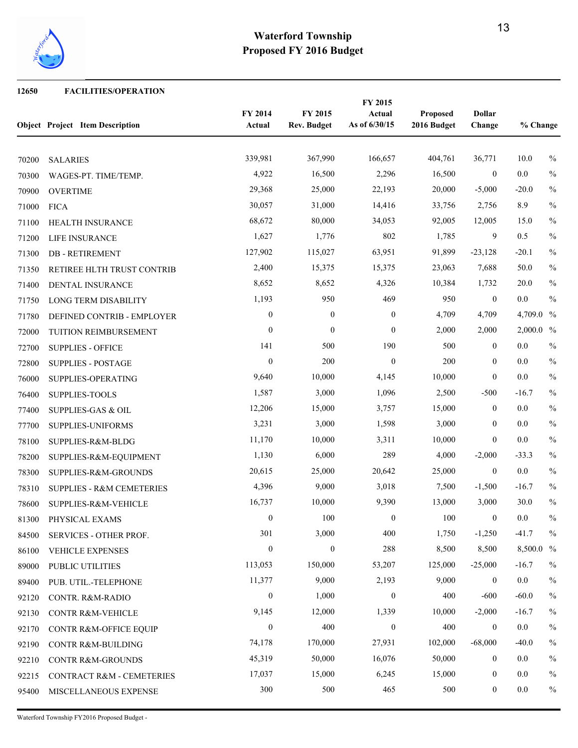

#### **FACILITIES/OPERATION**

|       | <b>Object Project Item Description</b> | FY 2014<br>Actual | FY 2015<br><b>Rev. Budget</b> | FY 2015<br>Actual<br>As of 6/30/15 | Proposed<br>2016 Budget | <b>Dollar</b><br>Change | % Change  |               |
|-------|----------------------------------------|-------------------|-------------------------------|------------------------------------|-------------------------|-------------------------|-----------|---------------|
| 70200 | <b>SALARIES</b>                        | 339,981           | 367,990                       | 166,657                            | 404,761                 | 36,771                  | 10.0      | $\frac{0}{0}$ |
| 70300 | WAGES-PT. TIME/TEMP.                   | 4,922             | 16,500                        | 2,296                              | 16,500                  | $\mathbf{0}$            | $0.0\,$   | $\%$          |
| 70900 | <b>OVERTIME</b>                        | 29,368            | 25,000                        | 22,193                             | 20,000                  | $-5,000$                | $-20.0$   | $\%$          |
| 71000 | <b>FICA</b>                            | 30,057            | 31,000                        | 14,416                             | 33,756                  | 2,756                   | 8.9       | $\%$          |
| 71100 | HEALTH INSURANCE                       | 68,672            | 80,000                        | 34,053                             | 92,005                  | 12,005                  | 15.0      | $\%$          |
| 71200 | LIFE INSURANCE                         | 1,627             | 1,776                         | 802                                | 1,785                   | 9                       | 0.5       | $\%$          |
| 71300 | <b>DB-RETIREMENT</b>                   | 127,902           | 115,027                       | 63,951                             | 91,899                  | $-23,128$               | $-20.1$   | $\frac{0}{0}$ |
| 71350 | RETIREE HLTH TRUST CONTRIB             | 2,400             | 15,375                        | 15,375                             | 23,063                  | 7,688                   | 50.0      | $\%$          |
| 71400 | DENTAL INSURANCE                       | 8,652             | 8,652                         | 4,326                              | 10,384                  | 1,732                   | 20.0      | $\frac{0}{0}$ |
| 71750 | LONG TERM DISABILITY                   | 1,193             | 950                           | 469                                | 950                     | $\mathbf{0}$            | $0.0\,$   | $\frac{0}{0}$ |
| 71780 | DEFINED CONTRIB - EMPLOYER             | $\boldsymbol{0}$  | $\boldsymbol{0}$              | $\boldsymbol{0}$                   | 4,709                   | 4,709                   | 4,709.0 % |               |
| 72000 | TUITION REIMBURSEMENT                  | $\overline{0}$    | $\boldsymbol{0}$              | $\mathbf{0}$                       | 2,000                   | 2,000                   | 2,000.0 % |               |
| 72700 | <b>SUPPLIES - OFFICE</b>               | 141               | 500                           | 190                                | 500                     | $\mathbf{0}$            | 0.0       | $\%$          |
| 72800 | <b>SUPPLIES - POSTAGE</b>              | $\overline{0}$    | 200                           | $\boldsymbol{0}$                   | 200                     | $\boldsymbol{0}$        | 0.0       | $\%$          |
| 76000 | SUPPLIES-OPERATING                     | 9,640             | 10,000                        | 4,145                              | 10,000                  | $\boldsymbol{0}$        | $0.0\,$   | $\%$          |
| 76400 | SUPPLIES-TOOLS                         | 1,587             | 3,000                         | 1,096                              | 2,500                   | $-500$                  | $-16.7$   | $\%$          |
| 77400 | <b>SUPPLIES-GAS &amp; OIL</b>          | 12,206            | 15,000                        | 3,757                              | 15,000                  | $\mathbf{0}$            | 0.0       | $\%$          |
| 77700 | SUPPLIES-UNIFORMS                      | 3,231             | 3,000                         | 1,598                              | 3,000                   | $\mathbf{0}$            | 0.0       | $\%$          |
| 78100 | SUPPLIES-R&M-BLDG                      | 11,170            | 10,000                        | 3,311                              | 10,000                  | $\boldsymbol{0}$        | $0.0\,$   | $\%$          |
| 78200 | SUPPLIES-R&M-EQUIPMENT                 | 1,130             | 6,000                         | 289                                | 4,000                   | $-2,000$                | $-33.3$   | $\%$          |
| 78300 | SUPPLIES-R&M-GROUNDS                   | 20,615            | 25,000                        | 20,642                             | 25,000                  | $\boldsymbol{0}$        | $0.0\,$   | $\%$          |
| 78310 | <b>SUPPLIES - R&amp;M CEMETERIES</b>   | 4,396             | 9,000                         | 3,018                              | 7,500                   | $-1,500$                | $-16.7$   | $\%$          |
| 78600 | SUPPLIES-R&M-VEHICLE                   | 16,737            | 10,000                        | 9,390                              | 13,000                  | 3,000                   | 30.0      | $\%$          |
| 81300 | PHYSICAL EXAMS                         | $\boldsymbol{0}$  | 100                           | $\boldsymbol{0}$                   | 100                     | $\boldsymbol{0}$        | 0.0       | $\%$          |
| 84500 | SERVICES - OTHER PROF.                 | 301               | 3,000                         | 400                                | 1,750                   | $-1,250$                | $-41.7$   | $\frac{0}{0}$ |
| 86100 | <b>VEHICLE EXPENSES</b>                | $\boldsymbol{0}$  | $\boldsymbol{0}$              | 288                                | 8,500                   | 8,500                   | 8,500.0 % |               |
| 89000 | PUBLIC UTILITIES                       | 113,053           | 150,000                       | 53,207                             | 125,000                 | $-25,000$               | $-16.7$   | $\%$          |
| 89400 | PUB. UTIL.-TELEPHONE                   | 11,377            | 9,000                         | 2,193                              | 9,000                   | $\boldsymbol{0}$        | 0.0       | $\%$          |
| 92120 | CONTR. R&M-RADIO                       | $\boldsymbol{0}$  | 1,000                         | $\boldsymbol{0}$                   | 400                     | $-600$                  | $-60.0$   | $\%$          |
| 92130 | CONTR R&M-VEHICLE                      | 9,145             | 12,000                        | 1,339                              | 10,000                  | $-2,000$                | $-16.7$   | $\%$          |
| 92170 | CONTR R&M-OFFICE EQUIP                 | $\boldsymbol{0}$  | 400                           | $\boldsymbol{0}$                   | 400                     | $\bf{0}$                | 0.0       | $\%$          |
| 92190 | CONTR R&M-BUILDING                     | 74,178            | 170,000                       | 27,931                             | 102,000                 | $-68,000$               | $-40.0$   | $\%$          |
| 92210 | CONTR R&M-GROUNDS                      | 45,319            | 50,000                        | 16,076                             | 50,000                  | $\mathbf{0}$            | 0.0       | $\frac{0}{0}$ |
| 92215 | CONTRACT R&M - CEMETERIES              | 17,037            | 15,000                        | 6,245                              | 15,000                  | $\boldsymbol{0}$        | 0.0       | $\%$          |
| 95400 | MISCELLANEOUS EXPENSE                  | 300               | 500                           | 465                                | 500                     | $\bf{0}$                | 0.0       | $\%$          |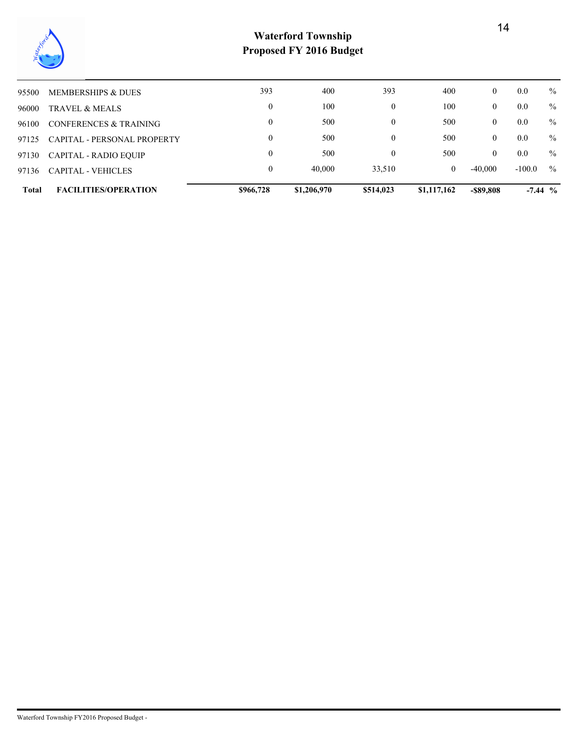

| 97136 | <b>CAPITAL - VEHICLES</b>          | 0                | 40,000 | 33,510           | $\mathbf{0}$ | $-40.000$      | $-100.0$ | $\%$ |
|-------|------------------------------------|------------------|--------|------------------|--------------|----------------|----------|------|
| 97130 | CAPITAL - RADIO EOUIP              | 0                | 500    |                  | 500          | 0              | 0.0      | $\%$ |
| 97125 | <b>CAPITAL - PERSONAL PROPERTY</b> | 0                | 500    | $\mathbf{0}$     | 500          | 0              | 0.0      | $\%$ |
| 96100 | CONFERENCES & TRAINING             | 0                | 500    | $\mathbf{0}$     | 500          | 0              | 0.0      | $\%$ |
| 96000 | TRAVEL & MEALS                     | $\boldsymbol{0}$ | 100    | $\boldsymbol{0}$ | 100          | $\overline{0}$ | 0.0      | $\%$ |
| 95500 | MEMBERSHIPS & DUES                 | 393              | 400    | 393              | 400          | $\overline{0}$ | 0.0      | $\%$ |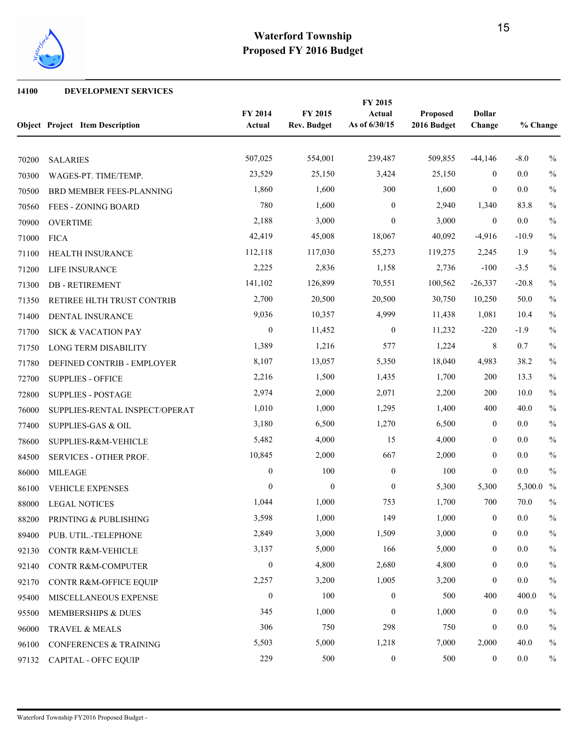

#### **DEVELOPMENT SERVICES**

|       | <b>Object Project Item Description</b> | FY 2014<br>Actual | FY 2015<br><b>Rev. Budget</b> | FY 2015<br>Actual<br>As of 6/30/15 | Proposed<br>2016 Budget | <b>Dollar</b><br>Change | % Change  |               |
|-------|----------------------------------------|-------------------|-------------------------------|------------------------------------|-------------------------|-------------------------|-----------|---------------|
| 70200 | <b>SALARIES</b>                        | 507,025           | 554,001                       | 239,487                            | 509,855                 | $-44,146$               | $-8.0$    | $\frac{0}{0}$ |
| 70300 | WAGES-PT. TIME/TEMP.                   | 23,529            | 25,150                        | 3,424                              | 25,150                  | $\overline{0}$          | 0.0       | $\frac{0}{0}$ |
| 70500 | BRD MEMBER FEES-PLANNING               | 1,860             | 1,600                         | 300                                | 1,600                   | $\mathbf{0}$            | 0.0       | $\frac{0}{0}$ |
| 70560 | FEES - ZONING BOARD                    | 780               | 1,600                         | $\mathbf{0}$                       | 2,940                   | 1,340                   | 83.8      | $\frac{0}{0}$ |
| 70900 | <b>OVERTIME</b>                        | 2,188             | 3,000                         | $\overline{0}$                     | 3,000                   | $\mathbf{0}$            | 0.0       | $\frac{0}{0}$ |
| 71000 | <b>FICA</b>                            | 42,419            | 45,008                        | 18,067                             | 40,092                  | $-4,916$                | $-10.9$   | $\frac{0}{0}$ |
| 71100 | HEALTH INSURANCE                       | 112,118           | 117,030                       | 55,273                             | 119,275                 | 2,245                   | 1.9       | $\frac{0}{0}$ |
| 71200 | LIFE INSURANCE                         | 2,225             | 2,836                         | 1,158                              | 2,736                   | $-100$                  | $-3.5$    | $\frac{0}{0}$ |
| 71300 | <b>DB-RETIREMENT</b>                   | 141,102           | 126,899                       | 70,551                             | 100,562                 | $-26,337$               | $-20.8$   | $\frac{0}{0}$ |
| 71350 | RETIREE HLTH TRUST CONTRIB             | 2,700             | 20,500                        | 20,500                             | 30,750                  | 10,250                  | 50.0      | $\%$          |
| 71400 | DENTAL INSURANCE                       | 9,036             | 10,357                        | 4,999                              | 11,438                  | 1,081                   | 10.4      | $\frac{0}{0}$ |
| 71700 | SICK & VACATION PAY                    | $\boldsymbol{0}$  | 11,452                        | $\mathbf{0}$                       | 11,232                  | $-220$                  | $-1.9$    | $\frac{0}{0}$ |
| 71750 | <b>LONG TERM DISABILITY</b>            | 1,389             | 1,216                         | 577                                | 1,224                   | 8                       | 0.7       | $\frac{0}{0}$ |
| 71780 | DEFINED CONTRIB - EMPLOYER             | 8,107             | 13,057                        | 5,350                              | 18,040                  | 4,983                   | 38.2      | $\frac{0}{0}$ |
| 72700 | <b>SUPPLIES - OFFICE</b>               | 2,216             | 1,500                         | 1,435                              | 1,700                   | 200                     | 13.3      | $\frac{0}{0}$ |
| 72800 | <b>SUPPLIES - POSTAGE</b>              | 2,974             | 2,000                         | 2,071                              | 2,200                   | 200                     | 10.0      | $\%$          |
| 76000 | SUPPLIES-RENTAL INSPECT/OPERAT         | 1,010             | 1,000                         | 1,295                              | 1,400                   | 400                     | 40.0      | $\frac{0}{0}$ |
| 77400 | <b>SUPPLIES-GAS &amp; OIL</b>          | 3,180             | 6,500                         | 1,270                              | 6,500                   | $\overline{0}$          | 0.0       | $\frac{0}{0}$ |
| 78600 | SUPPLIES-R&M-VEHICLE                   | 5,482             | 4,000                         | 15                                 | 4,000                   | $\mathbf{0}$            | 0.0       | $\frac{0}{0}$ |
| 84500 | SERVICES - OTHER PROF.                 | 10,845            | 2,000                         | 667                                | 2,000                   | $\overline{0}$          | 0.0       | $\%$          |
| 86000 | <b>MILEAGE</b>                         | $\boldsymbol{0}$  | 100                           | $\mathbf{0}$                       | 100                     | $\overline{0}$          | 0.0       | $\frac{0}{0}$ |
| 86100 | <b>VEHICLE EXPENSES</b>                | $\mathbf{0}$      | $\boldsymbol{0}$              | $\mathbf{0}$                       | 5,300                   | 5,300                   | 5,300.0 % |               |
| 88000 | <b>LEGAL NOTICES</b>                   | 1,044             | 1,000                         | 753                                | 1,700                   | 700                     | 70.0      | $\frac{0}{0}$ |
| 88200 | PRINTING & PUBLISHING                  | 3,598             | 1,000                         | 149                                | 1,000                   | $\boldsymbol{0}$        | 0.0       | $\frac{0}{0}$ |
| 89400 | PUB. UTIL.-TELEPHONE                   | 2,849             | 3,000                         | 1,509                              | 3,000                   | $\boldsymbol{0}$        | $0.0\,$   | $\frac{0}{0}$ |
| 92130 | <b>CONTR R&amp;M-VEHICLE</b>           | 3,137             | 5,000                         | 166                                | 5,000                   | $\boldsymbol{0}$        | $0.0\,$   | $\%$          |
| 92140 | CONTR R&M-COMPUTER                     | $\boldsymbol{0}$  | 4,800                         | 2,680                              | 4,800                   | $\boldsymbol{0}$        | 0.0       | $\%$          |
| 92170 | CONTR R&M-OFFICE EQUIP                 | 2,257             | 3,200                         | 1,005                              | 3,200                   | $\boldsymbol{0}$        | $0.0\,$   | $\%$          |
| 95400 | MISCELLANEOUS EXPENSE                  | $\boldsymbol{0}$  | 100                           | $\boldsymbol{0}$                   | 500                     | 400                     | 400.0     | $\frac{0}{0}$ |
| 95500 | MEMBERSHIPS & DUES                     | 345               | 1,000                         | $\mathbf{0}$                       | 1,000                   | $\mathbf{0}$            | 0.0       | $\%$          |
| 96000 | TRAVEL & MEALS                         | 306               | 750                           | 298                                | 750                     | $\boldsymbol{0}$        | 0.0       | $\%$          |
| 96100 | CONFERENCES & TRAINING                 | 5,503             | 5,000                         | 1,218                              | 7,000                   | 2,000                   | 40.0      | $\%$          |
| 97132 | <b>CAPITAL - OFFC EQUIP</b>            | 229               | 500                           | $\boldsymbol{0}$                   | 500                     | $\boldsymbol{0}$        | $0.0\,$   | $\%$          |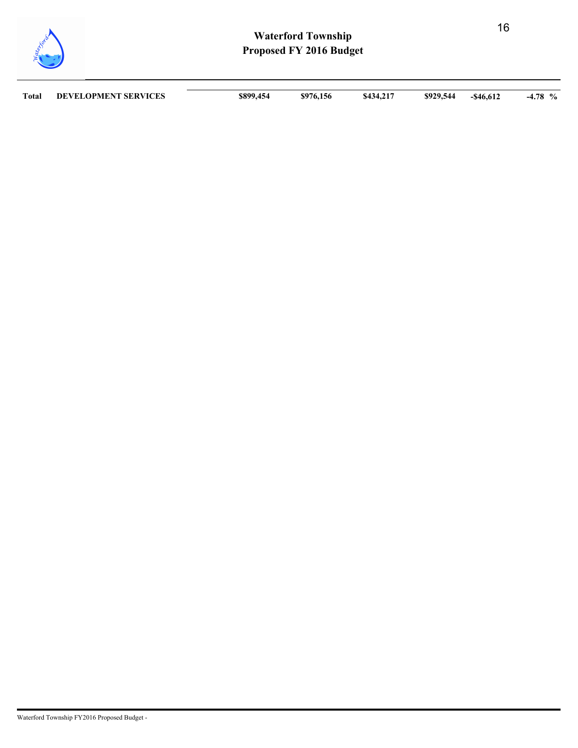

| Total | <b>DEVELOPMENT SERVICES</b> | \$899,454 | \$976,156 | \$434,217 | \$929,544 | $-$ \$46,612 | $-4.78$ % |
|-------|-----------------------------|-----------|-----------|-----------|-----------|--------------|-----------|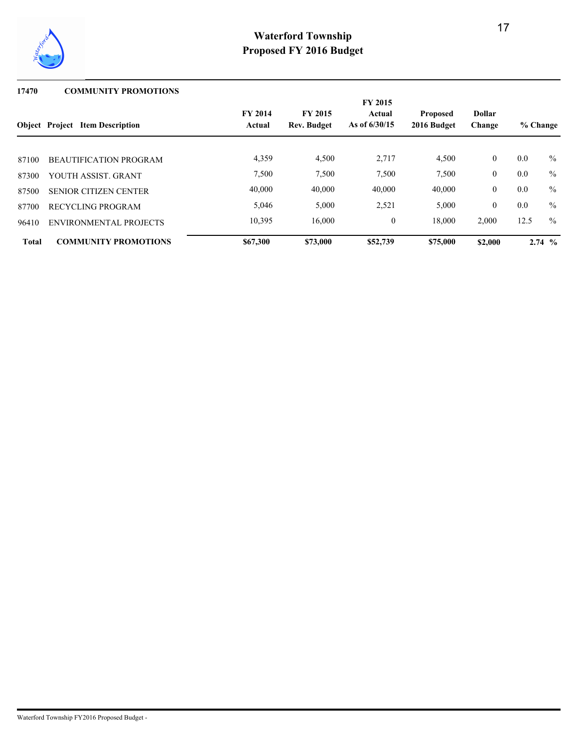

#### **17470 COMMUNITY PROMOTIONS**

|              |                                        |                          |                                      | <b>FY 2015</b>            |                                |                         |          |               |
|--------------|----------------------------------------|--------------------------|--------------------------------------|---------------------------|--------------------------------|-------------------------|----------|---------------|
|              | <b>Object</b> Project Item Description | <b>FY 2014</b><br>Actual | <b>FY 2015</b><br><b>Rev. Budget</b> | Actual<br>As of $6/30/15$ | <b>Proposed</b><br>2016 Budget | <b>Dollar</b><br>Change | % Change |               |
|              |                                        |                          |                                      |                           |                                |                         |          |               |
| 87100        | <b>BEAUTIFICATION PROGRAM</b>          | 4,359                    | 4,500                                | 2,717                     | 4,500                          | $\overline{0}$          | 0.0      | $\frac{0}{0}$ |
| 87300        | YOUTH ASSIST, GRANT                    | 7,500                    | 7,500                                | 7,500                     | 7,500                          | $\overline{0}$          | 0.0      | $\frac{0}{0}$ |
| 87500        | <b>SENIOR CITIZEN CENTER</b>           | 40,000                   | 40,000                               | 40,000                    | 40,000                         | $\overline{0}$          | 0.0      | $\frac{0}{0}$ |
| 87700        | RECYCLING PROGRAM                      | 5,046                    | 5,000                                | 2,521                     | 5,000                          | $\overline{0}$          | 0.0      | $\frac{0}{0}$ |
| 96410        | ENVIRONMENTAL PROJECTS                 | 10,395                   | 16,000                               | $\mathbf{0}$              | 18,000                         | 2,000                   | 12.5     | $\frac{0}{0}$ |
| <b>Total</b> | <b>COMMUNITY PROMOTIONS</b>            | \$67,300                 | \$73,000                             | \$52,739                  | \$75,000                       | \$2,000                 |          | $2.74\degree$ |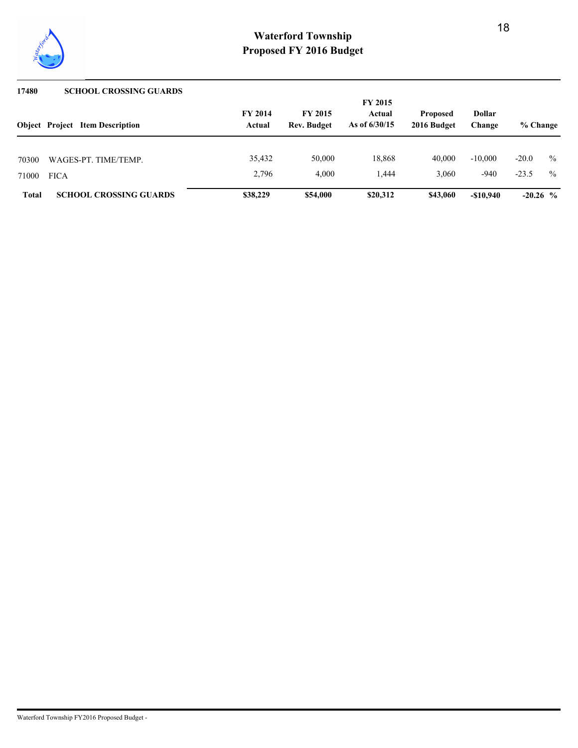

| 17480        | <b>SCHOOL CROSSING GUARDS</b>          |                          |                                      |                           |                                |                         |            |               |
|--------------|----------------------------------------|--------------------------|--------------------------------------|---------------------------|--------------------------------|-------------------------|------------|---------------|
|              |                                        |                          |                                      | <b>FY 2015</b>            |                                |                         |            |               |
|              | <b>Object</b> Project Item Description | <b>FY 2014</b><br>Actual | <b>FY 2015</b><br><b>Rev. Budget</b> | Actual<br>As of $6/30/15$ | <b>Proposed</b><br>2016 Budget | <b>Dollar</b><br>Change | % Change   |               |
|              |                                        |                          |                                      |                           |                                |                         |            |               |
| 70300        | WAGES-PT. TIME/TEMP.                   | 35,432                   | 50,000                               | 18,868                    | 40,000                         | $-10,000$               | $-20.0$    | $\frac{0}{0}$ |
| 71000        | <b>FICA</b>                            | 2,796                    | 4.000                                | 1.444                     | 3.060                          | $-940$                  | $-23.5$    | $\frac{0}{0}$ |
| <b>Total</b> | <b>SCHOOL CROSSING GUARDS</b>          | \$38,229                 | \$54,000                             | \$20,312                  | \$43,060                       | $-\$10.940$             | $-20.26$ % |               |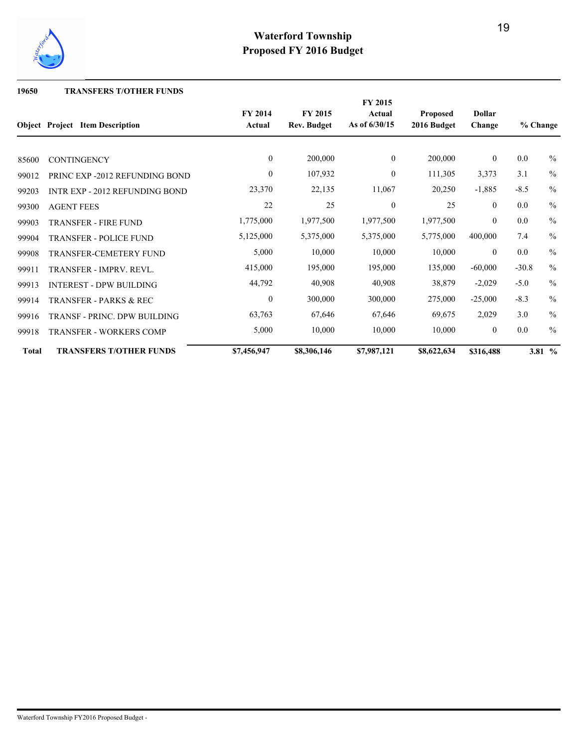

#### **19650 TRANSFERS T/OTHER FUNDS**

|              | <b>Object</b> Project Item Description | <b>FY 2014</b><br>Actual | <b>FY 2015</b><br><b>Rev. Budget</b> | FY 2015<br>Actual<br>As of 6/30/15 | <b>Proposed</b><br>2016 Budget | <b>Dollar</b><br>Change | % Change |               |
|--------------|----------------------------------------|--------------------------|--------------------------------------|------------------------------------|--------------------------------|-------------------------|----------|---------------|
|              |                                        |                          |                                      |                                    |                                |                         |          |               |
| 85600        | <b>CONTINGENCY</b>                     | $\mathbf{0}$             | 200,000                              | $\overline{0}$                     | 200,000                        | $\overline{0}$          | 0.0      | $\%$          |
| 99012        | PRINC EXP -2012 REFUNDING BOND         | $\boldsymbol{0}$         | 107,932                              | $\mathbf{0}$                       | 111,305                        | 3,373                   | 3.1      | $\frac{0}{0}$ |
| 99203        | <b>INTR EXP - 2012 REFUNDING BOND</b>  | 23,370                   | 22,135                               | 11,067                             | 20,250                         | $-1,885$                | $-8.5$   | $\frac{0}{0}$ |
| 99300        | <b>AGENT FEES</b>                      | 22                       | 25                                   | $\overline{0}$                     | 25                             | $\theta$                | 0.0      | $\frac{0}{0}$ |
| 99903        | <b>TRANSFER - FIRE FUND</b>            | 1,775,000                | 1,977,500                            | 1,977,500                          | 1,977,500                      | $\overline{0}$          | 0.0      | $\frac{0}{0}$ |
| 99904        | <b>TRANSFER - POLICE FUND</b>          | 5,125,000                | 5,375,000                            | 5,375,000                          | 5,775,000                      | 400,000                 | 7.4      | $\frac{0}{0}$ |
| 99908        | <b>TRANSFER-CEMETERY FUND</b>          | 5,000                    | 10,000                               | 10,000                             | 10,000                         | $\overline{0}$          | 0.0      | $\frac{0}{0}$ |
| 99911        | <b>TRANSFER - IMPRV. REVL.</b>         | 415,000                  | 195,000                              | 195,000                            | 135,000                        | $-60,000$               | $-30.8$  | $\frac{0}{0}$ |
| 99913        | <b>INTEREST - DPW BUILDING</b>         | 44,792                   | 40,908                               | 40,908                             | 38,879                         | $-2,029$                | $-5.0$   | $\frac{0}{0}$ |
| 99914        | <b>TRANSFER - PARKS &amp; REC</b>      | $\mathbf{0}$             | 300,000                              | 300,000                            | 275,000                        | $-25,000$               | $-8.3$   | $\frac{0}{0}$ |
| 99916        | <b>TRANSF - PRINC. DPW BUILDING</b>    | 63,763                   | 67,646                               | 67,646                             | 69,675                         | 2,029                   | 3.0      | $\frac{0}{0}$ |
| 99918        | <b>TRANSFER - WORKERS COMP</b>         | 5,000                    | 10,000                               | 10,000                             | 10,000                         | $\overline{0}$          | 0.0      | $\frac{0}{0}$ |
| <b>Total</b> | <b>TRANSFERS T/OTHER FUNDS</b>         | \$7,456,947              | \$8,306,146                          | \$7,987,121                        | \$8,622,634                    | \$316,488               |          | 3.81 %        |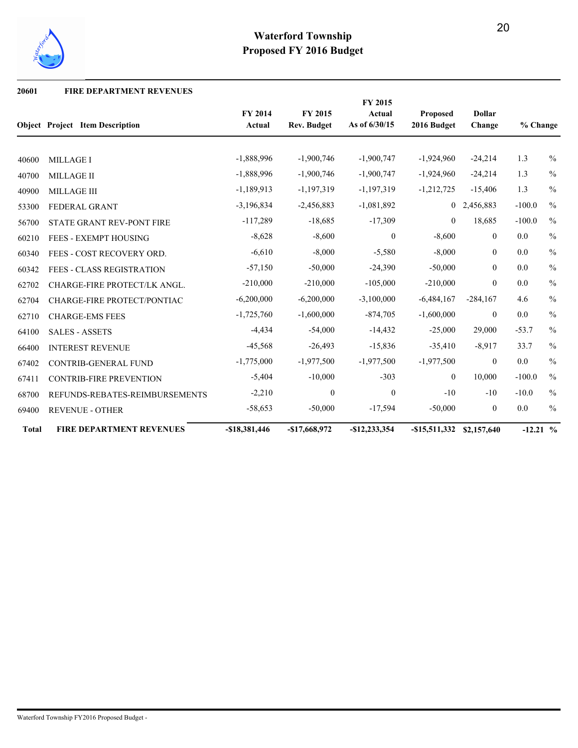

#### **20601 FIRE DEPARTMENT REVENUES**

|              |                                        |                   |                                      | FY 2015                 |                         |                         |            |               |
|--------------|----------------------------------------|-------------------|--------------------------------------|-------------------------|-------------------------|-------------------------|------------|---------------|
|              | <b>Object Project Item Description</b> | FY 2014<br>Actual | <b>FY 2015</b><br><b>Rev. Budget</b> | Actual<br>As of 6/30/15 | Proposed<br>2016 Budget | <b>Dollar</b><br>Change | % Change   |               |
|              |                                        |                   |                                      |                         |                         |                         |            |               |
| 40600        | <b>MILLAGE I</b>                       | $-1,888,996$      | $-1,900,746$                         | $-1,900,747$            | $-1,924,960$            | $-24,214$               | 1.3        | $\frac{0}{0}$ |
| 40700        | <b>MILLAGE II</b>                      | $-1,888,996$      | $-1,900,746$                         | $-1,900,747$            | $-1,924,960$            | $-24,214$               | 1.3        | $\%$          |
| 40900        | <b>MILLAGE III</b>                     | $-1,189,913$      | $-1,197,319$                         | $-1,197,319$            | $-1,212,725$            | $-15,406$               | 1.3        | $\frac{0}{0}$ |
| 53300        | FEDERAL GRANT                          | $-3,196,834$      | $-2,456,883$                         | $-1,081,892$            | $\overline{0}$          | 2,456,883               | $-100.0$   | $\%$          |
| 56700        | <b>STATE GRANT REV-PONT FIRE</b>       | $-117,289$        | $-18,685$                            | $-17,309$               | $\overline{0}$          | 18,685                  | $-100.0$   | $\frac{0}{0}$ |
| 60210        | <b>FEES - EXEMPT HOUSING</b>           | $-8,628$          | $-8,600$                             | $\mathbf{0}$            | $-8,600$                | $\overline{0}$          | 0.0        | $\%$          |
| 60340        | FEES - COST RECOVERY ORD.              | $-6,610$          | $-8,000$                             | $-5,580$                | $-8,000$                | $\overline{0}$          | 0.0        | $\frac{0}{0}$ |
| 60342        | <b>FEES - CLASS REGISTRATION</b>       | $-57,150$         | $-50,000$                            | $-24,390$               | $-50,000$               | $\overline{0}$          | 0.0        | $\frac{0}{0}$ |
| 62702        | CHARGE-FIRE PROTECT/LK ANGL.           | $-210,000$        | $-210,000$                           | $-105,000$              | $-210,000$              | $\theta$                | 0.0        | $\frac{0}{0}$ |
| 62704        | CHARGE-FIRE PROTECT/PONTIAC            | $-6,200,000$      | $-6,200,000$                         | $-3,100,000$            | $-6,484,167$            | $-284,167$              | 4.6        | $\frac{0}{0}$ |
| 62710        | <b>CHARGE-EMS FEES</b>                 | $-1,725,760$      | $-1,600,000$                         | $-874,705$              | $-1,600,000$            | $\overline{0}$          | 0.0        | $\%$          |
| 64100        | <b>SALES - ASSETS</b>                  | $-4,434$          | $-54,000$                            | $-14,432$               | $-25,000$               | 29,000                  | $-53.7$    | $\frac{0}{0}$ |
| 66400        | <b>INTEREST REVENUE</b>                | $-45,568$         | $-26,493$                            | $-15,836$               | $-35,410$               | $-8,917$                | 33.7       | $\frac{0}{0}$ |
| 67402        | <b>CONTRIB-GENERAL FUND</b>            | $-1,775,000$      | $-1,977,500$                         | $-1,977,500$            | $-1,977,500$            | $\overline{0}$          | 0.0        | $\frac{0}{0}$ |
| 67411        | <b>CONTRIB-FIRE PREVENTION</b>         | $-5,404$          | $-10,000$                            | $-303$                  | $\boldsymbol{0}$        | 10,000                  | $-100.0$   | $\frac{0}{0}$ |
| 68700        | REFUNDS-REBATES-REIMBURSEMENTS         | $-2,210$          | $\boldsymbol{0}$                     | $\mathbf{0}$            | $-10$                   | $-10$                   | $-10.0$    | $\frac{0}{0}$ |
| 69400        | <b>REVENUE - OTHER</b>                 | $-58,653$         | $-50,000$                            | $-17,594$               | $-50,000$               | $\overline{0}$          | 0.0        | $\frac{0}{0}$ |
| <b>Total</b> | <b>FIRE DEPARTMENT REVENUES</b>        | $-$18,381,446$    | $-$17,668,972$                       | $-$12,233,354$          | $-$ \$15,511,332        | \$2,157,640             | $-12.21$ % |               |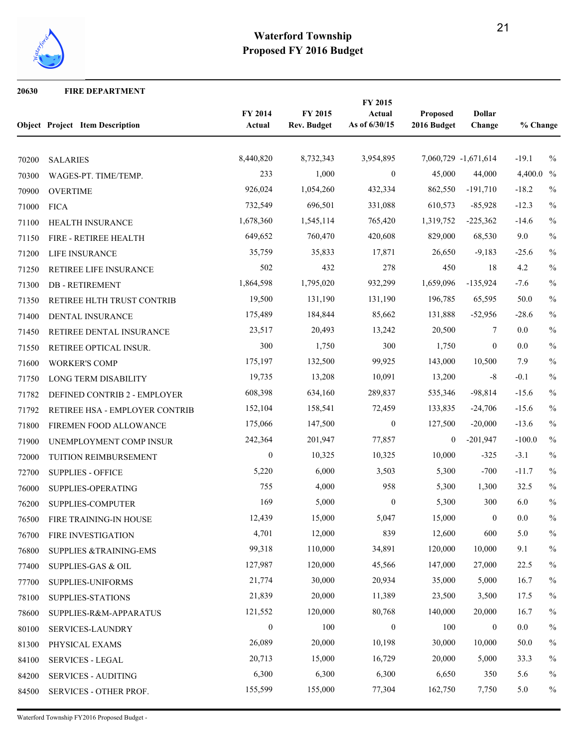

#### **FIRE DEPARTMENT**

|       | <b>Object Project Item Description</b> | FY 2014<br>Actual | FY 2015<br><b>Rev. Budget</b> | FY 2015<br>Actual<br>As of 6/30/15 | Proposed<br>2016 Budget | <b>Dollar</b><br>Change | % Change  |               |
|-------|----------------------------------------|-------------------|-------------------------------|------------------------------------|-------------------------|-------------------------|-----------|---------------|
| 70200 | <b>SALARIES</b>                        | 8,440,820         | 8,732,343                     | 3,954,895                          |                         | 7,060,729 -1,671,614    | $-19.1$   | $\frac{0}{0}$ |
| 70300 | WAGES-PT. TIME/TEMP.                   | 233               | 1,000                         | $\overline{0}$                     | 45,000                  | 44,000                  | 4,400.0 % |               |
| 70900 | <b>OVERTIME</b>                        | 926,024           | 1,054,260                     | 432,334                            | 862,550                 | $-191,710$              | $-18.2$   | $\%$          |
| 71000 | <b>FICA</b>                            | 732,549           | 696,501                       | 331,088                            | 610,573                 | $-85,928$               | $-12.3$   | $\%$          |
| 71100 | HEALTH INSURANCE                       | 1,678,360         | 1,545,114                     | 765,420                            | 1,319,752               | $-225,362$              | $-14.6$   | $\%$          |
| 71150 | FIRE - RETIREE HEALTH                  | 649,652           | 760,470                       | 420,608                            | 829,000                 | 68,530                  | 9.0       | $\%$          |
| 71200 | LIFE INSURANCE                         | 35,759            | 35,833                        | 17,871                             | 26,650                  | $-9,183$                | $-25.6$   | $\frac{0}{0}$ |
| 71250 | RETIREE LIFE INSURANCE                 | 502               | 432                           | 278                                | 450                     | 18                      | 4.2       | $\%$          |
| 71300 | <b>DB-RETIREMENT</b>                   | 1,864,598         | 1,795,020                     | 932,299                            | 1,659,096               | $-135,924$              | $-7.6$    | $\frac{0}{0}$ |
| 71350 | RETIREE HLTH TRUST CONTRIB             | 19,500            | 131,190                       | 131,190                            | 196,785                 | 65,595                  | 50.0      | $\frac{0}{0}$ |
| 71400 | DENTAL INSURANCE                       | 175,489           | 184,844                       | 85,662                             | 131,888                 | $-52,956$               | $-28.6$   | $\%$          |
| 71450 | RETIREE DENTAL INSURANCE               | 23,517            | 20,493                        | 13,242                             | 20,500                  | 7                       | 0.0       | $\%$          |
| 71550 | RETIREE OPTICAL INSUR.                 | 300               | 1,750                         | 300                                | 1,750                   | $\mathbf{0}$            | 0.0       | $\%$          |
| 71600 | <b>WORKER'S COMP</b>                   | 175,197           | 132,500                       | 99,925                             | 143,000                 | 10,500                  | 7.9       | $\%$          |
| 71750 | <b>LONG TERM DISABILITY</b>            | 19,735            | 13,208                        | 10,091                             | 13,200                  | $-8$                    | $-0.1$    | $\%$          |
| 71782 | DEFINED CONTRIB 2 - EMPLOYER           | 608,398           | 634,160                       | 289,837                            | 535,346                 | $-98,814$               | $-15.6$   | $\%$          |
| 71792 | RETIREE HSA - EMPLOYER CONTRIB         | 152,104           | 158,541                       | 72,459                             | 133,835                 | $-24,706$               | $-15.6$   | $\%$          |
| 71800 | FIREMEN FOOD ALLOWANCE                 | 175,066           | 147,500                       | $\overline{0}$                     | 127,500                 | $-20,000$               | $-13.6$   | $\%$          |
| 71900 | UNEMPLOYMENT COMP INSUR                | 242,364           | 201,947                       | 77,857                             | $\boldsymbol{0}$        | $-201,947$              | $-100.0$  | $\%$          |
| 72000 | TUITION REIMBURSEMENT                  | $\boldsymbol{0}$  | 10,325                        | 10,325                             | 10,000                  | $-325$                  | $-3.1$    | $\frac{0}{0}$ |
| 72700 | <b>SUPPLIES - OFFICE</b>               | 5,220             | 6,000                         | 3,503                              | 5,300                   | $-700$                  | $-11.7$   | $\frac{0}{0}$ |
| 76000 | SUPPLIES-OPERATING                     | 755               | 4,000                         | 958                                | 5,300                   | 1,300                   | 32.5      | $\%$          |
| 76200 | SUPPLIES-COMPUTER                      | 169               | 5,000                         | $\mathbf{0}$                       | 5,300                   | 300                     | 6.0       | $\frac{0}{0}$ |
| 76500 | FIRE TRAINING-IN HOUSE                 | 12,439            | 15,000                        | 5,047                              | 15,000                  | $\mathbf{0}$            | 0.0       | $\frac{0}{0}$ |
| 76700 | <b>FIRE INVESTIGATION</b>              | 4,701             | 12,000                        | 839                                | 12,600                  | 600                     | $5.0\,$   | $\%$          |
| 76800 | <b>SUPPLIES &amp;TRAINING-EMS</b>      | 99,318            | 110,000                       | 34,891                             | 120,000                 | 10,000                  | 9.1       | $\%$          |
| 77400 | <b>SUPPLIES-GAS &amp; OIL</b>          | 127,987           | 120,000                       | 45,566                             | 147,000                 | 27,000                  | 22.5      | $\%$          |
| 77700 | SUPPLIES-UNIFORMS                      | 21,774            | 30,000                        | 20,934                             | 35,000                  | 5,000                   | 16.7      | $\%$          |
| 78100 | SUPPLIES-STATIONS                      | 21,839            | 20,000                        | 11,389                             | 23,500                  | 3,500                   | 17.5      | $\%$          |
| 78600 | SUPPLIES-R&M-APPARATUS                 | 121,552           | 120,000                       | 80,768                             | 140,000                 | 20,000                  | 16.7      | $\%$          |
| 80100 | SERVICES-LAUNDRY                       | $\boldsymbol{0}$  | 100                           | $\bf{0}$                           | 100                     | $\boldsymbol{0}$        | 0.0       | $\%$          |
| 81300 | PHYSICAL EXAMS                         | 26,089            | 20,000                        | 10,198                             | 30,000                  | 10,000                  | 50.0      | $\%$          |
| 84100 | <b>SERVICES - LEGAL</b>                | 20,713            | 15,000                        | 16,729                             | 20,000                  | 5,000                   | 33.3      | $\%$          |
| 84200 | <b>SERVICES - AUDITING</b>             | 6,300             | 6,300                         | 6,300                              | 6,650                   | 350                     | 5.6       | $\%$          |
| 84500 | SERVICES - OTHER PROF.                 | 155,599           | 155,000                       | 77,304                             | 162,750                 | 7,750                   | 5.0       | $\%$          |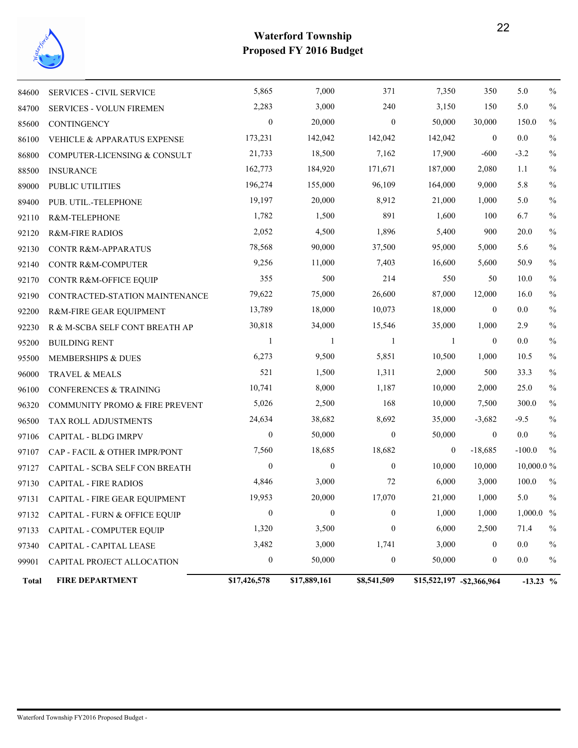

| <b>Total</b> | <b>FIRE DEPARTMENT</b>                   | \$17,426,578     | \$17,889,161     | \$8,541,509      | \$15,522,197 - \$2,366,964 |                  | $-13.23$ %   |               |
|--------------|------------------------------------------|------------------|------------------|------------------|----------------------------|------------------|--------------|---------------|
| 99901        | CAPITAL PROJECT ALLOCATION               | $\boldsymbol{0}$ | 50,000           | $\boldsymbol{0}$ | 50,000                     | $\boldsymbol{0}$ | $0.0\,$      | $\%$          |
| 97340        | CAPITAL - CAPITAL LEASE                  | 3,482            | 3,000            | 1,741            | 3,000                      | $\boldsymbol{0}$ | $0.0\,$      | $\%$          |
| 97133        | CAPITAL - COMPUTER EQUIP                 | 1,320            | 3,500            | $\boldsymbol{0}$ | 6,000                      | 2,500            | 71.4         | $\%$          |
| 97132        | <b>CAPITAL - FURN &amp; OFFICE EQUIP</b> | $\boldsymbol{0}$ | $\boldsymbol{0}$ | $\boldsymbol{0}$ | 1,000                      | 1,000            | $1,000.0~\%$ |               |
| 97131        | CAPITAL - FIRE GEAR EQUIPMENT            | 19,953           | 20,000           | 17,070           | 21,000                     | 1,000            | 5.0          | $\frac{0}{0}$ |
| 97130        | <b>CAPITAL - FIRE RADIOS</b>             | 4,846            | 3,000            | 72               | 6,000                      | 3,000            | 100.0        | $\frac{0}{0}$ |
| 97127        | CAPITAL - SCBA SELF CON BREATH           | $\boldsymbol{0}$ | $\boldsymbol{0}$ | $\boldsymbol{0}$ | 10,000                     | 10,000           | $10,000.0\%$ |               |
| 97107        | CAP - FACIL & OTHER IMPR/PONT            | 7,560            | 18,685           | 18,682           | $\mathbf{0}$               | $-18,685$        | $-100.0$     | $\frac{0}{0}$ |
| 97106        | CAPITAL - BLDG IMRPV                     | $\boldsymbol{0}$ | 50,000           | $\overline{0}$   | 50,000                     | $\mathbf{0}$     | $0.0\,$      | $\%$          |
| 96500        | TAX ROLL ADJUSTMENTS                     | 24,634           | 38,682           | 8,692            | 35,000                     | $-3,682$         | $-9.5$       | $\frac{0}{0}$ |
| 96320        | COMMUNITY PROMO & FIRE PREVENT           | 5,026            | 2,500            | 168              | 10,000                     | 7,500            | 300.0        | $\frac{0}{0}$ |
| 96100        | <b>CONFERENCES &amp; TRAINING</b>        | 10,741           | 8,000            | 1,187            | 10,000                     | 2,000            | 25.0         | $\frac{0}{0}$ |
| 96000        | TRAVEL & MEALS                           | 521              | 1,500            | 1,311            | 2,000                      | 500              | 33.3         | $\%$          |
| 95500        | MEMBERSHIPS & DUES                       | 6,273            | 9,500            | 5,851            | 10,500                     | 1,000            | 10.5         | $\frac{0}{0}$ |
| 95200        | <b>BUILDING RENT</b>                     | 1                | -1               | -1               | -1                         | $\boldsymbol{0}$ | $0.0\,$      | $\frac{0}{0}$ |
| 92230        | R & M-SCBA SELF CONT BREATH AP           | 30,818           | 34,000           | 15,546           | 35,000                     | 1,000            | 2.9          | $\frac{0}{0}$ |
| 92200        | R&M-FIRE GEAR EQUIPMENT                  | 13,789           | 18,000           | 10,073           | 18,000                     | $\boldsymbol{0}$ | 0.0          | $\frac{0}{0}$ |
| 92190        | CONTRACTED-STATION MAINTENANCE           | 79,622           | 75,000           | 26,600           | 87,000                     | 12,000           | 16.0         | $\%$          |
| 92170        | CONTR R&M-OFFICE EQUIP                   | 355              | 500              | 214              | 550                        | 50               | 10.0         | $\%$          |
| 92140        | CONTR R&M-COMPUTER                       | 9,256            | 11,000           | 7,403            | 16,600                     | 5,600            | 50.9         | $\%$          |
| 92130        | <b>CONTR R&amp;M-APPARATUS</b>           | 78,568           | 90,000           | 37,500           | 95,000                     | 5,000            | 5.6          | $\%$          |
| 92120        | <b>R&amp;M-FIRE RADIOS</b>               | 2,052            | 4,500            | 1,896            | 5,400                      | 900              | 20.0         | $\%$          |
| 92110        | R&M-TELEPHONE                            | 1,782            | 1,500            | 891              | 1,600                      | 100              | 6.7          | $\frac{0}{0}$ |
| 89400        | PUB. UTIL.-TELEPHONE                     | 19,197           | 20,000           | 8,912            | 21,000                     | 1,000            | 5.0          | $\frac{0}{0}$ |
| 89000        | PUBLIC UTILITIES                         | 196,274          | 155,000          | 96,109           | 164,000                    | 9,000            | 5.8          | $\frac{0}{0}$ |
| 88500        | <b>INSURANCE</b>                         | 162,773          | 184,920          | 171,671          | 187,000                    | 2,080            | 1.1          | $\frac{0}{0}$ |
| 86800        | COMPUTER-LICENSING & CONSULT             | 21,733           | 18,500           | 7,162            | 17,900                     | $-600$           | $-3.2$       | $\frac{0}{0}$ |
| 86100        | <b>VEHICLE &amp; APPARATUS EXPENSE</b>   | 173,231          | 142,042          | 142,042          | 142,042                    | $\mathbf{0}$     | $0.0\,$      | $\frac{0}{0}$ |
| 85600        | <b>CONTINGENCY</b>                       | $\boldsymbol{0}$ | 20,000           | $\boldsymbol{0}$ | 50,000                     | 30,000           | 150.0        | $\frac{0}{0}$ |
| 84700        | <b>SERVICES - VOLUN FIREMEN</b>          | 2,283            | 3,000            | 240              | 3,150                      | 150              | 5.0          | $\frac{0}{0}$ |
| 84600        | <b>SERVICES - CIVIL SERVICE</b>          | 5,865            | 7,000            | 371              | 7,350                      | 350              | 5.0          | $\frac{0}{0}$ |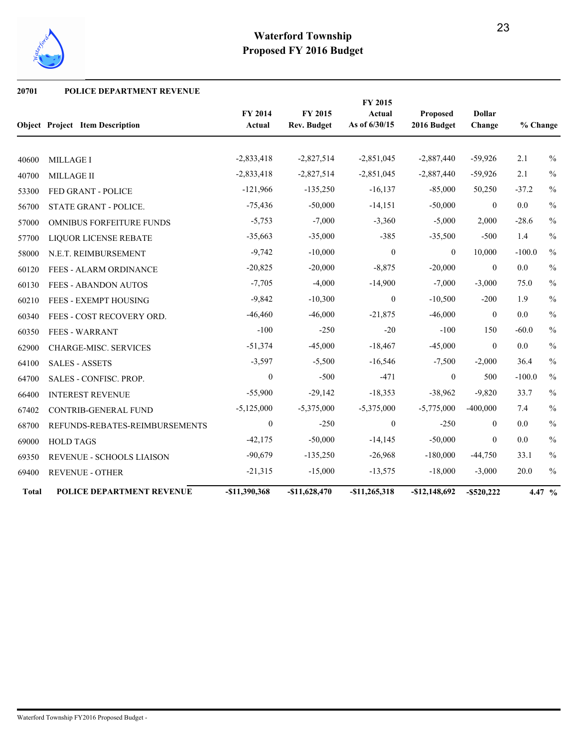

#### **20701 POLICE DEPARTMENT REVENUE**

|              |                                        |                          |                               | FY 2015                 |                         |                         |          |               |
|--------------|----------------------------------------|--------------------------|-------------------------------|-------------------------|-------------------------|-------------------------|----------|---------------|
|              | <b>Object Project Item Description</b> | FY 2014<br><b>Actual</b> | FY 2015<br><b>Rev. Budget</b> | Actual<br>As of 6/30/15 | Proposed<br>2016 Budget | <b>Dollar</b><br>Change | % Change |               |
|              |                                        |                          |                               |                         |                         |                         |          |               |
| 40600        | <b>MILLAGE I</b>                       | $-2,833,418$             | $-2,827,514$                  | $-2,851,045$            | $-2,887,440$            | $-59,926$               | 2.1      | $\frac{0}{0}$ |
| 40700        | MILLAGE II                             | $-2,833,418$             | $-2,827,514$                  | $-2,851,045$            | $-2,887,440$            | $-59,926$               | 2.1      | $\%$          |
| 53300        | FED GRANT - POLICE                     | $-121,966$               | $-135,250$                    | $-16,137$               | $-85,000$               | 50,250                  | $-37.2$  | $\frac{0}{0}$ |
| 56700        | STATE GRANT - POLICE.                  | $-75,436$                | $-50,000$                     | $-14,151$               | $-50,000$               | $\mathbf{0}$            | 0.0      | $\%$          |
| 57000        | <b>OMNIBUS FORFEITURE FUNDS</b>        | $-5,753$                 | $-7,000$                      | $-3,360$                | $-5,000$                | 2,000                   | $-28.6$  | $\%$          |
| 57700        | <b>LIQUOR LICENSE REBATE</b>           | $-35,663$                | $-35,000$                     | $-385$                  | $-35,500$               | $-500$                  | 1.4      | $\frac{0}{0}$ |
| 58000        | N.E.T. REIMBURSEMENT                   | $-9,742$                 | $-10,000$                     | $\mathbf{0}$            | $\overline{0}$          | 10,000                  | $-100.0$ | $\frac{0}{0}$ |
| 60120        | <b>FEES - ALARM ORDINANCE</b>          | $-20,825$                | $-20,000$                     | $-8,875$                | $-20,000$               | $\boldsymbol{0}$        | 0.0      | $\%$          |
| 60130        | FEES - ABANDON AUTOS                   | $-7,705$                 | $-4,000$                      | $-14,900$               | $-7,000$                | $-3,000$                | 75.0     | $\%$          |
| 60210        | FEES - EXEMPT HOUSING                  | $-9,842$                 | $-10,300$                     | $\theta$                | $-10,500$               | $-200$                  | 1.9      | $\frac{0}{0}$ |
| 60340        | FEES - COST RECOVERY ORD.              | $-46,460$                | $-46,000$                     | $-21,875$               | $-46,000$               | $\boldsymbol{0}$        | 0.0      | $\%$          |
| 60350        | <b>FEES - WARRANT</b>                  | $-100$                   | $-250$                        | $-20$                   | $-100$                  | 150                     | $-60.0$  | $\%$          |
| 62900        | <b>CHARGE-MISC. SERVICES</b>           | $-51,374$                | $-45,000$                     | $-18,467$               | $-45,000$               | $\mathbf{0}$            | 0.0      | $\frac{0}{0}$ |
| 64100        | <b>SALES - ASSETS</b>                  | $-3,597$                 | $-5,500$                      | $-16,546$               | $-7,500$                | $-2,000$                | 36.4     | $\%$          |
| 64700        | SALES - CONFISC. PROP.                 | $\boldsymbol{0}$         | $-500$                        | $-471$                  | $\mathbf{0}$            | 500                     | $-100.0$ | $\%$          |
| 66400        | <b>INTEREST REVENUE</b>                | $-55,900$                | $-29,142$                     | $-18,353$               | $-38,962$               | $-9,820$                | 33.7     | $\frac{0}{0}$ |
| 67402        | <b>CONTRIB-GENERAL FUND</b>            | $-5,125,000$             | $-5,375,000$                  | $-5,375,000$            | $-5,775,000$            | $-400,000$              | 7.4      | $\%$          |
| 68700        | REFUNDS-REBATES-REIMBURSEMENTS         | $\boldsymbol{0}$         | $-250$                        | $\mathbf{0}$            | $-250$                  | $\overline{0}$          | 0.0      | $\%$          |
| 69000        | <b>HOLD TAGS</b>                       | $-42,175$                | $-50,000$                     | $-14,145$               | $-50,000$               | $\mathbf{0}$            | 0.0      | $\frac{0}{0}$ |
| 69350        | REVENUE - SCHOOLS LIAISON              | $-90,679$                | $-135,250$                    | $-26,968$               | $-180,000$              | $-44,750$               | 33.1     | $\frac{0}{0}$ |
| 69400        | <b>REVENUE - OTHER</b>                 | $-21,315$                | $-15,000$                     | $-13,575$               | $-18,000$               | $-3,000$                | 20.0     | $\%$          |
| <b>Total</b> | POLICE DEPARTMENT REVENUE              | -\$11,390,368            | $-$11,628,470$                | $-$11,265,318$          | $-$12,148,692$          | $-$ \$520,222           |          | 4.47 %        |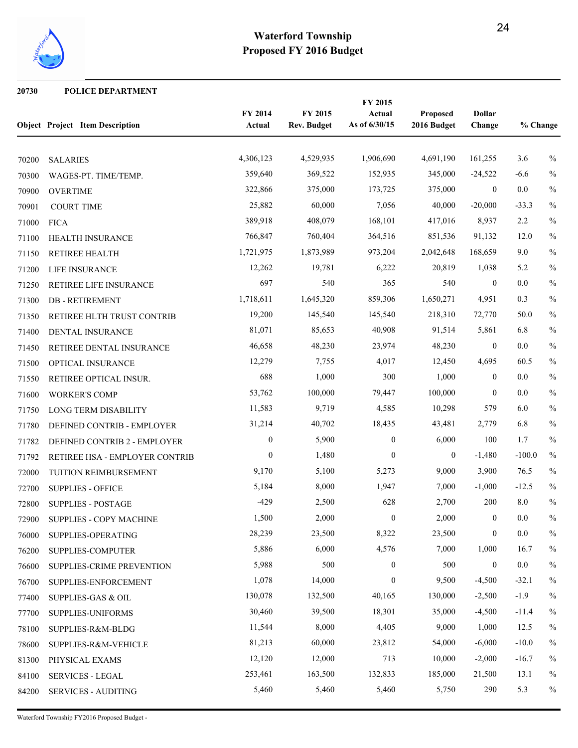

#### **POLICE DEPARTMENT**

|       | <b>Object Project Item Description</b> | FY 2014<br>Actual | FY 2015<br><b>Rev. Budget</b> | FY 2015<br>Actual<br>As of 6/30/15 | Proposed<br>2016 Budget | <b>Dollar</b><br>Change | % Change |               |
|-------|----------------------------------------|-------------------|-------------------------------|------------------------------------|-------------------------|-------------------------|----------|---------------|
| 70200 | <b>SALARIES</b>                        | 4,306,123         | 4,529,935                     | 1,906,690                          | 4,691,190               | 161,255                 | 3.6      | $\frac{0}{0}$ |
| 70300 | WAGES-PT. TIME/TEMP.                   | 359,640           | 369,522                       | 152,935                            | 345,000                 | $-24,522$               | $-6.6$   | $\%$          |
| 70900 | <b>OVERTIME</b>                        | 322,866           | 375,000                       | 173,725                            | 375,000                 | $\boldsymbol{0}$        | $0.0\,$  | $\%$          |
| 70901 | <b>COURT TIME</b>                      | 25,882            | 60,000                        | 7,056                              | 40,000                  | $-20,000$               | $-33.3$  | $\%$          |
| 71000 | <b>FICA</b>                            | 389,918           | 408,079                       | 168,101                            | 417,016                 | 8,937                   | 2.2      | $\%$          |
| 71100 | HEALTH INSURANCE                       | 766,847           | 760,404                       | 364,516                            | 851,536                 | 91,132                  | 12.0     | $\%$          |
| 71150 | RETIREE HEALTH                         | 1,721,975         | 1,873,989                     | 973,204                            | 2,042,648               | 168,659                 | 9.0      | $\frac{0}{0}$ |
| 71200 | LIFE INSURANCE                         | 12,262            | 19,781                        | 6,222                              | 20,819                  | 1,038                   | 5.2      | $\%$          |
| 71250 | RETIREE LIFE INSURANCE                 | 697               | 540                           | 365                                | 540                     | $\mathbf{0}$            | $0.0\,$  | $\%$          |
| 71300 | <b>DB-RETIREMENT</b>                   | 1,718,611         | 1,645,320                     | 859,306                            | 1,650,271               | 4,951                   | 0.3      | $\%$          |
| 71350 | RETIREE HLTH TRUST CONTRIB             | 19,200            | 145,540                       | 145,540                            | 218,310                 | 72,770                  | 50.0     | $\%$          |
| 71400 | DENTAL INSURANCE                       | 81,071            | 85,653                        | 40,908                             | 91,514                  | 5,861                   | 6.8      | $\frac{0}{0}$ |
| 71450 | RETIREE DENTAL INSURANCE               | 46,658            | 48,230                        | 23,974                             | 48,230                  | $\boldsymbol{0}$        | 0.0      | $\%$          |
| 71500 | OPTICAL INSURANCE                      | 12,279            | 7,755                         | 4,017                              | 12,450                  | 4,695                   | 60.5     | $\%$          |
| 71550 | RETIREE OPTICAL INSUR.                 | 688               | 1,000                         | 300                                | 1,000                   | $\mathbf{0}$            | 0.0      | $\%$          |
| 71600 | <b>WORKER'S COMP</b>                   | 53,762            | 100,000                       | 79,447                             | 100,000                 | $\boldsymbol{0}$        | 0.0      | $\%$          |
| 71750 | LONG TERM DISABILITY                   | 11,583            | 9,719                         | 4,585                              | 10,298                  | 579                     | 6.0      | $\%$          |
| 71780 | DEFINED CONTRIB - EMPLOYER             | 31,214            | 40,702                        | 18,435                             | 43,481                  | 2,779                   | 6.8      | $\%$          |
| 71782 | DEFINED CONTRIB 2 - EMPLOYER           | $\boldsymbol{0}$  | 5,900                         | $\boldsymbol{0}$                   | 6,000                   | 100                     | 1.7      | $\%$          |
| 71792 | RETIREE HSA - EMPLOYER CONTRIB         | $\boldsymbol{0}$  | 1,480                         | $\overline{0}$                     | $\mathbf{0}$            | $-1,480$                | $-100.0$ | $\%$          |
| 72000 | TUITION REIMBURSEMENT                  | 9,170             | 5,100                         | 5,273                              | 9,000                   | 3,900                   | 76.5     | $\%$          |
| 72700 | <b>SUPPLIES - OFFICE</b>               | 5,184             | 8,000                         | 1,947                              | 7,000                   | $-1,000$                | $-12.5$  | $\%$          |
| 72800 | <b>SUPPLIES - POSTAGE</b>              | $-429$            | 2,500                         | 628                                | 2,700                   | 200                     | $8.0\,$  | $\frac{0}{0}$ |
| 72900 | SUPPLIES - COPY MACHINE                | 1,500             | 2,000                         | $\boldsymbol{0}$                   | 2,000                   | $\boldsymbol{0}$        | 0.0      | $\frac{0}{0}$ |
| 76000 | SUPPLIES-OPERATING                     | 28,239            | 23,500                        | 8,322                              | 23,500                  | $\boldsymbol{0}$        | $0.0\,$  | $\%$          |
| 76200 | SUPPLIES-COMPUTER                      | 5,886             | 6,000                         | 4,576                              | 7,000                   | 1,000                   | 16.7     | $\%$          |
| 76600 | SUPPLIES-CRIME PREVENTION              | 5,988             | 500                           | $\boldsymbol{0}$                   | 500                     | $\boldsymbol{0}$        | $0.0\,$  | $\%$          |
| 76700 | SUPPLIES-ENFORCEMENT                   | 1,078             | 14,000                        | $\boldsymbol{0}$                   | 9,500                   | $-4,500$                | $-32.1$  | $\%$          |
| 77400 | <b>SUPPLIES-GAS &amp; OIL</b>          | 130,078           | 132,500                       | 40,165                             | 130,000                 | $-2,500$                | $-1.9$   | $\%$          |
| 77700 | SUPPLIES-UNIFORMS                      | 30,460            | 39,500                        | 18,301                             | 35,000                  | $-4,500$                | $-11.4$  | $\frac{0}{0}$ |
| 78100 | SUPPLIES-R&M-BLDG                      | 11,544            | 8,000                         | 4,405                              | 9,000                   | 1,000                   | 12.5     | $\%$          |
| 78600 | SUPPLIES-R&M-VEHICLE                   | 81,213            | 60,000                        | 23,812                             | 54,000                  | $-6,000$                | $-10.0$  | $\%$          |
| 81300 | PHYSICAL EXAMS                         | 12,120            | 12,000                        | 713                                | 10,000                  | $-2,000$                | $-16.7$  | $\%$          |
| 84100 | <b>SERVICES - LEGAL</b>                | 253,461           | 163,500                       | 132,833                            | 185,000                 | 21,500                  | 13.1     | $\%$          |
| 84200 | <b>SERVICES - AUDITING</b>             | 5,460             | 5,460                         | 5,460                              | 5,750                   | 290                     | 5.3      | $\%$          |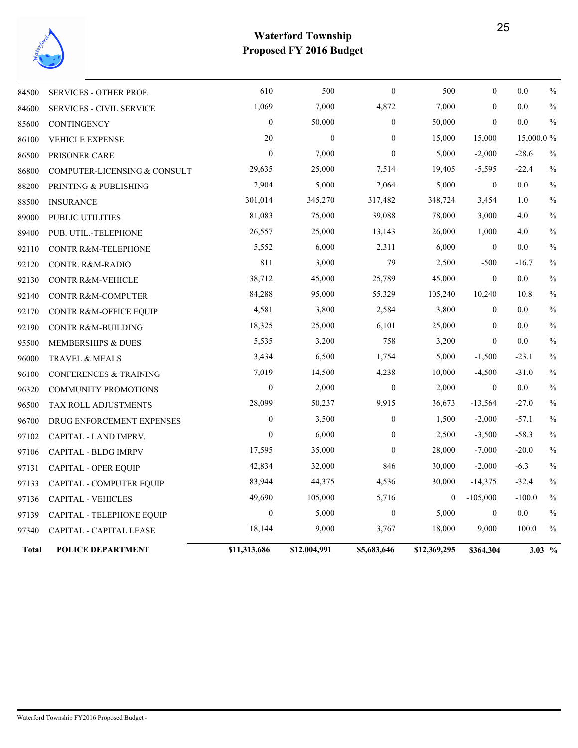

| <b>Total</b>   | <b>POLICE DEPARTMENT</b>                     | \$11,313,686     | \$12,004,991     | \$5,683,646               | \$12,369,295   | \$364,304                        |            | 3.03 $%$              |
|----------------|----------------------------------------------|------------------|------------------|---------------------------|----------------|----------------------------------|------------|-----------------------|
| 97340          | CAPITAL - CAPITAL LEASE                      | 18,144           | 9,000            | 3,767                     | 18,000         | 9,000                            | 100.0      | $\frac{0}{0}$         |
| 97139          | <b>CAPITAL - TELEPHONE EQUIP</b>             | $\boldsymbol{0}$ | 5,000            | $\boldsymbol{0}$          | 5,000          | $\boldsymbol{0}$                 | 0.0        | $\frac{0}{0}$         |
| 97136          | <b>CAPITAL - VEHICLES</b>                    | 49,690           | 105,000          | 5,716                     | $\overline{0}$ | $-105,000$                       | $-100.0$   | $\frac{0}{0}$         |
| 97133          | CAPITAL - COMPUTER EQUIP                     | 83,944           | 44,375           | 4,536                     | 30,000         | $-14,375$                        | $-32.4$    | $\frac{0}{0}$         |
| 97131          | CAPITAL - OPER EQUIP                         | 42,834           | 32,000           | 846                       | 30,000         | $-2,000$                         | $-6.3$     | $\frac{0}{0}$         |
| 97106          | CAPITAL - BLDG IMRPV                         | 17,595           | 35,000           | $\theta$                  | 28,000         | $-7,000$                         | $-20.0$    | $\frac{0}{0}$         |
| 97102          | CAPITAL - LAND IMPRV.                        | $\overline{0}$   | 6,000            | $\boldsymbol{0}$          | 2,500          | $-3,500$                         | $-58.3$    | $\frac{0}{0}$         |
| 96700          | DRUG ENFORCEMENT EXPENSES                    | $\mathbf{0}$     | 3,500            | $\boldsymbol{0}$          | 1,500          | $-2,000$                         | $-57.1$    | $\frac{0}{0}$         |
| 96500          | TAX ROLL ADJUSTMENTS                         | 28,099           | 50,237           | 9,915                     | 36,673         | $-13,564$                        | $-27.0$    | $\frac{0}{0}$         |
| 96320          | <b>COMMUNITY PROMOTIONS</b>                  | $\boldsymbol{0}$ | 2,000            | $\boldsymbol{0}$          | 2,000          | $\boldsymbol{0}$                 | $0.0\,$    | $\frac{0}{0}$         |
| 96100          | <b>CONFERENCES &amp; TRAINING</b>            | 7,019            | 14,500           | 4,238                     | 10,000         | $-4,500$                         | $-31.0$    | $\%$                  |
| 96000          | TRAVEL & MEALS                               | 3,434            | 6,500            | 1,754                     | 5,000          | $-1,500$                         | $-23.1$    | $\frac{0}{0}$         |
| 95500          | MEMBERSHIPS & DUES                           | 5,535            | 3,200            | 758                       | 3,200          | $\theta$                         | 0.0        | $\frac{0}{0}$         |
| 92190          | <b>CONTR R&amp;M-BUILDING</b>                | 18,325           | 25,000           | 6,101                     | 25,000         | $\mathbf{0}$                     | 0.0        | $\frac{0}{0}$         |
| 92170          | CONTR R&M-OFFICE EQUIP                       | 4,581            | 3,800            | 2,584                     | 3,800          | $\mathbf{0}$                     | $0.0\,$    | $\frac{0}{0}$         |
| 92140          | CONTR R&M-COMPUTER                           | 84,288           | 95,000           | 55,329                    | 105,240        | 10,240                           | 10.8       | $\frac{0}{0}$         |
| 92130          | <b>CONTR R&amp;M-VEHICLE</b>                 | 38,712           | 45,000           | 25,789                    | 45,000         | $\theta$                         | 0.0        | $\frac{0}{0}$         |
| 92120          | <b>CONTR. R&amp;M-RADIO</b>                  | 811              | 3,000            | 79                        | 2,500          | $-500$                           | $-16.7$    | $\frac{0}{0}$         |
| 92110          | <b>CONTR R&amp;M-TELEPHONE</b>               | 5,552            | 6,000            | 2,311                     | 6,000          | $\boldsymbol{0}$                 | 0.0        | $\frac{0}{0}$         |
| 89400          | PUB. UTIL.-TELEPHONE                         | 26,557           | 25,000           | 13,143                    | 26,000         | 1,000                            | 4.0        | $\frac{0}{0}$         |
| 89000          | PUBLIC UTILITIES                             | 81,083           | 75,000           | 39,088                    | 78,000         | 3,000                            | 4.0        | $\frac{0}{0}$         |
| 88500          | <b>INSURANCE</b>                             | 301,014          | 345,270          | 317,482                   | 348,724        | 3,454                            | 1.0        | $\frac{0}{0}$         |
| 88200          | PRINTING & PUBLISHING                        | 2,904            | 5,000            | 2,064                     | 5,000          | $\boldsymbol{0}$                 | $0.0\,$    | $\frac{0}{0}$         |
| 86800          | COMPUTER-LICENSING & CONSULT                 | 29,635           | 25,000           | 7,514                     | 19,405         | $-5,595$                         | $-22.4$    | $\%$                  |
| 86500          | PRISONER CARE                                | $\mathbf{0}$     | 7,000            | $\theta$                  | 5,000          | $-2,000$                         | $-28.6$    | $\frac{0}{0}$         |
| 85600<br>86100 | <b>CONTINGENCY</b><br><b>VEHICLE EXPENSE</b> | 20               | $\boldsymbol{0}$ | $\mathbf{0}$              | 15,000         | 15,000                           | 15,000.0%  |                       |
| 84600          | <b>SERVICES - CIVIL SERVICE</b>              | $\boldsymbol{0}$ | 50,000           | $\boldsymbol{0}$          | 50,000         | $\mathbf{0}$                     | 0.0        | $\frac{0}{0}$         |
| 84500          | <b>SERVICES - OTHER PROF.</b>                | 610<br>1,069     | 500<br>7,000     | $\boldsymbol{0}$<br>4,872 | 500<br>7,000   | $\boldsymbol{0}$<br>$\mathbf{0}$ | 0.0<br>0.0 | $\frac{0}{0}$<br>$\%$ |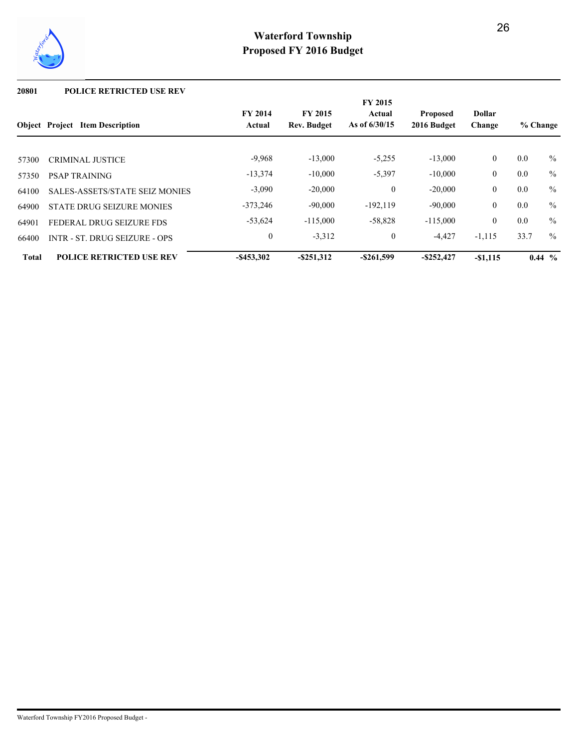

#### **20801 POLICE RETRICTED USE REV**

|              |                                        |                          |                                      | <b>FY 2015</b>            |                                |                         |          |          |
|--------------|----------------------------------------|--------------------------|--------------------------------------|---------------------------|--------------------------------|-------------------------|----------|----------|
|              | <b>Object</b> Project Item Description | <b>FY 2014</b><br>Actual | <b>FY 2015</b><br><b>Rev. Budget</b> | Actual<br>As of $6/30/15$ | <b>Proposed</b><br>2016 Budget | <b>Dollar</b><br>Change | % Change |          |
|              |                                        | $-9.968$                 | $-13,000$                            | $-5,255$                  | $-13,000$                      | $\overline{0}$          | 0.0      | $\%$     |
| 57300        | <b>CRIMINAL JUSTICE</b>                |                          |                                      |                           |                                |                         |          |          |
| 57350        | <b>PSAP TRAINING</b>                   | $-13,374$                | $-10,000$                            | $-5,397$                  | $-10,000$                      | $\mathbf{0}$            | 0.0      | $\%$     |
| 64100        | <b>SALES-ASSETS/STATE SEIZ MONIES</b>  | $-3,090$                 | $-20,000$                            | $\mathbf{0}$              | $-20,000$                      | $\mathbf{0}$            | 0.0      | $\%$     |
| 64900        | STATE DRUG SEIZURE MONIES              | $-373,246$               | $-90,000$                            | $-192, 119$               | $-90,000$                      | $\overline{0}$          | 0.0      | $\%$     |
| 64901        | FEDERAL DRUG SEIZURE FDS               | $-53,624$                | $-115,000$                           | $-58,828$                 | $-115,000$                     | $\Omega$                | 0.0      | $\%$     |
| 66400        | <b>INTR - ST. DRUG SEIZURE - OPS</b>   | $\boldsymbol{0}$         | $-3,312$                             | $\mathbf{0}$              | $-4,427$                       | $-1,115$                | 33.7     | $\%$     |
| <b>Total</b> | <b>POLICE RETRICTED USE REV</b>        | $-$ \$453,302            | $-$ \$251,312                        | $-$ \$261,599             | $-$ \$252,427                  | $-$1,115$               |          | $0.44\%$ |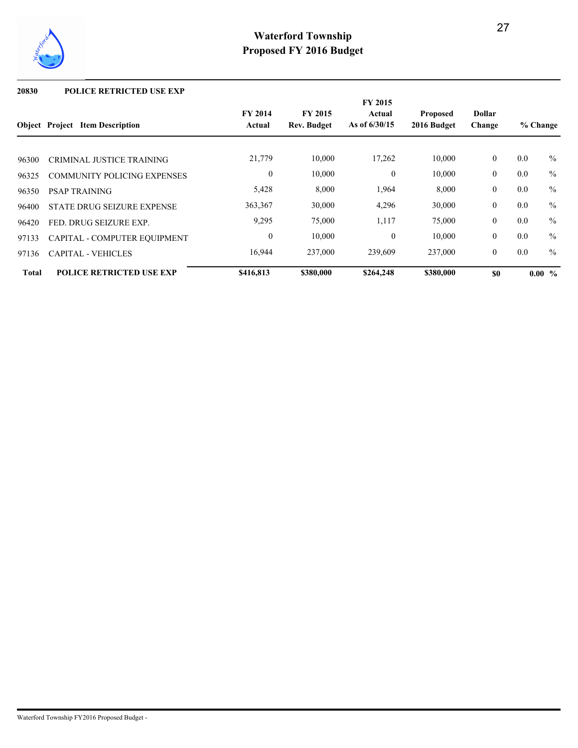

#### **20830 POLICE RETRICTED USE EXP**

|              |                                        |                          |                               | FY 2015                   |                                |                         |     |               |
|--------------|----------------------------------------|--------------------------|-------------------------------|---------------------------|--------------------------------|-------------------------|-----|---------------|
|              | <b>Object Project Item Description</b> | <b>FY 2014</b><br>Actual | <b>FY 2015</b><br>Rev. Budget | Actual<br>As of $6/30/15$ | <b>Proposed</b><br>2016 Budget | <b>Dollar</b><br>Change |     | % Change      |
| 96300        | <b>CRIMINAL JUSTICE TRAINING</b>       | 21,779                   | 10,000                        | 17,262                    | 10,000                         | $\overline{0}$          | 0.0 | $\%$          |
| 96325        | <b>COMMUNITY POLICING EXPENSES</b>     | $\mathbf{0}$             | 10,000                        | $\overline{0}$            | 10,000                         | $\overline{0}$          | 0.0 | $\frac{0}{0}$ |
| 96350        | <b>PSAP TRAINING</b>                   | 5,428                    | 8,000                         | 1,964                     | 8,000                          | $\overline{0}$          | 0.0 | $\frac{0}{0}$ |
| 96400        | STATE DRUG SEIZURE EXPENSE             | 363,367                  | 30,000                        | 4,296                     | 30,000                         | $\overline{0}$          | 0.0 | $\frac{0}{0}$ |
| 96420        | FED. DRUG SEIZURE EXP.                 | 9,295                    | 75,000                        | 1,117                     | 75,000                         | $\overline{0}$          | 0.0 | $\frac{0}{0}$ |
| 97133        | CAPITAL - COMPUTER EQUIPMENT           | $\mathbf{0}$             | 10,000                        | $\theta$                  | 10,000                         | $\overline{0}$          | 0.0 | $\frac{0}{0}$ |
| 97136        | <b>CAPITAL - VEHICLES</b>              | 16,944                   | 237,000                       | 239,609                   | 237,000                        | $\overline{0}$          | 0.0 | $\frac{0}{0}$ |
| <b>Total</b> | <b>POLICE RETRICTED USE EXP</b>        | \$416,813                | \$380,000                     | \$264,248                 | \$380,000                      | \$0                     |     | $0.00\%$      |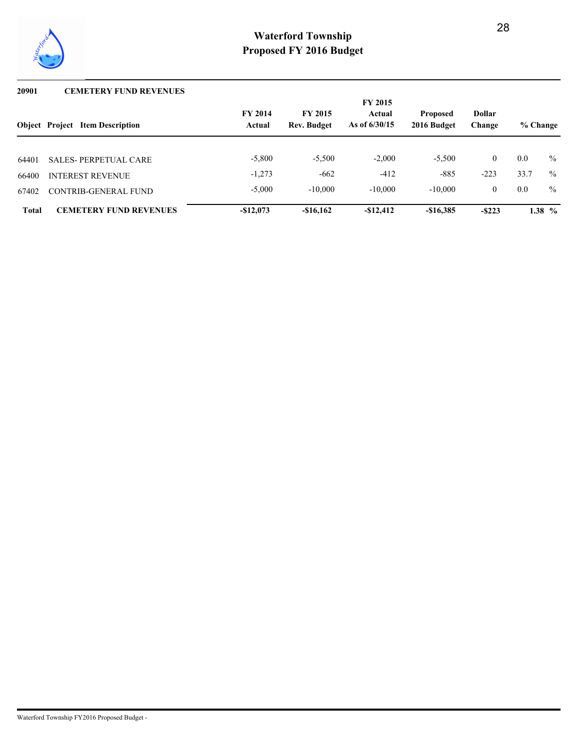

#### **20901 CEMETERY FUND REVENUES**

|              | <b>Object Project Item Description</b> | <b>FY 2014</b><br>Actual | <b>FY 2015</b><br><b>Rev. Budget</b> | <b>FY 2015</b><br>Actual<br>As of $6/30/15$ | <b>Proposed</b><br>2016 Budget | <b>Dollar</b><br>Change | % Change |          |
|--------------|----------------------------------------|--------------------------|--------------------------------------|---------------------------------------------|--------------------------------|-------------------------|----------|----------|
|              |                                        |                          |                                      |                                             |                                | $\theta$                |          |          |
| 64401        | <b>SALES-PERPETUAL CARE</b>            | $-5,800$                 | $-5,500$                             | $-2.000$                                    | $-5,500$                       |                         | 0.0      | $\%$     |
| 66400        | <b>INTEREST REVENUE</b>                | $-1,273$                 | $-662$                               | $-412$                                      | $-885$                         | $-223$                  | 33.7     | $\%$     |
| 67402        | CONTRIB-GENERAL FUND                   | $-5,000$                 | $-10,000$                            | $-10,000$                                   | $-10,000$                      | $\theta$                | 0.0      | $\%$     |
| <b>Total</b> | <b>CEMETERY FUND REVENUES</b>          | $-$12,073$               | $-\$16.162$                          | $-$12,412$                                  | $-$16,385$                     | $-$ \$223               |          | 1.38 $%$ |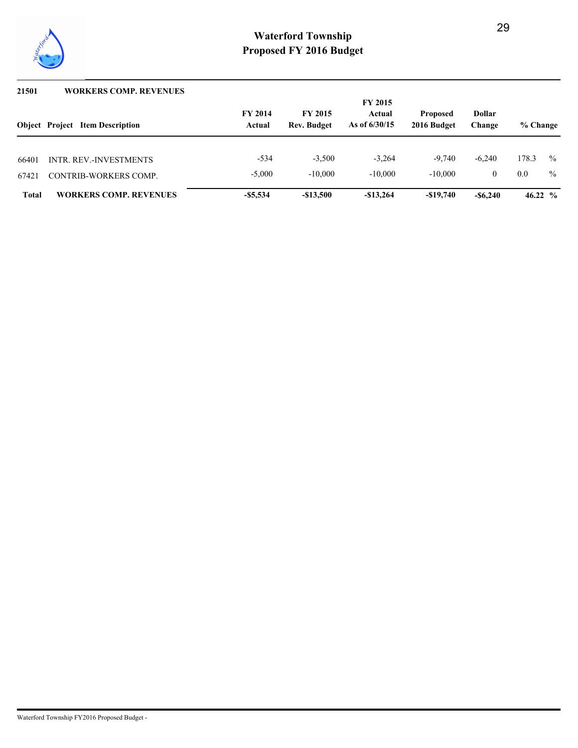

| 21501        | <b>WORKERS COMP. REVENUES</b>          |                          |                                      |                                             |                                |                         |            |      |
|--------------|----------------------------------------|--------------------------|--------------------------------------|---------------------------------------------|--------------------------------|-------------------------|------------|------|
|              | <b>Object</b> Project Item Description | <b>FY 2014</b><br>Actual | <b>FY 2015</b><br><b>Rev. Budget</b> | <b>FY 2015</b><br>Actual<br>As of $6/30/15$ | <b>Proposed</b><br>2016 Budget | <b>Dollar</b><br>Change | % Change   |      |
| 66401        | <b>INTR. REV.-INVESTMENTS</b>          | $-534$                   | $-3.500$                             | $-3.264$                                    | $-9.740$                       | $-6.240$                | 178.3      | $\%$ |
| 67421        | CONTRIB-WORKERS COMP.                  | $-5.000$                 | $-10,000$                            | $-10,000$                                   | $-10.000$                      | $\Omega$                | 0.0        | $\%$ |
| <b>Total</b> | <b>WORKERS COMP. REVENUES</b>          | $-$ \$5,534              | $-\$13,500$                          | $-$13,264$                                  | $-\$19,740$                    | $-$ \$6,240             | 46.22 $\%$ |      |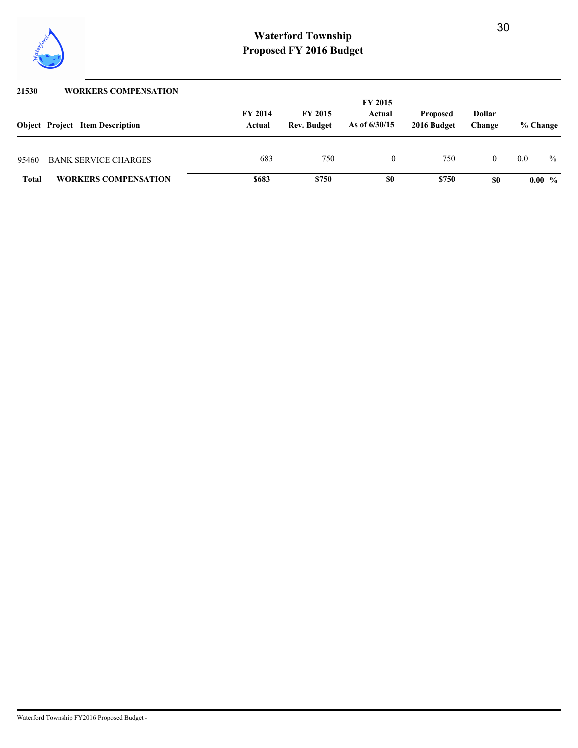

| 21530        | <b>WORKERS COMPENSATION</b>            |                          |                                      |                                             |                                |                         |          |               |
|--------------|----------------------------------------|--------------------------|--------------------------------------|---------------------------------------------|--------------------------------|-------------------------|----------|---------------|
|              | <b>Object</b> Project Item Description | <b>FY 2014</b><br>Actual | <b>FY 2015</b><br><b>Rev. Budget</b> | <b>FY 2015</b><br>Actual<br>As of $6/30/15$ | <b>Proposed</b><br>2016 Budget | <b>Dollar</b><br>Change | % Change |               |
| 95460        | <b>BANK SERVICE CHARGES</b>            | 683                      | 750                                  | $\theta$                                    | 750                            |                         | 0.0      | $\frac{0}{0}$ |
| <b>Total</b> | <b>WORKERS COMPENSATION</b>            | \$683                    | \$750                                | \$0                                         | \$750                          | \$0                     |          | $0.00\%$      |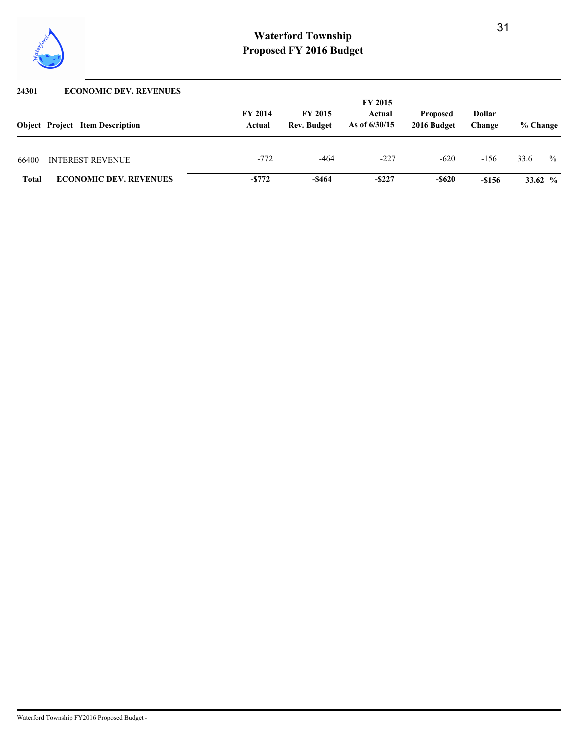

| 24301        | <b>ECONOMIC DEV. REVENUES</b>          |                |                    |                          |                 |               |          |            |
|--------------|----------------------------------------|----------------|--------------------|--------------------------|-----------------|---------------|----------|------------|
|              | <b>Object</b> Project Item Description | <b>FY 2014</b> | <b>FY 2015</b>     | <b>FY 2015</b><br>Actual | <b>Proposed</b> | <b>Dollar</b> |          |            |
|              |                                        | Actual         | <b>Rev. Budget</b> | As of $6/30/15$          | 2016 Budget     | Change        | % Change |            |
| 66400        | <b>INTEREST REVENUE</b>                | $-772$         | $-464$             | $-227$                   | $-620$          | $-156$        | 33.6     | $\%$       |
| <b>Total</b> | <b>ECONOMIC DEV. REVENUES</b>          | $-5772$        | $-$ \$464          | $-$ \$227                | $-$ \$620       | $-$156$       |          | 33.62 $\%$ |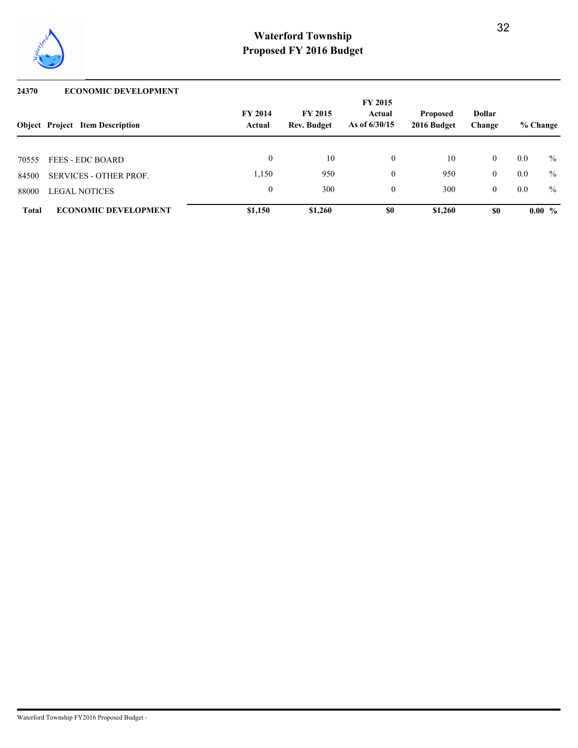

#### **24370 ECONOMIC DEVELOPMENT**

|              |                                        | <b>FY 2015</b><br><b>FY 2014</b><br><b>FY 2015</b><br><b>Dollar</b><br>Actual<br><b>Proposed</b> |                    |                 |             |          |          |          |
|--------------|----------------------------------------|--------------------------------------------------------------------------------------------------|--------------------|-----------------|-------------|----------|----------|----------|
|              | <b>Object Project Item Description</b> | Actual                                                                                           | <b>Rev. Budget</b> | As of $6/30/15$ | 2016 Budget | Change   | % Change |          |
| 70555        | <b>FEES - EDC BOARD</b>                | $\theta$                                                                                         | 10                 | $\theta$        | 10          | $\theta$ | 0.0      | $\%$     |
| 84500        | <b>SERVICES - OTHER PROF.</b>          | 1,150                                                                                            | 950                | $\Omega$        | 950         | $\theta$ | 0.0      | $\%$     |
| 88000        | <b>LEGAL NOTICES</b>                   | $\theta$                                                                                         | 300                | $\theta$        | 300         | $\theta$ | 0.0      | $\%$     |
| <b>Total</b> | <b>ECONOMIC DEVELOPMENT</b>            | \$1,150                                                                                          | \$1,260            | \$0             | \$1,260     | \$0      |          | $0.00\%$ |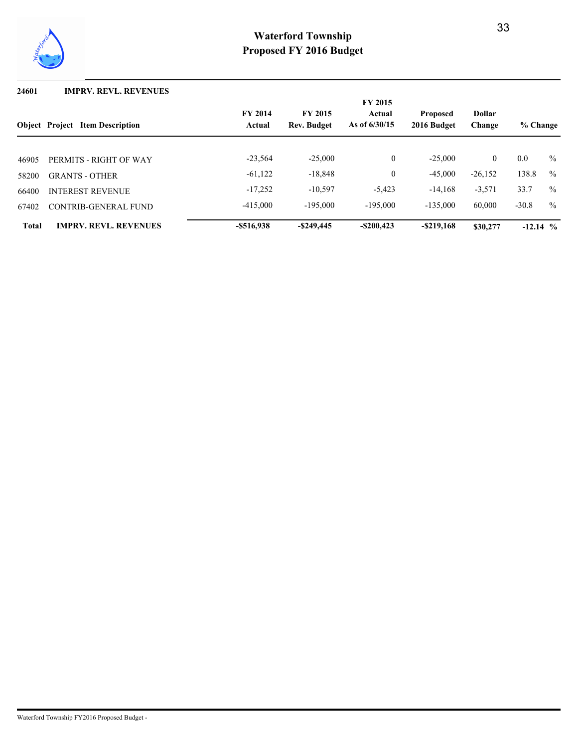

#### **24601 IMPRV. REVL. REVENUES**

|              | <b>Object Project</b><br><b>Item Description</b> | <b>FY 2014</b><br>Actual | <b>Dollar</b><br>Change | % Change      |               |           |            |               |
|--------------|--------------------------------------------------|--------------------------|-------------------------|---------------|---------------|-----------|------------|---------------|
|              |                                                  |                          |                         |               |               |           |            |               |
| 46905        | PERMITS - RIGHT OF WAY                           | $-23,564$                | $-25,000$               | $\mathbf{0}$  | $-25.000$     | $\theta$  | 0.0        | $\frac{0}{0}$ |
| 58200        | <b>GRANTS - OTHER</b>                            | $-61,122$                | $-18,848$               | $\mathbf{0}$  | $-45,000$     | $-26,152$ | 138.8      | $\frac{0}{0}$ |
| 66400        | <b>INTEREST REVENUE</b>                          | $-17,252$                | $-10,597$               | $-5,423$      | $-14,168$     | $-3,571$  | 33.7       | $\%$          |
| 67402        | CONTRIB-GENERAL FUND                             | $-415,000$               | $-195.000$              | $-195.000$    | $-135,000$    | 60,000    | $-30.8$    | $\%$          |
| <b>Total</b> | <b>IMPRV. REVL. REVENUES</b>                     | $-$ \$516,938            | $-$ \$249,445           | $-$ \$200,423 | $-$ \$219,168 | \$30,277  | $-12.14$ % |               |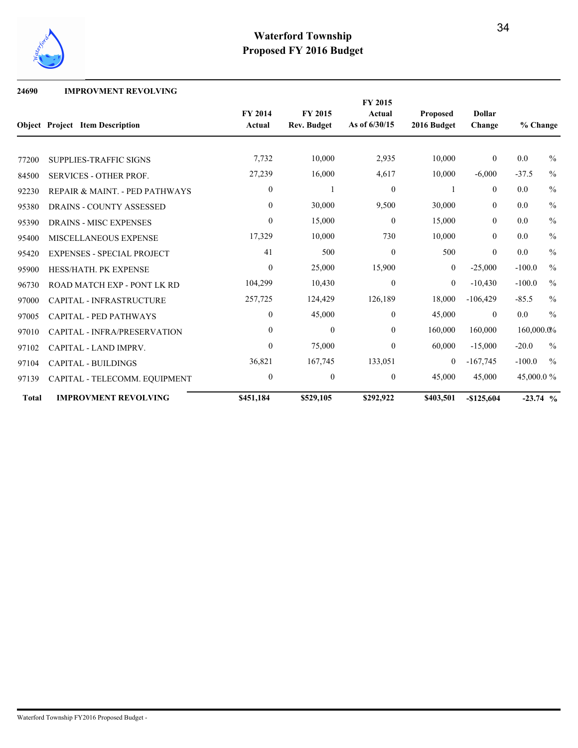

## **24690 IMPROVMENT REVOLVING**

|              |                                        |                  |                    | FY 2015          |                 |                |            |               |
|--------------|----------------------------------------|------------------|--------------------|------------------|-----------------|----------------|------------|---------------|
|              |                                        | FY 2014          | FY 2015            | Actual           | <b>Proposed</b> | <b>Dollar</b>  |            |               |
|              | <b>Object Project Item Description</b> | Actual           | <b>Rev. Budget</b> | As of 6/30/15    | 2016 Budget     | Change         | % Change   |               |
|              |                                        |                  |                    |                  |                 |                |            |               |
| 77200        | <b>SUPPLIES-TRAFFIC SIGNS</b>          | 7,732            | 10,000             | 2,935            | 10,000          | $\overline{0}$ | 0.0        | $\frac{0}{0}$ |
| 84500        | <b>SERVICES - OTHER PROF.</b>          | 27,239           | 16,000             | 4,617            | 10,000          | $-6,000$       | $-37.5$    | $\frac{0}{0}$ |
| 92230        | REPAIR & MAINT. - PED PATHWAYS         | $\mathbf{0}$     |                    | $\mathbf{0}$     |                 | $\overline{0}$ | 0.0        | $\frac{0}{0}$ |
| 95380        | <b>DRAINS - COUNTY ASSESSED</b>        | $\mathbf{0}$     | 30,000             | 9,500            | 30,000          | $\overline{0}$ | 0.0        | $\frac{0}{0}$ |
| 95390        | <b>DRAINS - MISC EXPENSES</b>          | $\boldsymbol{0}$ | 15,000             | $\boldsymbol{0}$ | 15,000          | $\overline{0}$ | 0.0        | $\frac{0}{0}$ |
| 95400        | <b>MISCELLANEOUS EXPENSE</b>           | 17,329           | 10,000             | 730              | 10,000          | $\overline{0}$ | 0.0        | $\frac{0}{0}$ |
| 95420        | <b>EXPENSES - SPECIAL PROJECT</b>      | 41               | 500                | $\boldsymbol{0}$ | 500             | $\overline{0}$ | 0.0        | $\frac{0}{0}$ |
| 95900        | HESS/HATH. PK EXPENSE                  | $\theta$         | 25,000             | 15,900           | $\overline{0}$  | $-25,000$      | $-100.0$   | $\frac{0}{0}$ |
| 96730        | ROAD MATCH EXP - PONT LK RD            | 104,299          | 10,430             | $\theta$         | $\overline{0}$  | $-10,430$      | $-100.0$   | $\frac{0}{0}$ |
| 97000        | <b>CAPITAL - INFRASTRUCTURE</b>        | 257,725          | 124,429            | 126,189          | 18,000          | $-106,429$     | $-85.5$    | $\frac{0}{0}$ |
| 97005        | <b>CAPITAL - PED PATHWAYS</b>          | $\mathbf{0}$     | 45,000             | $\overline{0}$   | 45,000          | $\overline{0}$ | 0.0        | $\frac{0}{0}$ |
| 97010        | <b>CAPITAL - INFRA/PRESERVATION</b>    | $\theta$         | $\theta$           | $\overline{0}$   | 160,000         | 160,000        | 160,000.0% |               |
| 97102        | CAPITAL - LAND IMPRV.                  | $\theta$         | 75,000             | $\theta$         | 60,000          | $-15,000$      | $-20.0$    | $\frac{0}{0}$ |
| 97104        | <b>CAPITAL - BUILDINGS</b>             | 36,821           | 167,745            | 133,051          | $\overline{0}$  | $-167,745$     | $-100.0$   | $\frac{0}{0}$ |
| 97139        | CAPITAL - TELECOMM. EQUIPMENT          | $\mathbf{0}$     | $\mathbf{0}$       | $\overline{0}$   | 45,000          | 45,000         | 45,000.0 % |               |
| <b>Total</b> | <b>IMPROVMENT REVOLVING</b>            | \$451,184        | \$529,105          | \$292,922        | \$403,501       | $-$125,604$    | $-23.74$ % |               |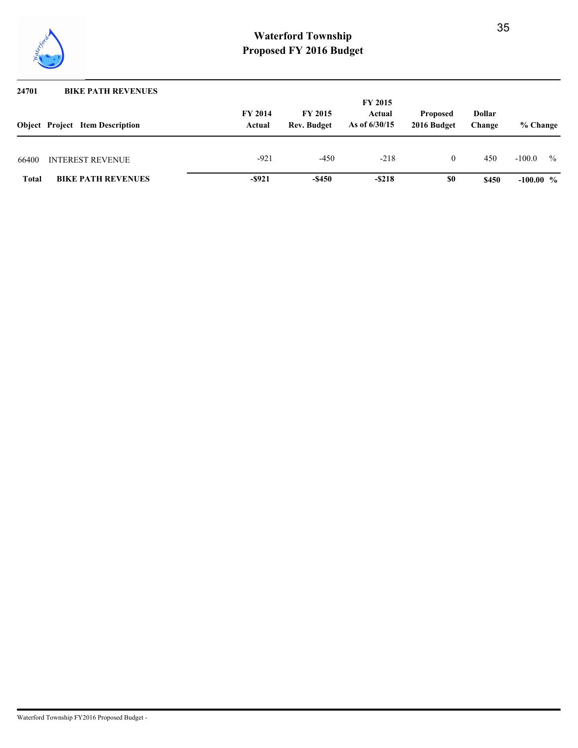

| 24701        | <b>BIKE PATH REVENUES</b>              |                          |                                      |                                             |                                |                         |                           |
|--------------|----------------------------------------|--------------------------|--------------------------------------|---------------------------------------------|--------------------------------|-------------------------|---------------------------|
|              | <b>Object</b> Project Item Description | <b>FY 2014</b><br>Actual | <b>FY 2015</b><br><b>Rev. Budget</b> | <b>FY 2015</b><br>Actual<br>As of $6/30/15$ | <b>Proposed</b><br>2016 Budget | <b>Dollar</b><br>Change | % Change                  |
| 66400        | INTEREST REVENUE                       | $-921$                   | $-450$                               | $-218$                                      | 0                              | 450                     | $\frac{0}{0}$<br>$-100.0$ |
| <b>Total</b> | <b>BIKE PATH REVENUES</b>              | $-$ \$921                | $-$ \$450                            | $-$ \$218                                   | \$0                            | \$450                   | $-100.00\%$               |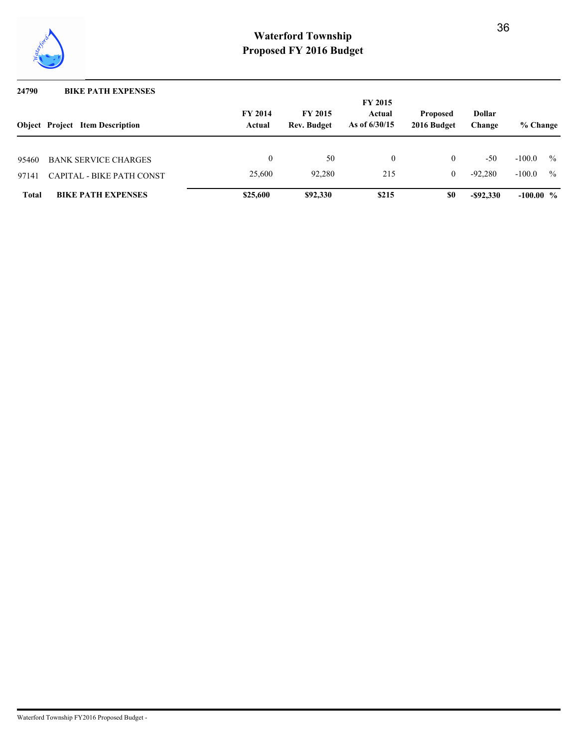

| 24790        | <b>BIKE PATH EXPENSES</b>              |                          |                                      |                                             |                                |                         |             |               |
|--------------|----------------------------------------|--------------------------|--------------------------------------|---------------------------------------------|--------------------------------|-------------------------|-------------|---------------|
|              | <b>Object</b> Project Item Description | <b>FY 2014</b><br>Actual | <b>FY 2015</b><br><b>Rev. Budget</b> | <b>FY 2015</b><br>Actual<br>As of $6/30/15$ | <b>Proposed</b><br>2016 Budget | <b>Dollar</b><br>Change | % Change    |               |
| 95460        | <b>BANK SERVICE CHARGES</b>            |                          | 50                                   | 0                                           | $\overline{0}$                 | $-50$                   | $-100.0$    | $\frac{0}{0}$ |
| 97141        | CAPITAL - BIKE PATH CONST              | 25,600                   | 92.280                               | 215                                         | $\theta$                       | $-92.280$               | $-100.0$    | $\frac{0}{0}$ |
| <b>Total</b> | <b>BIKE PATH EXPENSES</b>              | \$25,600                 | \$92,330                             | \$215                                       | \$0                            | $-$ \$92,330            | $-100.00 %$ |               |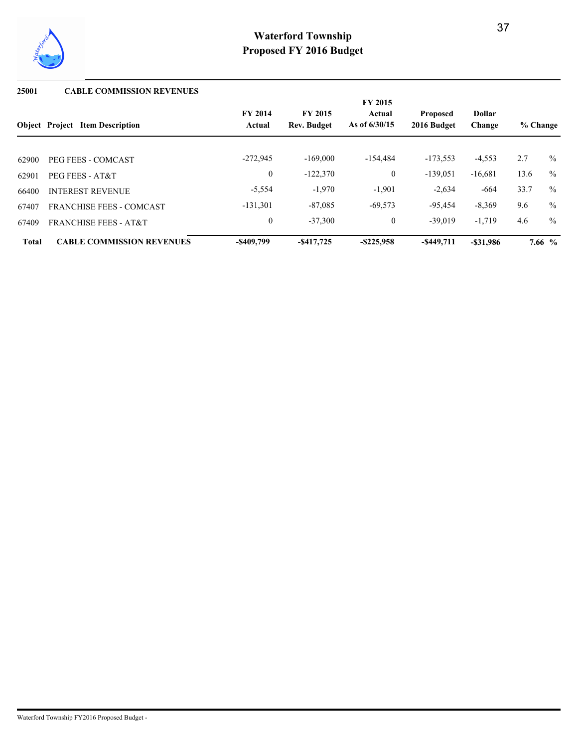

## **25001 CABLE COMMISSION REVENUES**

|              |                                        |                          |                                      | FY 2015                   |                                |                         |          |               |
|--------------|----------------------------------------|--------------------------|--------------------------------------|---------------------------|--------------------------------|-------------------------|----------|---------------|
|              | <b>Object Project Item Description</b> | <b>FY 2014</b><br>Actual | <b>FY 2015</b><br><b>Rev. Budget</b> | Actual<br>As of $6/30/15$ | <b>Proposed</b><br>2016 Budget | <b>Dollar</b><br>Change | % Change |               |
|              |                                        |                          |                                      |                           |                                |                         |          |               |
| 62900        | PEG FEES - COMCAST                     | $-272.945$               | $-169,000$                           | $-154.484$                | $-173,553$                     | $-4,553$                | 2.7      | $\%$          |
| 62901        | PEG FEES - AT&T                        | $\overline{0}$           | $-122,370$                           | $\mathbf{0}$              | $-139,051$                     | $-16,681$               | 13.6     | $\frac{0}{0}$ |
| 66400        | <b>INTEREST REVENUE</b>                | $-5,554$                 | $-1,970$                             | $-1,901$                  | $-2,634$                       | -664                    | 33.7     | $\%$          |
| 67407        | <b>FRANCHISE FEES - COMCAST</b>        | $-131,301$               | $-87,085$                            | $-69,573$                 | $-95,454$                      | $-8,369$                | 9.6      | $\frac{0}{0}$ |
| 67409        | <b>FRANCHISE FEES - AT&amp;T</b>       | $\overline{0}$           | $-37,300$                            | $\overline{0}$            | $-39.019$                      | $-1,719$                | 4.6      | $\%$          |
| <b>Total</b> | <b>CABLE COMMISSION REVENUES</b>       | $-$ \$409,799            | $-$ \$417,725                        | $-$ \$225,958             | $-$ \$449,711                  | $-$ \$31,986            |          | 7.66 $%$      |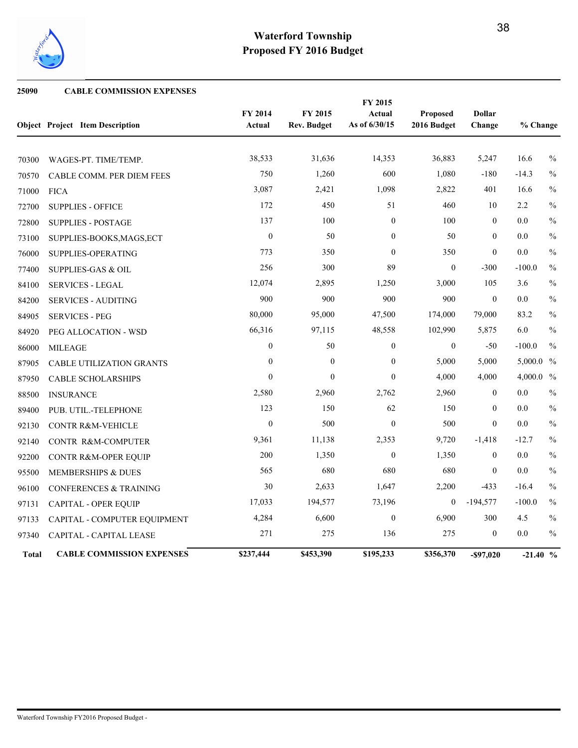

## **25090 CABLE COMMISSION EXPENSES**

|              |                                        |                   |                               | FY 2015                 |                                |                         |              |               |
|--------------|----------------------------------------|-------------------|-------------------------------|-------------------------|--------------------------------|-------------------------|--------------|---------------|
|              | <b>Object Project Item Description</b> | FY 2014<br>Actual | FY 2015<br><b>Rev. Budget</b> | Actual<br>As of 6/30/15 | <b>Proposed</b><br>2016 Budget | <b>Dollar</b><br>Change | % Change     |               |
|              |                                        |                   |                               |                         |                                |                         |              |               |
| 70300        | WAGES-PT. TIME/TEMP.                   | 38,533            | 31,636                        | 14,353                  | 36,883                         | 5,247                   | 16.6         | $\frac{0}{0}$ |
| 70570        | CABLE COMM. PER DIEM FEES              | 750               | 1,260                         | 600                     | 1,080                          | $-180$                  | $-14.3$      | $\frac{0}{0}$ |
| 71000        | <b>FICA</b>                            | 3,087             | 2,421                         | 1,098                   | 2,822                          | 401                     | 16.6         | $\frac{0}{0}$ |
| 72700        | <b>SUPPLIES - OFFICE</b>               | 172               | 450                           | 51                      | 460                            | 10                      | 2.2          | $\frac{0}{0}$ |
| 72800        | <b>SUPPLIES - POSTAGE</b>              | 137               | 100                           | $\overline{0}$          | 100                            | $\overline{0}$          | 0.0          | $\frac{0}{0}$ |
| 73100        | SUPPLIES-BOOKS, MAGS, ECT              | $\theta$          | 50                            | $\Omega$                | 50                             | $\theta$                | 0.0          | $\frac{0}{0}$ |
| 76000        | SUPPLIES-OPERATING                     | 773               | 350                           | $\overline{0}$          | 350                            | $\overline{0}$          | $0.0\,$      | $\frac{0}{0}$ |
| 77400        | <b>SUPPLIES-GAS &amp; OIL</b>          | 256               | 300                           | 89                      | $\overline{0}$                 | $-300$                  | $-100.0$     | $\frac{0}{0}$ |
| 84100        | <b>SERVICES - LEGAL</b>                | 12,074            | 2,895                         | 1,250                   | 3,000                          | 105                     | 3.6          | $\frac{0}{0}$ |
| 84200        | <b>SERVICES - AUDITING</b>             | 900               | 900                           | 900                     | 900                            | $\mathbf{0}$            | 0.0          | $\frac{0}{0}$ |
| 84905        | <b>SERVICES - PEG</b>                  | 80,000            | 95,000                        | 47,500                  | 174,000                        | 79,000                  | 83.2         | $\frac{0}{0}$ |
| 84920        | PEG ALLOCATION - WSD                   | 66,316            | 97,115                        | 48,558                  | 102,990                        | 5,875                   | 6.0          | $\frac{0}{0}$ |
| 86000        | <b>MILEAGE</b>                         | $\overline{0}$    | 50                            | $\overline{0}$          | $\overline{0}$                 | $-50$                   | $-100.0$     | $\frac{0}{0}$ |
| 87905        | <b>CABLE UTILIZATION GRANTS</b>        | $\boldsymbol{0}$  | $\mathbf{0}$                  | $\boldsymbol{0}$        | 5,000                          | 5,000                   | $5,000.0\%$  |               |
| 87950        | <b>CABLE SCHOLARSHIPS</b>              | $\theta$          | $\theta$                      | $\theta$                | 4,000                          | 4,000                   | 4,000.0 $\%$ |               |
| 88500        | <b>INSURANCE</b>                       | 2,580             | 2,960                         | 2,762                   | 2,960                          | $\mathbf{0}$            | 0.0          | $\frac{0}{0}$ |
| 89400        | PUB. UTIL.-TELEPHONE                   | 123               | 150                           | 62                      | 150                            | $\overline{0}$          | 0.0          | $\frac{0}{0}$ |
| 92130        | <b>CONTR R&amp;M-VEHICLE</b>           | $\theta$          | 500                           | $\theta$                | 500                            | $\Omega$                | 0.0          | $\frac{0}{0}$ |
| 92140        | CONTR R&M-COMPUTER                     | 9,361             | 11,138                        | 2,353                   | 9,720                          | $-1,418$                | $-12.7$      | $\frac{0}{0}$ |
| 92200        | CONTR R&M-OPER EQUIP                   | 200               | 1,350                         | $\overline{0}$          | 1,350                          | $\mathbf{0}$            | 0.0          | $\frac{0}{0}$ |
| 95500        | <b>MEMBERSHIPS &amp; DUES</b>          | 565               | 680                           | 680                     | 680                            | $\mathbf{0}$            | $0.0\,$      | $\frac{0}{0}$ |
| 96100        | <b>CONFERENCES &amp; TRAINING</b>      | 30                | 2,633                         | 1,647                   | 2,200                          | $-433$                  | $-16.4$      | $\frac{0}{0}$ |
| 97131        | <b>CAPITAL - OPER EQUIP</b>            | 17,033            | 194,577                       | 73,196                  | $\overline{0}$                 | $-194,577$              | $-100.0$     | $\frac{0}{0}$ |
| 97133        | CAPITAL - COMPUTER EQUIPMENT           | 4,284             | 6,600                         | $\boldsymbol{0}$        | 6,900                          | 300                     | 4.5          | $\frac{0}{0}$ |
| 97340        | CAPITAL - CAPITAL LEASE                | 271               | 275                           | 136                     | 275                            | $\mathbf{0}$            | 0.0          | $\%$          |
| <b>Total</b> | <b>CABLE COMMISSION EXPENSES</b>       | \$237,444         | \$453,390                     | \$195,233               | \$356,370                      | -\$97,020               | $-21.40%$    |               |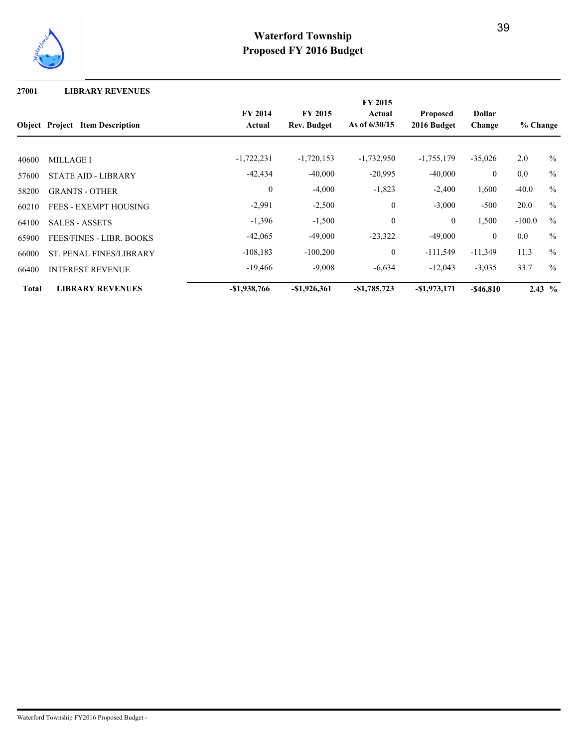

**27001 LIBRARY REVENUES**

|              |                                        |                |                    | <b>FY 2015</b>   |                 |                |          |                   |
|--------------|----------------------------------------|----------------|--------------------|------------------|-----------------|----------------|----------|-------------------|
|              |                                        | <b>FY 2014</b> | <b>FY 2015</b>     | Actual           | <b>Proposed</b> | <b>Dollar</b>  |          |                   |
|              | <b>Object</b> Project Item Description | Actual         | <b>Rev. Budget</b> | As of $6/30/15$  | 2016 Budget     | Change         | % Change |                   |
| 40600        | <b>MILLAGE I</b>                       | $-1,722,231$   | $-1,720,153$       | $-1,732,950$     | $-1,755,179$    | $-35,026$      | 2.0      | $\frac{0}{0}$     |
| 57600        | <b>STATE AID - LIBRARY</b>             | $-42,434$      | $-40,000$          | $-20,995$        | $-40,000$       | $\overline{0}$ | 0.0      | $\frac{0}{0}$     |
| 58200        | <b>GRANTS - OTHER</b>                  | $\theta$       | $-4,000$           | $-1,823$         | $-2,400$        | 1,600          | $-40.0$  | $\frac{0}{0}$     |
| 60210        | <b>FEES - EXEMPT HOUSING</b>           | $-2,991$       | $-2,500$           | $\mathbf{0}$     | $-3,000$        | $-500$         | 20.0     | $\frac{0}{0}$     |
| 64100        | <b>SALES - ASSETS</b>                  | $-1,396$       | $-1,500$           | $\boldsymbol{0}$ | $\overline{0}$  | 1,500          | $-100.0$ | $\frac{0}{0}$     |
| 65900        | <b>FEES/FINES - LIBR. BOOKS</b>        | $-42,065$      | $-49,000$          | $-23,322$        | $-49,000$       | $\overline{0}$ | 0.0      | $\frac{0}{0}$     |
| 66000        | <b>ST. PENAL FINES/LIBRARY</b>         | $-108,183$     | $-100,200$         | $\overline{0}$   | $-111,549$      | $-11,349$      | 11.3     | $\frac{0}{0}$     |
| 66400        | <b>INTEREST REVENUE</b>                | $-19,466$      | $-9,008$           | $-6,634$         | $-12,043$       | $-3,035$       | 33.7     | $\frac{0}{0}$     |
| <b>Total</b> | <b>LIBRARY REVENUES</b>                | $-$1,938,766$  | $-$1,926,361$      | $-$1,785,723$    | $-$1,973,171$   | $-$ \$46,810   |          | $2.43\frac{6}{6}$ |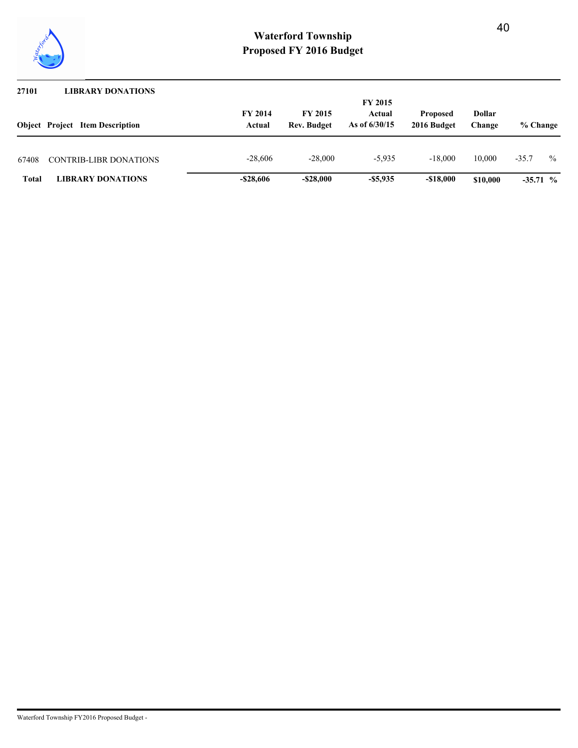

| 27101        | <b>LIBRARY DONATIONS</b>               |                          |                                      |                           |                                |                  |            |               |
|--------------|----------------------------------------|--------------------------|--------------------------------------|---------------------------|--------------------------------|------------------|------------|---------------|
|              |                                        |                          |                                      | <b>FY 2015</b>            |                                |                  |            |               |
|              | <b>Object</b> Project Item Description | <b>FY 2014</b><br>Actual | <b>FY 2015</b><br><b>Rev. Budget</b> | Actual<br>As of $6/30/15$ | <b>Proposed</b><br>2016 Budget | Dollar<br>Change | % Change   |               |
| 67408        | <b>CONTRIB-LIBR DONATIONS</b>          | $-28,606$                | $-28,000$                            | $-5.935$                  | $-18,000$                      | 10.000           | $-35.7$    | $\frac{0}{0}$ |
| <b>Total</b> | <b>LIBRARY DONATIONS</b>               | $-$ \$28,606             | $-$ \$28,000                         | $-$ \$5,935               | $-\$18.000$                    | \$10,000         | $-35.71\%$ |               |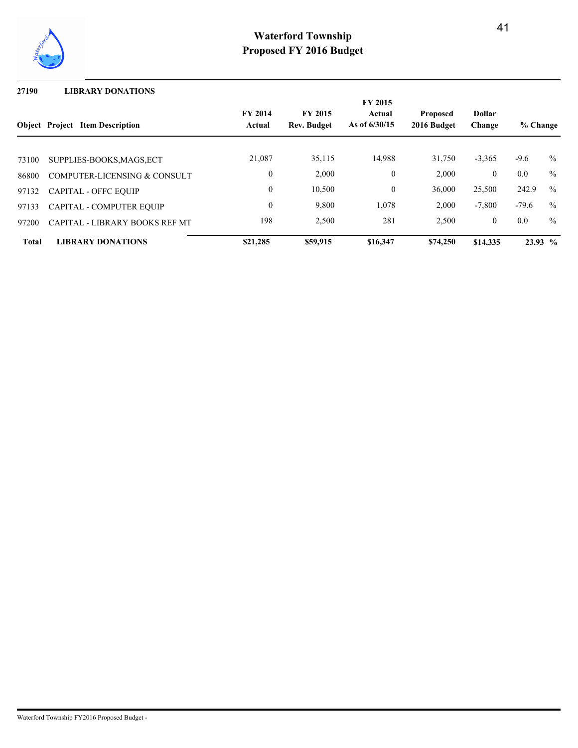

### **27190 LIBRARY DONATIONS**

|              | <b>Object Project Item Description</b> | <b>FY 2014</b><br>Actual | <b>FY 2015</b><br><b>Rev. Budget</b> | <b>FY 2015</b><br>Actual<br>As of 6/30/15 | <b>Proposed</b><br>2016 Budget | <b>Dollar</b><br>Change | % Change  |               |
|--------------|----------------------------------------|--------------------------|--------------------------------------|-------------------------------------------|--------------------------------|-------------------------|-----------|---------------|
| 73100        | SUPPLIES-BOOKS, MAGS, ECT              | 21,087                   | 35,115                               | 14,988                                    | 31,750                         | $-3,365$                | $-9.6$    | $\frac{0}{0}$ |
| 86800        | COMPUTER-LICENSING & CONSULT           | $\overline{0}$           | 2,000                                | $\mathbf{0}$                              | 2,000                          | $\mathbf{0}$            | $0.0\,$   | $\frac{0}{0}$ |
| 97132        | <b>CAPITAL - OFFC EQUIP</b>            | $\mathbf{0}$             | 10,500                               | $\mathbf{0}$                              | 36.000                         | 25,500                  | 242.9     | $\frac{0}{0}$ |
| 97133        | <b>CAPITAL - COMPUTER EQUIP</b>        | $\overline{0}$           | 9,800                                | 1,078                                     | 2,000                          | $-7,800$                | $-79.6$   | $\frac{0}{0}$ |
| 97200        | CAPITAL - LIBRARY BOOKS REF MT         | 198                      | 2,500                                | 281                                       | 2,500                          | $\mathbf{0}$            | 0.0       | $\frac{0}{0}$ |
| <b>Total</b> | <b>LIBRARY DONATIONS</b>               | \$21,285                 | \$59,915                             | \$16,347                                  | \$74,250                       | \$14,335                | $23.93\%$ |               |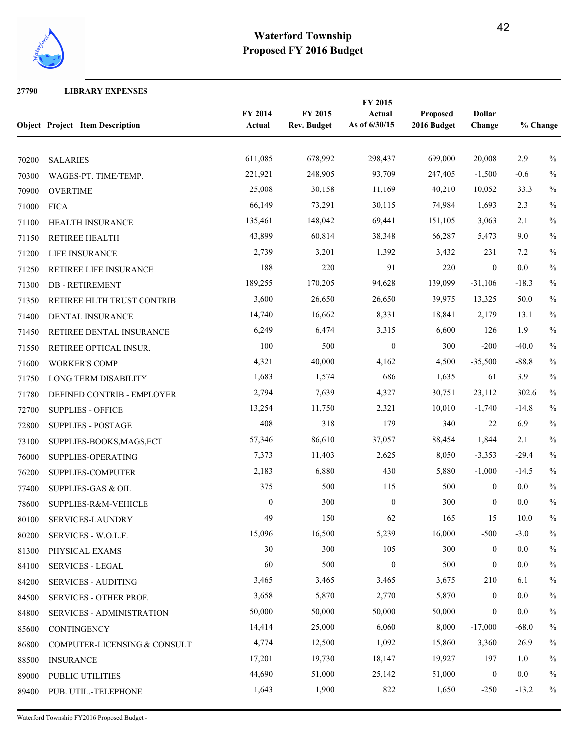

 **LIBRARY EXPENSES**

|       | <b>Object Project Item Description</b> | FY 2014<br>Actual | FY 2015<br><b>Rev. Budget</b> | FY 2015<br>Actual<br>As of 6/30/15 | Proposed<br>2016 Budget | <b>Dollar</b><br>Change | % Change |               |
|-------|----------------------------------------|-------------------|-------------------------------|------------------------------------|-------------------------|-------------------------|----------|---------------|
| 70200 | <b>SALARIES</b>                        | 611,085           | 678,992                       | 298,437                            | 699,000                 | 20,008                  | 2.9      | $\frac{0}{0}$ |
| 70300 | WAGES-PT. TIME/TEMP.                   | 221,921           | 248,905                       | 93,709                             | 247,405                 | $-1,500$                | $-0.6$   | $\%$          |
| 70900 | <b>OVERTIME</b>                        | 25,008            | 30,158                        | 11,169                             | 40,210                  | 10,052                  | 33.3     | $\%$          |
| 71000 | <b>FICA</b>                            | 66,149            | 73,291                        | 30,115                             | 74,984                  | 1,693                   | 2.3      | $\%$          |
| 71100 | HEALTH INSURANCE                       | 135,461           | 148,042                       | 69,441                             | 151,105                 | 3,063                   | 2.1      | $\%$          |
| 71150 | RETIREE HEALTH                         | 43,899            | 60,814                        | 38,348                             | 66,287                  | 5,473                   | 9.0      | $\frac{0}{0}$ |
| 71200 | LIFE INSURANCE                         | 2,739             | 3,201                         | 1,392                              | 3,432                   | 231                     | 7.2      | $\frac{0}{0}$ |
| 71250 | RETIREE LIFE INSURANCE                 | 188               | 220                           | 91                                 | 220                     | $\mathbf{0}$            | 0.0      | $\%$          |
| 71300 | <b>DB-RETIREMENT</b>                   | 189,255           | 170,205                       | 94,628                             | 139,099                 | $-31,106$               | $-18.3$  | $\frac{0}{0}$ |
| 71350 | RETIREE HLTH TRUST CONTRIB             | 3,600             | 26,650                        | 26,650                             | 39,975                  | 13,325                  | 50.0     | $\%$          |
| 71400 | DENTAL INSURANCE                       | 14,740            | 16,662                        | 8,331                              | 18,841                  | 2,179                   | 13.1     | $\frac{0}{0}$ |
| 71450 | RETIREE DENTAL INSURANCE               | 6,249             | 6,474                         | 3,315                              | 6,600                   | 126                     | 1.9      | $\%$          |
| 71550 | RETIREE OPTICAL INSUR.                 | 100               | 500                           | $\boldsymbol{0}$                   | 300                     | $-200$                  | $-40.0$  | $\frac{0}{0}$ |
| 71600 | <b>WORKER'S COMP</b>                   | 4,321             | 40,000                        | 4,162                              | 4,500                   | $-35,500$               | $-88.8$  | $\frac{0}{0}$ |
| 71750 | LONG TERM DISABILITY                   | 1,683             | 1,574                         | 686                                | 1,635                   | 61                      | 3.9      | $\frac{0}{0}$ |
| 71780 | DEFINED CONTRIB - EMPLOYER             | 2,794             | 7,639                         | 4,327                              | 30,751                  | 23,112                  | 302.6    | $\%$          |
| 72700 | <b>SUPPLIES - OFFICE</b>               | 13,254            | 11,750                        | 2,321                              | 10,010                  | $-1,740$                | $-14.8$  | $\frac{0}{0}$ |
| 72800 | <b>SUPPLIES - POSTAGE</b>              | 408               | 318                           | 179                                | 340                     | 22                      | 6.9      | $\frac{0}{0}$ |
| 73100 | SUPPLIES-BOOKS, MAGS, ECT              | 57,346            | 86,610                        | 37,057                             | 88,454                  | 1,844                   | 2.1      | $\frac{0}{0}$ |
| 76000 | SUPPLIES-OPERATING                     | 7,373             | 11,403                        | 2,625                              | 8,050                   | $-3,353$                | $-29.4$  | $\%$          |
| 76200 | SUPPLIES-COMPUTER                      | 2,183             | 6,880                         | 430                                | 5,880                   | $-1,000$                | $-14.5$  | $\frac{0}{0}$ |
| 77400 | <b>SUPPLIES-GAS &amp; OIL</b>          | 375               | 500                           | 115                                | 500                     | $\mathbf{0}$            | 0.0      | $\frac{0}{0}$ |
| 78600 | SUPPLIES-R&M-VEHICLE                   | $\boldsymbol{0}$  | 300                           | $\boldsymbol{0}$                   | 300                     | $\mathbf{0}$            | 0.0      | $\frac{0}{0}$ |
| 80100 | SERVICES-LAUNDRY                       | 49                | 150                           | 62                                 | 165                     | 15                      | 10.0     | $\%$          |
| 80200 | SERVICES - W.O.L.F.                    | 15,096            | 16,500                        | 5,239                              | 16,000                  | $-500$                  | $-3.0$   | $\%$          |
| 81300 | PHYSICAL EXAMS                         | 30                | 300                           | 105                                | 300                     | $\mathbf{0}$            | $0.0\,$  | $\%$          |
| 84100 | <b>SERVICES - LEGAL</b>                | 60                | 500                           | $\boldsymbol{0}$                   | 500                     | $\bf{0}$                | 0.0      | $\%$          |
| 84200 | <b>SERVICES - AUDITING</b>             | 3,465             | 3,465                         | 3,465                              | 3,675                   | 210                     | 6.1      | $\%$          |
| 84500 | SERVICES - OTHER PROF.                 | 3,658             | 5,870                         | 2,770                              | 5,870                   | $\mathbf{0}$            | 0.0      | $\frac{0}{0}$ |
| 84800 | <b>SERVICES - ADMINISTRATION</b>       | 50,000            | 50,000                        | 50,000                             | 50,000                  | $\mathbf{0}$            | 0.0      | $\frac{0}{0}$ |
| 85600 | <b>CONTINGENCY</b>                     | 14,414            | 25,000                        | 6,060                              | 8,000                   | $-17,000$               | $-68.0$  | $\%$          |
| 86800 | COMPUTER-LICENSING & CONSULT           | 4,774             | 12,500                        | 1,092                              | 15,860                  | 3,360                   | 26.9     | $\%$          |
| 88500 | <b>INSURANCE</b>                       | 17,201            | 19,730                        | 18,147                             | 19,927                  | 197                     | 1.0      | $\%$          |
| 89000 | PUBLIC UTILITIES                       | 44,690            | 51,000                        | 25,142                             | 51,000                  | $\boldsymbol{0}$        | 0.0      | $\%$          |
| 89400 | PUB. UTIL.-TELEPHONE                   | 1,643             | 1,900                         | 822                                | 1,650                   | $-250$                  | $-13.2$  | $\%$          |

Waterford Township FY2016 Proposed Budget -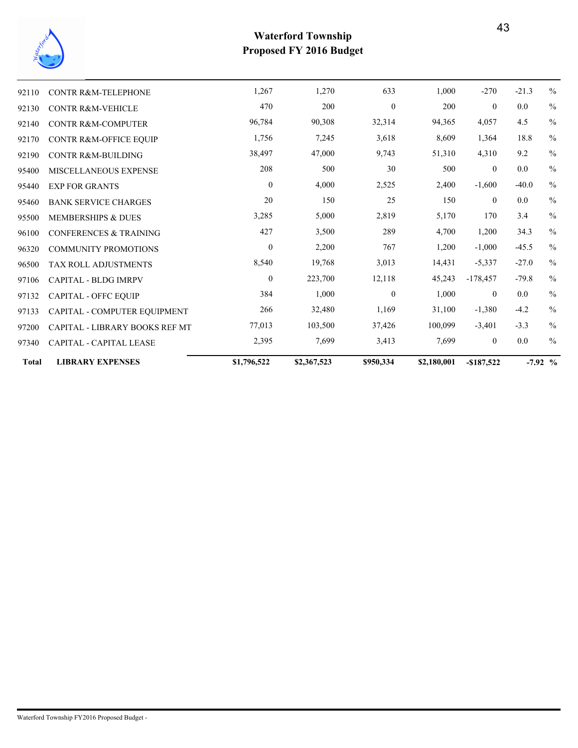

| <b>MISCELLANEOUS EXPENSE</b><br><b>EXP FOR GRANTS</b><br><b>BANK SERVICE CHARGES</b><br><b>MEMBERSHIPS &amp; DUES</b><br><b>CONFERENCES &amp; TRAINING</b><br><b>COMMUNITY PROMOTIONS</b><br><b>TAX ROLL ADJUSTMENTS</b><br><b>CAPITAL - BLDG IMRPV</b><br><b>CAPITAL - OFFC EQUIP</b><br>CAPITAL - COMPUTER EQUIPMENT<br>CAPITAL - LIBRARY BOOKS REF MT<br>CAPITAL - CAPITAL LEASE | 38,497<br>208<br>$\boldsymbol{0}$<br>20<br>3,285<br>427<br>$\boldsymbol{0}$<br>8,540<br>$\boldsymbol{0}$<br>384<br>266<br>77,013<br>2,395 | 47,000<br>500<br>4,000<br>150<br>5,000<br>3,500<br>2,200<br>19,768<br>223,700<br>1,000<br>32,480<br>103,500<br>7,699 | $30\,$<br>2,525<br>25<br>2,819<br>289<br>767<br>3,013<br>12,118<br>$\boldsymbol{0}$<br>1,169<br>37,426<br>3,413 | 51,310<br>500<br>2,400<br>150<br>5,170<br>4,700<br>1,200<br>14,431<br>45,243<br>1,000<br>31,100<br>100,099<br>7,699 | 4,310<br>$\overline{0}$<br>$-1,600$<br>$\overline{0}$<br>170<br>1,200<br>$-1,000$<br>$-5,337$<br>$-178,457$<br>$\mathbf{0}$<br>$-1,380$<br>$-3,401$<br>$\mathbf{0}$ | 9.2<br>$0.0\,$<br>$-40.0$<br>$0.0\,$<br>3.4<br>34.3<br>$-45.5$<br>$-27.0$<br>$-79.8$<br>$0.0\,$<br>$-4.2$<br>$-3.3$<br>$0.0\,$ | $\%$<br>$\frac{0}{0}$<br>$\%$<br>$\%$<br>$\frac{0}{0}$<br>$\frac{0}{0}$<br>$\%$<br>$\%$<br>$\%$<br>$\%$<br>$\frac{0}{0}$<br>$\frac{0}{0}$<br>$\frac{0}{0}$<br>$\frac{0}{0}$ |
|-------------------------------------------------------------------------------------------------------------------------------------------------------------------------------------------------------------------------------------------------------------------------------------------------------------------------------------------------------------------------------------|-------------------------------------------------------------------------------------------------------------------------------------------|----------------------------------------------------------------------------------------------------------------------|-----------------------------------------------------------------------------------------------------------------|---------------------------------------------------------------------------------------------------------------------|---------------------------------------------------------------------------------------------------------------------------------------------------------------------|--------------------------------------------------------------------------------------------------------------------------------|-----------------------------------------------------------------------------------------------------------------------------------------------------------------------------|
|                                                                                                                                                                                                                                                                                                                                                                                     |                                                                                                                                           |                                                                                                                      |                                                                                                                 |                                                                                                                     |                                                                                                                                                                     |                                                                                                                                |                                                                                                                                                                             |
|                                                                                                                                                                                                                                                                                                                                                                                     |                                                                                                                                           |                                                                                                                      |                                                                                                                 |                                                                                                                     |                                                                                                                                                                     |                                                                                                                                |                                                                                                                                                                             |
|                                                                                                                                                                                                                                                                                                                                                                                     |                                                                                                                                           |                                                                                                                      |                                                                                                                 |                                                                                                                     |                                                                                                                                                                     |                                                                                                                                |                                                                                                                                                                             |
|                                                                                                                                                                                                                                                                                                                                                                                     |                                                                                                                                           |                                                                                                                      |                                                                                                                 |                                                                                                                     |                                                                                                                                                                     |                                                                                                                                |                                                                                                                                                                             |
|                                                                                                                                                                                                                                                                                                                                                                                     |                                                                                                                                           |                                                                                                                      |                                                                                                                 |                                                                                                                     |                                                                                                                                                                     |                                                                                                                                |                                                                                                                                                                             |
|                                                                                                                                                                                                                                                                                                                                                                                     |                                                                                                                                           |                                                                                                                      |                                                                                                                 |                                                                                                                     |                                                                                                                                                                     |                                                                                                                                |                                                                                                                                                                             |
|                                                                                                                                                                                                                                                                                                                                                                                     |                                                                                                                                           |                                                                                                                      |                                                                                                                 |                                                                                                                     |                                                                                                                                                                     |                                                                                                                                |                                                                                                                                                                             |
|                                                                                                                                                                                                                                                                                                                                                                                     |                                                                                                                                           |                                                                                                                      |                                                                                                                 |                                                                                                                     |                                                                                                                                                                     |                                                                                                                                |                                                                                                                                                                             |
|                                                                                                                                                                                                                                                                                                                                                                                     |                                                                                                                                           |                                                                                                                      |                                                                                                                 |                                                                                                                     |                                                                                                                                                                     |                                                                                                                                |                                                                                                                                                                             |
|                                                                                                                                                                                                                                                                                                                                                                                     |                                                                                                                                           |                                                                                                                      |                                                                                                                 |                                                                                                                     |                                                                                                                                                                     |                                                                                                                                |                                                                                                                                                                             |
|                                                                                                                                                                                                                                                                                                                                                                                     |                                                                                                                                           |                                                                                                                      |                                                                                                                 |                                                                                                                     |                                                                                                                                                                     |                                                                                                                                |                                                                                                                                                                             |
|                                                                                                                                                                                                                                                                                                                                                                                     |                                                                                                                                           |                                                                                                                      |                                                                                                                 |                                                                                                                     |                                                                                                                                                                     |                                                                                                                                |                                                                                                                                                                             |
| <b>CONTR R&amp;M-BUILDING</b>                                                                                                                                                                                                                                                                                                                                                       |                                                                                                                                           |                                                                                                                      | 9,743                                                                                                           |                                                                                                                     |                                                                                                                                                                     |                                                                                                                                |                                                                                                                                                                             |
| CONTR R&M-OFFICE EQUIP                                                                                                                                                                                                                                                                                                                                                              | 1,756                                                                                                                                     |                                                                                                                      | 3,618                                                                                                           | 8,609                                                                                                               |                                                                                                                                                                     | 18.8                                                                                                                           |                                                                                                                                                                             |
| <b>CONTR R&amp;M-COMPUTER</b>                                                                                                                                                                                                                                                                                                                                                       | 96,784                                                                                                                                    | 90,308                                                                                                               | 32,314                                                                                                          | 94,365                                                                                                              | 4,057                                                                                                                                                               | 4.5                                                                                                                            | $\%$                                                                                                                                                                        |
| <b>CONTR R&amp;M-VEHICLE</b>                                                                                                                                                                                                                                                                                                                                                        | 470                                                                                                                                       | 200                                                                                                                  |                                                                                                                 | 200                                                                                                                 | $\overline{0}$                                                                                                                                                      | $0.0\,$                                                                                                                        | $\frac{0}{0}$                                                                                                                                                               |
| <b>CONTR R&amp;M-TELEPHONE</b>                                                                                                                                                                                                                                                                                                                                                      | 1,267                                                                                                                                     |                                                                                                                      |                                                                                                                 |                                                                                                                     |                                                                                                                                                                     |                                                                                                                                |                                                                                                                                                                             |
|                                                                                                                                                                                                                                                                                                                                                                                     |                                                                                                                                           |                                                                                                                      | 7,245                                                                                                           | $\mathbf{0}$                                                                                                        |                                                                                                                                                                     | 1,364                                                                                                                          |                                                                                                                                                                             |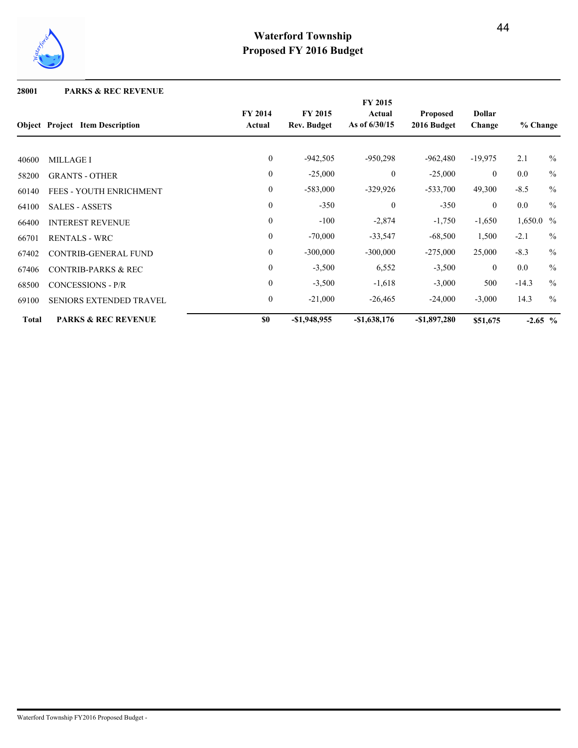

### **28001 PARKS & REC REVENUE**

|              |                                        |                          |                               | FY 2015                   |                                |                         |            |               |
|--------------|----------------------------------------|--------------------------|-------------------------------|---------------------------|--------------------------------|-------------------------|------------|---------------|
|              | <b>Object</b> Project Item Description | <b>FY 2014</b><br>Actual | <b>FY 2015</b><br>Rev. Budget | Actual<br>As of $6/30/15$ | <b>Proposed</b><br>2016 Budget | <b>Dollar</b><br>Change | % Change   |               |
|              |                                        | $\boldsymbol{0}$         | $-942,505$                    | $-950,298$                | $-962,480$                     | $-19,975$               | 2.1        | $\%$          |
| 40600        | <b>MILLAGE I</b>                       |                          |                               |                           |                                |                         |            |               |
| 58200        | <b>GRANTS - OTHER</b>                  | $\theta$                 | $-25,000$                     | $\mathbf{0}$              | $-25,000$                      | $\overline{0}$          | 0.0        | $\frac{0}{0}$ |
| 60140        | <b>FEES - YOUTH ENRICHMENT</b>         | $\mathbf{0}$             | $-583,000$                    | $-329,926$                | $-533,700$                     | 49,300                  | $-8.5$     | $\%$          |
| 64100        | <b>SALES - ASSETS</b>                  | $\theta$                 | $-350$                        | $\mathbf{0}$              | $-350$                         | $\overline{0}$          | 0.0        | $\frac{0}{0}$ |
| 66400        | <b>INTEREST REVENUE</b>                | $\mathbf{0}$             | $-100$                        | $-2,874$                  | $-1,750$                       | $-1,650$                | 1,650.0 %  |               |
| 66701        | <b>RENTALS - WRC</b>                   | $\mathbf{0}$             | $-70,000$                     | $-33,547$                 | $-68,500$                      | 1,500                   | $-2.1$     | $\%$          |
| 67402        | <b>CONTRIB-GENERAL FUND</b>            | $\mathbf{0}$             | $-300,000$                    | $-300,000$                | $-275,000$                     | 25,000                  | $-8.3$     | $\%$          |
| 67406        | <b>CONTRIB-PARKS &amp; REC</b>         | $\boldsymbol{0}$         | $-3,500$                      | 6,552                     | $-3,500$                       | $\mathbf{0}$            | 0.0        | $\frac{0}{0}$ |
| 68500        | CONCESSIONS - P/R                      | $\theta$                 | $-3,500$                      | $-1,618$                  | $-3,000$                       | 500                     | $-14.3$    | $\%$          |
| 69100        | SENIORS EXTENDED TRAVEL                | $\boldsymbol{0}$         | $-21,000$                     | $-26,465$                 | $-24,000$                      | $-3,000$                | 14.3       | $\frac{0}{0}$ |
| <b>Total</b> | <b>PARKS &amp; REC REVENUE</b>         | \$0                      | -\$1,948,955                  | $-$1,638,176$             | $-\$1,897,280$                 | \$51,675                | $-2.65\,%$ |               |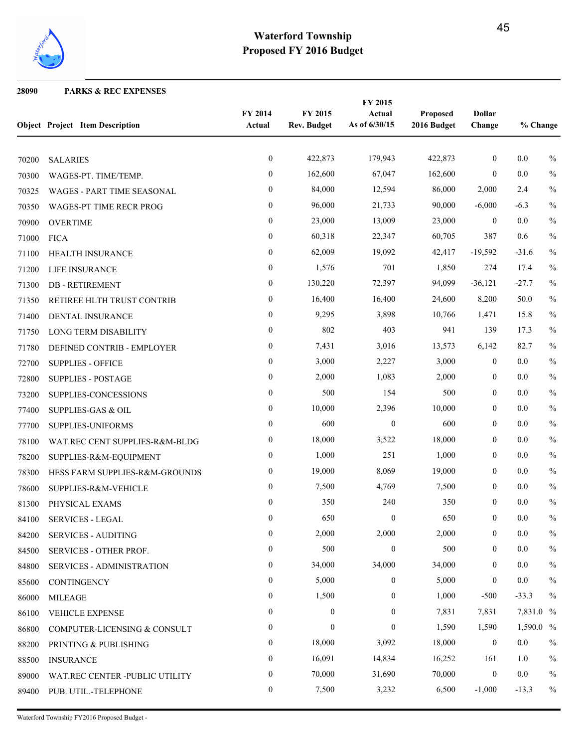

### **PARKS & REC EXPENSES**

|       | <b>Object Project Item Description</b> | FY 2014<br>Actual | FY 2015<br><b>Rev. Budget</b> | FY 2015<br>Actual<br>As of 6/30/15 | Proposed<br>2016 Budget | <b>Dollar</b><br>Change | % Change  |               |
|-------|----------------------------------------|-------------------|-------------------------------|------------------------------------|-------------------------|-------------------------|-----------|---------------|
| 70200 | <b>SALARIES</b>                        | $\boldsymbol{0}$  | 422,873                       | 179,943                            | 422,873                 | $\mathbf{0}$            | $0.0\,$   | $\%$          |
| 70300 | WAGES-PT. TIME/TEMP.                   | $\boldsymbol{0}$  | 162,600                       | 67,047                             | 162,600                 | $\mathbf{0}$            | 0.0       | $\%$          |
| 70325 | WAGES - PART TIME SEASONAL             | $\overline{0}$    | 84,000                        | 12,594                             | 86,000                  | 2,000                   | 2.4       | $\%$          |
| 70350 | WAGES-PT TIME RECR PROG                | $\mathbf{0}$      | 96,000                        | 21,733                             | 90,000                  | $-6,000$                | $-6.3$    | $\%$          |
| 70900 | <b>OVERTIME</b>                        | $\boldsymbol{0}$  | 23,000                        | 13,009                             | 23,000                  | $\mathbf{0}$            | $0.0\,$   | $\%$          |
| 71000 | <b>FICA</b>                            | $\boldsymbol{0}$  | 60,318                        | 22,347                             | 60,705                  | 387                     | 0.6       | $\%$          |
| 71100 | HEALTH INSURANCE                       | $\boldsymbol{0}$  | 62,009                        | 19,092                             | 42,417                  | $-19,592$               | $-31.6$   | $\%$          |
| 71200 | LIFE INSURANCE                         | $\boldsymbol{0}$  | 1,576                         | 701                                | 1,850                   | 274                     | 17.4      | $\frac{0}{0}$ |
| 71300 | <b>DB-RETIREMENT</b>                   | $\boldsymbol{0}$  | 130,220                       | 72,397                             | 94,099                  | $-36,121$               | $-27.7$   | $\%$          |
| 71350 | RETIREE HLTH TRUST CONTRIB             | $\boldsymbol{0}$  | 16,400                        | 16,400                             | 24,600                  | 8,200                   | 50.0      | $\%$          |
| 71400 | DENTAL INSURANCE                       | $\boldsymbol{0}$  | 9,295                         | 3,898                              | 10,766                  | 1,471                   | 15.8      | $\frac{0}{0}$ |
| 71750 | LONG TERM DISABILITY                   | $\overline{0}$    | 802                           | 403                                | 941                     | 139                     | 17.3      | $\%$          |
| 71780 | DEFINED CONTRIB - EMPLOYER             | $\boldsymbol{0}$  | 7,431                         | 3,016                              | 13,573                  | 6,142                   | 82.7      | $\%$          |
| 72700 | <b>SUPPLIES - OFFICE</b>               | $\boldsymbol{0}$  | 3,000                         | 2,227                              | 3,000                   | $\mathbf{0}$            | 0.0       | $\frac{0}{0}$ |
| 72800 | <b>SUPPLIES - POSTAGE</b>              | $\boldsymbol{0}$  | 2,000                         | 1,083                              | 2,000                   | $\mathbf{0}$            | 0.0       | $\%$          |
| 73200 | SUPPLIES-CONCESSIONS                   | $\boldsymbol{0}$  | 500                           | 154                                | 500                     | $\mathbf{0}$            | 0.0       | $\frac{0}{0}$ |
| 77400 | <b>SUPPLIES-GAS &amp; OIL</b>          | $\boldsymbol{0}$  | 10,000                        | 2,396                              | 10,000                  | $\boldsymbol{0}$        | 0.0       | $\%$          |
| 77700 | SUPPLIES-UNIFORMS                      | $\boldsymbol{0}$  | 600                           | $\boldsymbol{0}$                   | 600                     | $\boldsymbol{0}$        | 0.0       | $\%$          |
| 78100 | WAT.REC CENT SUPPLIES-R&M-BLDG         | $\boldsymbol{0}$  | 18,000                        | 3,522                              | 18,000                  | $\mathbf{0}$            | 0.0       | $\%$          |
| 78200 | SUPPLIES-R&M-EQUIPMENT                 | $\mathbf{0}$      | 1,000                         | 251                                | 1,000                   | $\mathbf{0}$            | 0.0       | $\%$          |
| 78300 | HESS FARM SUPPLIES-R&M-GROUNDS         | $\mathbf{0}$      | 19,000                        | 8,069                              | 19,000                  | $\mathbf{0}$            | 0.0       | $\%$          |
| 78600 | SUPPLIES-R&M-VEHICLE                   | $\boldsymbol{0}$  | 7,500                         | 4,769                              | 7,500                   | $\mathbf{0}$            | 0.0       | $\%$          |
| 81300 | PHYSICAL EXAMS                         | $\mathbf{0}$      | 350                           | 240                                | 350                     | $\boldsymbol{0}$        | 0.0       | $\frac{0}{0}$ |
|       | 84100 SERVICES - LEGAL                 | $\theta$          | 650                           | $\theta$                           | 650                     | $\Omega$                | 0.0       | $\%$          |
| 84200 | <b>SERVICES - AUDITING</b>             | $\boldsymbol{0}$  | 2,000                         | 2,000                              | 2,000                   | $\mathbf{0}$            | 0.0       | $\%$          |
| 84500 | SERVICES - OTHER PROF.                 | $\boldsymbol{0}$  | 500                           | $\mathbf{0}$                       | 500                     | $\boldsymbol{0}$        | $0.0\,$   | $\%$          |
| 84800 | <b>SERVICES - ADMINISTRATION</b>       | $\boldsymbol{0}$  | 34,000                        | 34,000                             | 34,000                  | $\boldsymbol{0}$        | 0.0       | $\%$          |
| 85600 | CONTINGENCY                            | $\mathbf{0}$      | 5,000                         | $\overline{0}$                     | 5,000                   | $\mathbf{0}$            | 0.0       | $\%$          |
| 86000 | <b>MILEAGE</b>                         | 0                 | 1,500                         | $\Omega$                           | 1,000                   | $-500$                  | $-33.3$   | $\%$          |
| 86100 | <b>VEHICLE EXPENSE</b>                 | 0                 | $\boldsymbol{0}$              | $\mathbf{0}$                       | 7,831                   | 7,831                   | 7,831.0 % |               |
| 86800 | COMPUTER-LICENSING & CONSULT           | 0                 | $\boldsymbol{0}$              | $\overline{0}$                     | 1,590                   | 1,590                   | 1,590.0 % |               |
| 88200 | PRINTING & PUBLISHING                  | 0                 | 18,000                        | 3,092                              | 18,000                  | $\boldsymbol{0}$        | $0.0\,$   | $\%$          |
| 88500 | <b>INSURANCE</b>                       | $\theta$          | 16,091                        | 14,834                             | 16,252                  | 161                     | 1.0       | $\%$          |
| 89000 | WAT.REC CENTER -PUBLIC UTILITY         | 0                 | 70,000                        | 31,690                             | 70,000                  | $\boldsymbol{0}$        | 0.0       | $\%$          |
| 89400 | PUB. UTIL.-TELEPHONE                   | 0                 | 7,500                         | 3,232                              | 6,500                   | $-1,000$                | $-13.3$   | $\%$          |

Waterford Township FY2016 Proposed Budget -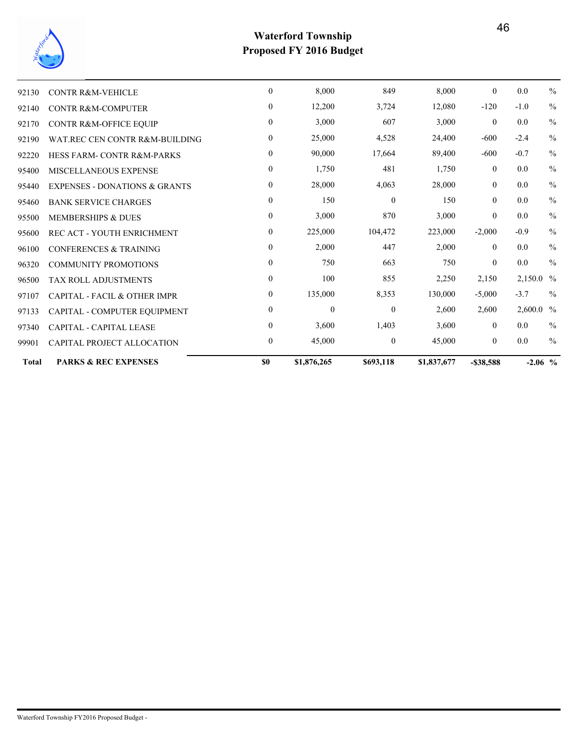

| <b>Total</b> | <b>PARKS &amp; REC EXPENSES</b>          | \$0              | \$1,876,265      | \$693,118        | \$1,837,677 | $-$ \$38,588   | $-2.06$ % |               |
|--------------|------------------------------------------|------------------|------------------|------------------|-------------|----------------|-----------|---------------|
| 99901        | CAPITAL PROJECT ALLOCATION               | $\overline{0}$   | 45,000           | $\mathbf{0}$     | 45,000      | $\overline{0}$ | $0.0\,$   | $\frac{0}{0}$ |
| 97340        | <b>CAPITAL - CAPITAL LEASE</b>           | $\boldsymbol{0}$ | 3,600            | 1,403            | 3,600       | $\overline{0}$ | 0.0       | $\frac{0}{0}$ |
| 97133        | CAPITAL - COMPUTER EQUIPMENT             | $\boldsymbol{0}$ | $\boldsymbol{0}$ | $\boldsymbol{0}$ | 2,600       | 2,600          | 2,600.0 % |               |
| 97107        | CAPITAL - FACIL & OTHER IMPR             | $\boldsymbol{0}$ | 135,000          | 8,353            | 130,000     | $-5,000$       | $-3.7$    | $\frac{0}{0}$ |
| 96500        | <b>TAX ROLL ADJUSTMENTS</b>              | $\overline{0}$   | 100              | 855              | 2,250       | 2,150          | 2,150.0 % |               |
| 96320        | <b>COMMUNITY PROMOTIONS</b>              | $\overline{0}$   | 750              | 663              | 750         | $\overline{0}$ | $0.0\,$   | $\frac{0}{0}$ |
| 96100        | <b>CONFERENCES &amp; TRAINING</b>        | $\overline{0}$   | 2,000            | 447              | 2,000       | $\theta$       | 0.0       | $\frac{0}{0}$ |
| 95600        | REC ACT - YOUTH ENRICHMENT               | $\overline{0}$   | 225,000          | 104,472          | 223,000     | $-2,000$       | $-0.9$    | $\frac{0}{0}$ |
| 95500        | <b>MEMBERSHIPS &amp; DUES</b>            | $\boldsymbol{0}$ | 3,000            | 870              | 3,000       | $\mathbf{0}$   | 0.0       | $\frac{0}{0}$ |
| 95460        | <b>BANK SERVICE CHARGES</b>              | $\overline{0}$   | 150              | $\boldsymbol{0}$ | 150         | $\overline{0}$ | 0.0       | $\frac{0}{0}$ |
| 95440        | <b>EXPENSES - DONATIONS &amp; GRANTS</b> | $\boldsymbol{0}$ | 28,000           | 4,063            | 28,000      | $\overline{0}$ | 0.0       | $\frac{0}{0}$ |
| 95400        | <b>MISCELLANEOUS EXPENSE</b>             | $\overline{0}$   | 1,750            | 481              | 1,750       | $\mathbf{0}$   | 0.0       | $\frac{0}{0}$ |
| 92220        | <b>HESS FARM-CONTR R&amp;M-PARKS</b>     | $\mathbf{0}$     | 90,000           | 17,664           | 89,400      | $-600$         | $-0.7$    | $\frac{0}{0}$ |
| 92190        | WAT REC CEN CONTR R&M-BUILDING           | $\overline{0}$   | 25,000           | 4,528            | 24,400      | $-600$         | $-2.4$    | $\frac{0}{0}$ |
| 92170        | CONTR R&M-OFFICE EQUIP                   | $\overline{0}$   | 3,000            | 607              | 3,000       | $\overline{0}$ | 0.0       | $\frac{0}{0}$ |
| 92140        | <b>CONTR R&amp;M-COMPUTER</b>            | $\overline{0}$   | 12,200           | 3,724            | 12,080      | $-120$         | $-1.0$    | $\frac{0}{0}$ |
| 92130        | <b>CONTR R&amp;M-VEHICLE</b>             | $\mathbf{0}$     | 8,000            | 849              | 8,000       | $\mathbf{0}$   | 0.0       | $\frac{0}{0}$ |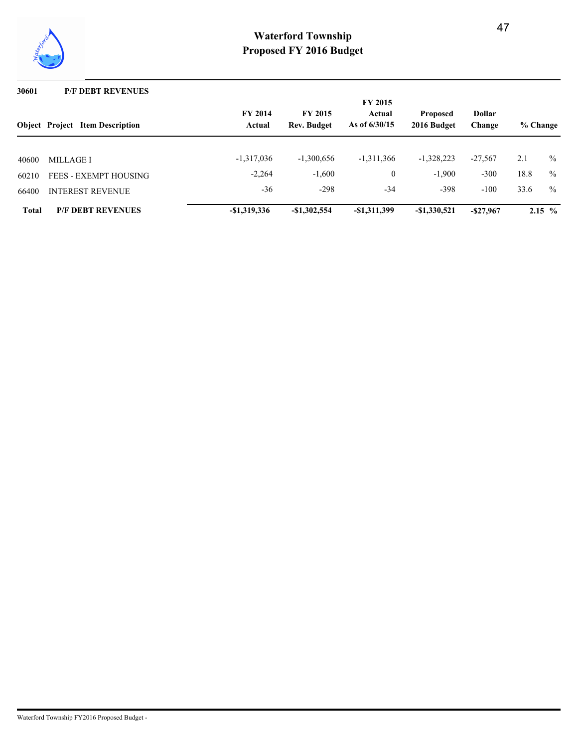

### **30601 P/F DEBT REVENUES**

|              | <b>Object</b> Project Item Description | <b>FY 2014</b><br>Actual | <b>FY 2015</b><br><b>Rev. Budget</b> | <b>FY 2015</b><br>Actual<br>As of $6/30/15$ | <b>Dollar</b><br><b>Proposed</b><br>2016 Budget<br>Change |              | % Change |               |
|--------------|----------------------------------------|--------------------------|--------------------------------------|---------------------------------------------|-----------------------------------------------------------|--------------|----------|---------------|
|              |                                        |                          |                                      |                                             |                                                           |              |          |               |
| 40600        | MILLAGE I                              | $-1,317,036$             | $-1,300,656$                         | $-1,311,366$                                | $-1,328,223$                                              | $-27.567$    | 2.1      | $\%$          |
| 60210        | <b>FEES - EXEMPT HOUSING</b>           | $-2,264$                 | $-1,600$                             | $\overline{0}$                              | $-1,900$                                                  | $-300$       | 18.8     | $\frac{0}{0}$ |
| 66400        | <b>INTEREST REVENUE</b>                | $-36$                    | $-298$                               | $-34$                                       | $-398$                                                    | $-100$       | 33.6     | $\frac{0}{0}$ |
| <b>Total</b> | <b>P/F DEBT REVENUES</b>               | $-$1,319,336$            | $-$1,302,554$                        | $-$1,311,399$                               | $-$1,330,521$                                             | $-$ \$27,967 |          | $2.15\%$      |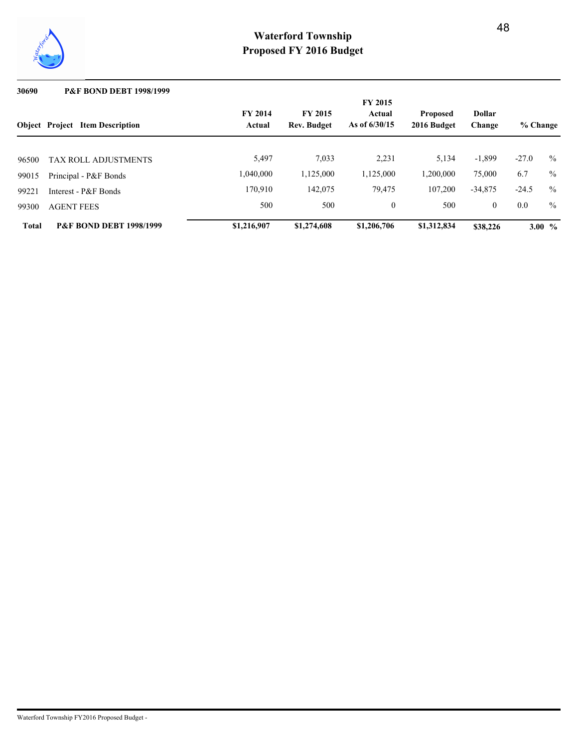

### **30690 P&F BOND DEBT 1998/1999**

|              | <b>Object Project Item Description</b> | <b>FY 2014</b><br><b>FY 2015</b><br>As of $6/30/15$<br><b>Rev. Budget</b><br>Actual |             |              |             |              |         | % Change |
|--------------|----------------------------------------|-------------------------------------------------------------------------------------|-------------|--------------|-------------|--------------|---------|----------|
|              |                                        | 5,497                                                                               | 7,033       | 2,231        | 5,134       | $-1,899$     | $-27.0$ | $\%$     |
| 96500        | <b>TAX ROLL ADJUSTMENTS</b>            |                                                                                     |             |              |             |              |         |          |
| 99015        | Principal - P&F Bonds                  | 1,040,000                                                                           | 1,125,000   | 1,125,000    | 1,200,000   | 75,000       | 6.7     | $\%$     |
| 99221        | Interest - P&F Bonds                   | 170,910                                                                             | 142,075     | 79,475       | 107,200     | $-34,875$    | $-24.5$ | $\%$     |
| 99300        | <b>AGENT FEES</b>                      | 500                                                                                 | 500         | $\mathbf{0}$ | 500         | $\mathbf{0}$ | 0.0     | $\%$     |
| <b>Total</b> | <b>P&amp;F BOND DEBT 1998/1999</b>     | \$1,216,907                                                                         | \$1,274,608 | \$1,206,706  | \$1,312,834 | \$38,226     |         | 3.00 $%$ |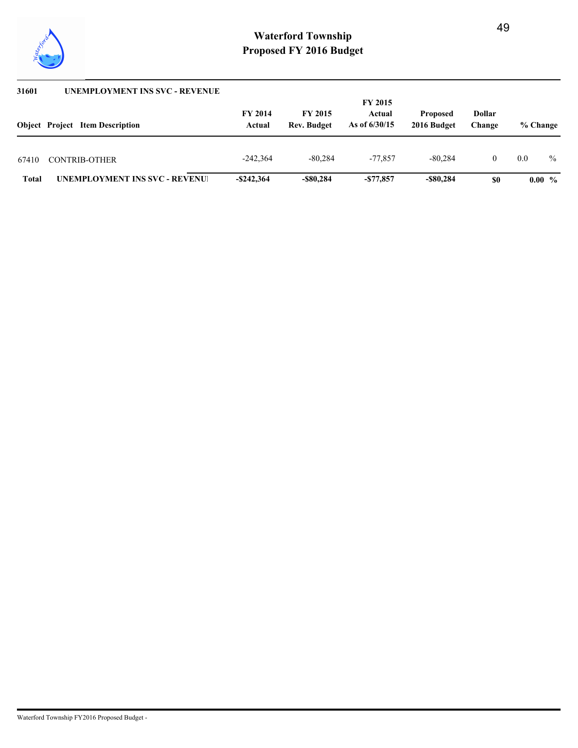

| 31601        | <b>UNEMPLOYMENT INS SVC - REVENUE</b>  |                          |                                      | <b>FY 2015</b>            |                                |                  |          |          |  |  |  |  |  |
|--------------|----------------------------------------|--------------------------|--------------------------------------|---------------------------|--------------------------------|------------------|----------|----------|--|--|--|--|--|
|              | <b>Object</b> Project Item Description | <b>FY 2014</b><br>Actual | <b>FY 2015</b><br><b>Rev. Budget</b> | Actual<br>As of $6/30/15$ | <b>Proposed</b><br>2016 Budget | Dollar<br>Change | % Change |          |  |  |  |  |  |
| 67410        | <b>CONTRIB-OTHER</b>                   | $-242.364$               | $-80.284$                            | -77.857                   | $-80.284$                      |                  | 0.0      | $\%$     |  |  |  |  |  |
| <b>Total</b> | <b>UNEMPLOYMENT INS SVC - REVENUE</b>  | $-$ \$242,364            | -\$80,284                            | $-577,857$                | -\$80,284                      | \$0              |          | $0.00\%$ |  |  |  |  |  |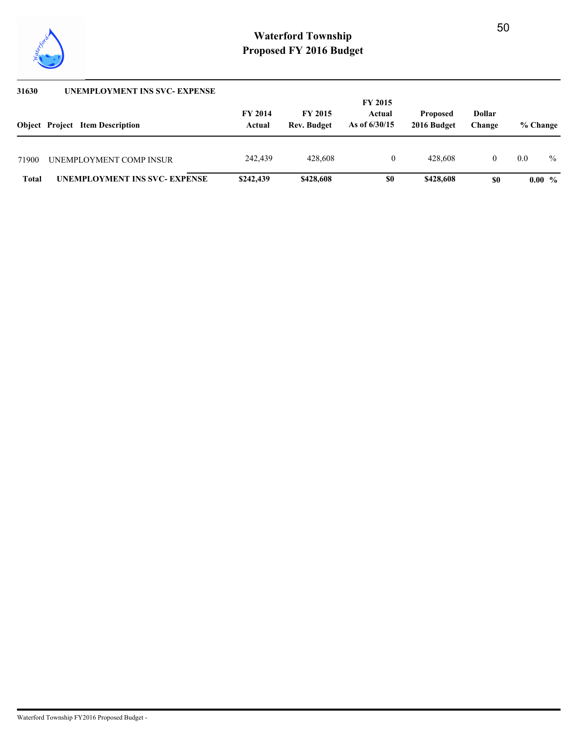

| 31630 | <b>UNEMPLOYMENT INS SVC- EXPENSE</b>   |                          |                                      | <b>FY 2015</b>            |                                |                  |     |               |
|-------|----------------------------------------|--------------------------|--------------------------------------|---------------------------|--------------------------------|------------------|-----|---------------|
|       | <b>Object</b> Project Item Description | <b>FY 2014</b><br>Actual | <b>FY 2015</b><br><b>Rev. Budget</b> | Actual<br>As of $6/30/15$ | <b>Proposed</b><br>2016 Budget | Dollar<br>Change |     | % Change      |
| 71900 | UNEMPLOYMENT COMP INSUR                | 242,439                  | 428,608                              | $\bf{0}$                  | 428.608                        |                  | 0.0 | $\frac{0}{0}$ |
| Total | <b>UNEMPLOYMENT INS SVC- EXPENSE</b>   | \$242,439                | \$428,608                            | \$0                       | \$428,608                      | \$0              |     | $0.00\%$      |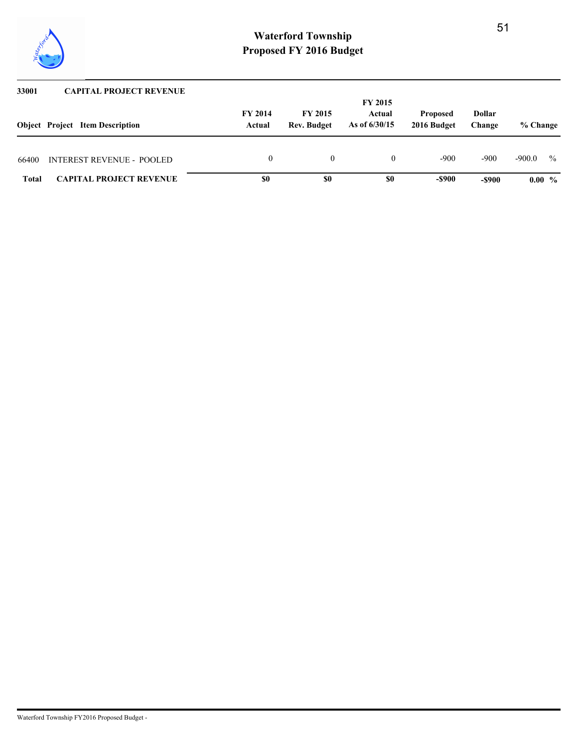

| 33001        | <b>CAPITAL PROJECT REVENUE</b>         |                          |                                      |                           |                                |                  |          |               |
|--------------|----------------------------------------|--------------------------|--------------------------------------|---------------------------|--------------------------------|------------------|----------|---------------|
|              |                                        |                          |                                      | <b>FY 2015</b>            |                                |                  |          |               |
|              | <b>Object</b> Project Item Description | <b>FY 2014</b><br>Actual | <b>FY 2015</b><br><b>Rev. Budget</b> | Actual<br>As of $6/30/15$ | <b>Proposed</b><br>2016 Budget | Dollar<br>Change | % Change |               |
|              |                                        |                          |                                      |                           |                                |                  |          |               |
| 66400        | <b>INTEREST REVENUE - POOLED</b>       | $\Omega$                 |                                      |                           | $-900$                         | -900             | $-900.0$ | $\frac{0}{0}$ |
| <b>Total</b> | <b>CAPITAL PROJECT REVENUE</b>         | \$0                      | \$0                                  | \$0                       | -\$900                         | -\$900           | $0.00\%$ |               |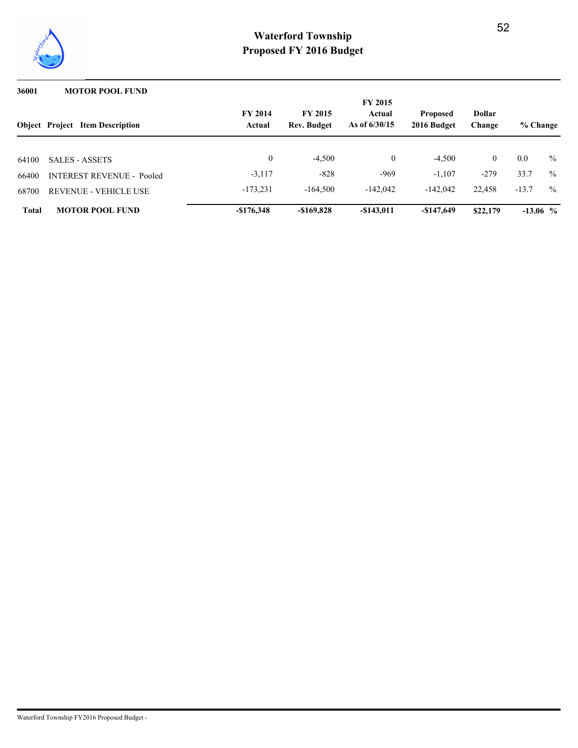

### **36001 MOTOR POOL FUND**

|              | <b>Object Project Item Description</b> | <b>FY 2014</b> | <b>FY 2015</b><br><b>FY 2015</b><br><b>Dollar</b><br>Actual<br><b>Proposed</b><br>As of $6/30/15$<br>2016 Budget<br><b>Rev. Budget</b><br>Actual<br>Change |                |              |                |            |               |  |
|--------------|----------------------------------------|----------------|------------------------------------------------------------------------------------------------------------------------------------------------------------|----------------|--------------|----------------|------------|---------------|--|
|              |                                        |                |                                                                                                                                                            |                |              |                | % Change   |               |  |
| 64100        | <b>SALES - ASSETS</b>                  | $\theta$       | $-4,500$                                                                                                                                                   | $\overline{0}$ | $-4,500$     | $\overline{0}$ | 0.0        | $\frac{0}{0}$ |  |
| 66400        | <b>INTEREST REVENUE - Pooled</b>       | $-3,117$       | $-828$                                                                                                                                                     | $-969$         | $-1.107$     | $-279$         | 33.7       | $\%$          |  |
| 68700        | REVENUE - VEHICLE USE                  | $-173,231$     | $-164.500$                                                                                                                                                 | $-142.042$     | $-142.042$   | 22,458         | $-13.7$    | $\%$          |  |
| <b>Total</b> | <b>MOTOR POOL FUND</b>                 | $-$176,348$    | $-$ \$169,828                                                                                                                                              | $-$ \$143,011  | $-\$147,649$ | \$22,179       | $-13.06$ % |               |  |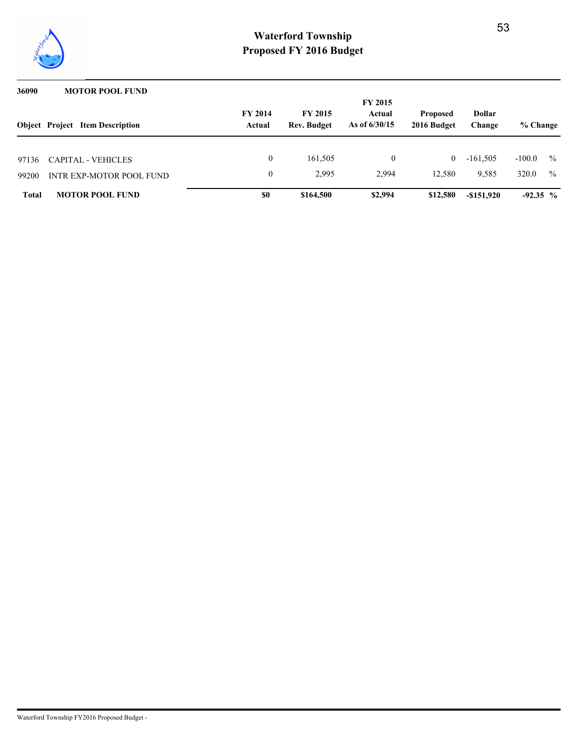

| 36090          | <b>MOTOR POOL FUND</b>                                |                          |                                      |                                             |                                |                         |                   |                                |
|----------------|-------------------------------------------------------|--------------------------|--------------------------------------|---------------------------------------------|--------------------------------|-------------------------|-------------------|--------------------------------|
|                | <b>Object</b> Project Item Description                | <b>FY 2014</b><br>Actual | <b>FY 2015</b><br><b>Rev. Budget</b> | <b>FY 2015</b><br>Actual<br>As of $6/30/15$ | <b>Proposed</b><br>2016 Budget | <b>Dollar</b><br>Change | % Change          |                                |
|                |                                                       |                          |                                      |                                             |                                |                         |                   |                                |
| 97136<br>99200 | <b>CAPITAL - VEHICLES</b><br>INTR EXP-MOTOR POOL FUND | 0                        | 161,505<br>2.995                     | 0<br>2.994                                  | $\bf{0}$<br>12,580             | $-161.505$<br>9,585     | $-100.0$<br>320.0 | $\frac{0}{0}$<br>$\frac{0}{0}$ |
| <b>Total</b>   | <b>MOTOR POOL FUND</b>                                | \$0                      | \$164,500                            | \$2,994                                     | \$12,580                       | $-$ \$151,920           | $-92.35\%$        |                                |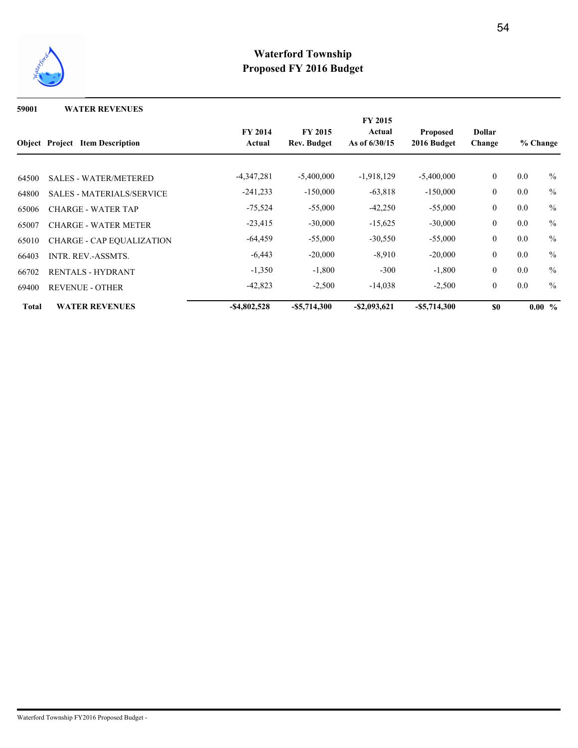

**59001 WATER REVENUES**

|              |                                        |                 |                 | <b>FY 2015</b>  |                 |                  |          |               |
|--------------|----------------------------------------|-----------------|-----------------|-----------------|-----------------|------------------|----------|---------------|
|              |                                        | <b>FY 2014</b>  | <b>FY 2015</b>  | Actual          | <b>Proposed</b> | Dollar           | % Change |               |
|              | <b>Object</b> Project Item Description | Actual          | Rev. Budget     | As of $6/30/15$ | 2016 Budget     | Change           |          |               |
|              |                                        |                 |                 |                 |                 |                  |          |               |
| 64500        | <b>SALES - WATER/METERED</b>           | $-4,347,281$    | $-5,400,000$    | $-1,918,129$    | $-5,400,000$    | $\boldsymbol{0}$ | 0.0      | $\%$          |
| 64800        | <b>SALES - MATERIALS/SERVICE</b>       | $-241,233$      | $-150,000$      | $-63,818$       | $-150,000$      | $\mathbf{0}$     | 0.0      | $\frac{0}{0}$ |
| 65006        | <b>CHARGE - WATER TAP</b>              | $-75,524$       | $-55,000$       | $-42,250$       | $-55,000$       | $\mathbf{0}$     | 0.0      | $\frac{0}{0}$ |
| 65007        | <b>CHARGE - WATER METER</b>            | $-23,415$       | $-30,000$       | $-15,625$       | $-30,000$       | $\boldsymbol{0}$ | 0.0      | $\frac{0}{0}$ |
| 65010        | <b>CHARGE - CAP EQUALIZATION</b>       | $-64,459$       | $-55,000$       | $-30,550$       | $-55,000$       | $\mathbf{0}$     | 0.0      | $\frac{0}{0}$ |
| 66403        | <b>INTR. REV.-ASSMTS.</b>              | $-6,443$        | $-20,000$       | $-8,910$        | $-20,000$       | $\mathbf{0}$     | 0.0      | $\frac{0}{0}$ |
| 66702        | <b>RENTALS - HYDRANT</b>               | $-1,350$        | $-1,800$        | $-300$          | $-1,800$        | $\boldsymbol{0}$ | 0.0      | $\frac{0}{0}$ |
| 69400        | <b>REVENUE - OTHER</b>                 | $-42,823$       | $-2,500$        | $-14,038$       | $-2,500$        | $\boldsymbol{0}$ | 0.0      | $\frac{0}{0}$ |
| <b>Total</b> | <b>WATER REVENUES</b>                  | $-$ \$4,802,528 | $-$ \$5,714,300 | $-$ \$2,093,621 | $-$ \$5,714,300 | <b>SO</b>        |          | $0.00\%$      |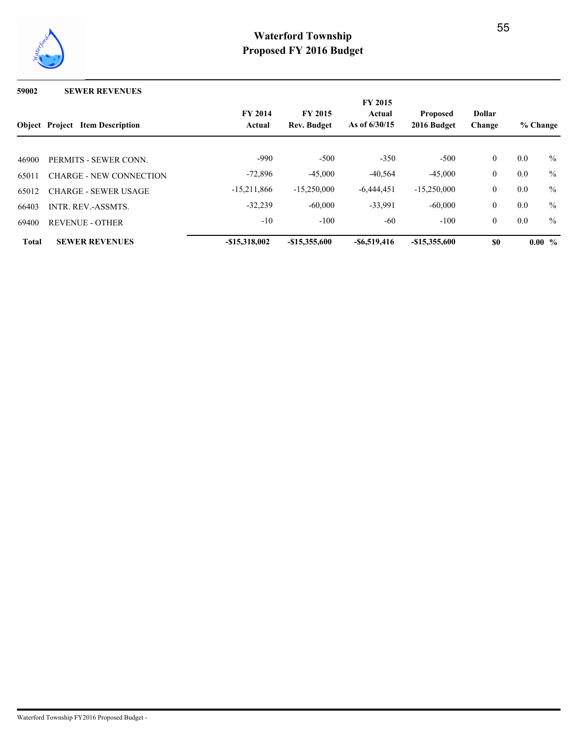

#### **59002 SEWER REVENUES**

|              | <b>Object Project Item Description</b> | <b>FY 2014</b><br>Actual | <b>FY 2015</b><br><b>Rev. Budget</b> | <b>FY 2015</b><br>Actual<br>As of $6/30/15$ | <b>Proposed</b><br>2016 Budget | <b>Dollar</b><br>Change |     | % Change      |
|--------------|----------------------------------------|--------------------------|--------------------------------------|---------------------------------------------|--------------------------------|-------------------------|-----|---------------|
| 46900        | PERMITS - SEWER CONN.                  | $-990$                   | $-500$                               | $-350$                                      | $-500$                         | $\mathbf{0}$            | 0.0 | $\frac{0}{0}$ |
| 65011        | <b>CHARGE - NEW CONNECTION</b>         | $-72,896$                | $-45,000$                            | $-40,564$                                   | $-45,000$                      | $\mathbf{0}$            | 0.0 | $\frac{0}{0}$ |
| 65012        | <b>CHARGE - SEWER USAGE</b>            | $-15,211,866$            | $-15,250,000$                        | $-6.444.451$                                | $-15,250,000$                  | $\mathbf{0}$            | 0.0 | $\frac{0}{0}$ |
| 66403        | <b>INTR. REV.-ASSMTS.</b>              | $-32,239$                | $-60,000$                            | $-33,991$                                   | $-60,000$                      | $\mathbf{0}$            | 0.0 | $\%$          |
| 69400        | <b>REVENUE - OTHER</b>                 | $-10$                    | $-100$                               | $-60$                                       | $-100$                         | $\mathbf{0}$            | 0.0 | $\frac{0}{0}$ |
| <b>Total</b> | <b>SEWER REVENUES</b>                  | $-$15.318.002$           | $-$15,355,600$                       | $-$ \$6,519,416                             | $-$15,355,600$                 | \$0                     |     | $0.00\%$      |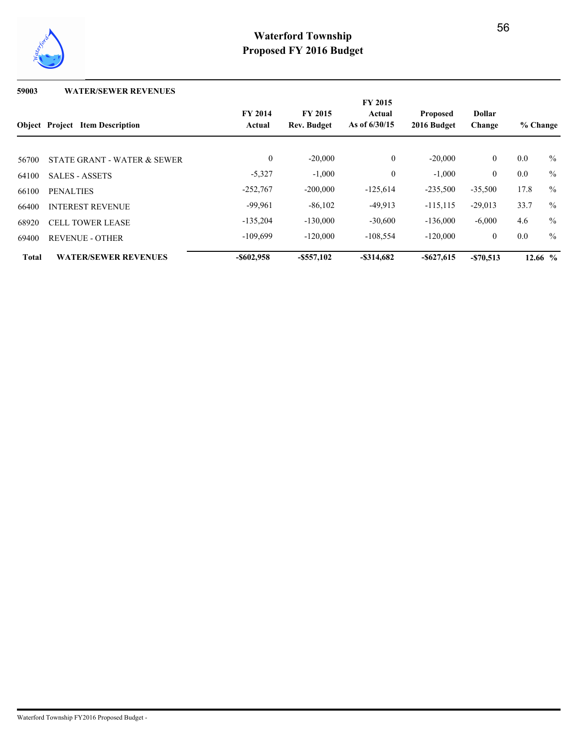

### **59003 WATER/SEWER REVENUES**

|              |                                        | <b>FY 2015</b>           |                                      |                           |                                |                         |          |               |
|--------------|----------------------------------------|--------------------------|--------------------------------------|---------------------------|--------------------------------|-------------------------|----------|---------------|
|              | <b>Object</b> Project Item Description | <b>FY 2014</b><br>Actual | <b>FY 2015</b><br><b>Rev. Budget</b> | Actual<br>As of $6/30/15$ | <b>Proposed</b><br>2016 Budget | <b>Dollar</b><br>Change | % Change |               |
| 56700        | STATE GRANT - WATER & SEWER            | $\boldsymbol{0}$         | $-20,000$                            | $\mathbf{0}$              | $-20,000$                      | $\mathbf{0}$            | 0.0      | $\%$          |
| 64100        | <b>SALES - ASSETS</b>                  | $-5,327$                 | $-1,000$                             | $\mathbf{0}$              | $-1,000$                       | $\mathbf{0}$            | 0.0      | $\frac{0}{0}$ |
| 66100        | <b>PENALTIES</b>                       | $-252,767$               | $-200,000$                           | $-125,614$                | $-235,500$                     | $-35,500$               | 17.8     | $\frac{0}{0}$ |
| 66400        | <b>INTEREST REVENUE</b>                | $-99.961$                | $-86,102$                            | $-49.913$                 | $-115, 115$                    | $-29,013$               | 33.7     | $\frac{0}{0}$ |
| 68920        | <b>CELL TOWER LEASE</b>                | $-135,204$               | $-130,000$                           | $-30,600$                 | $-136,000$                     | $-6,000$                | 4.6      | $\frac{0}{0}$ |
| 69400        | <b>REVENUE - OTHER</b>                 | $-109.699$               | $-120,000$                           | $-108,554$                | $-120,000$                     | $\mathbf{0}$            | 0.0      | $\frac{0}{0}$ |
| <b>Total</b> | <b>WATER/SEWER REVENUES</b>            | $-$ \$602,958            | $-$ \$557,102                        | $-$ \$314,682             | $-$ \$627,615                  | $-$ \$70,513            |          | $12.66~\%$    |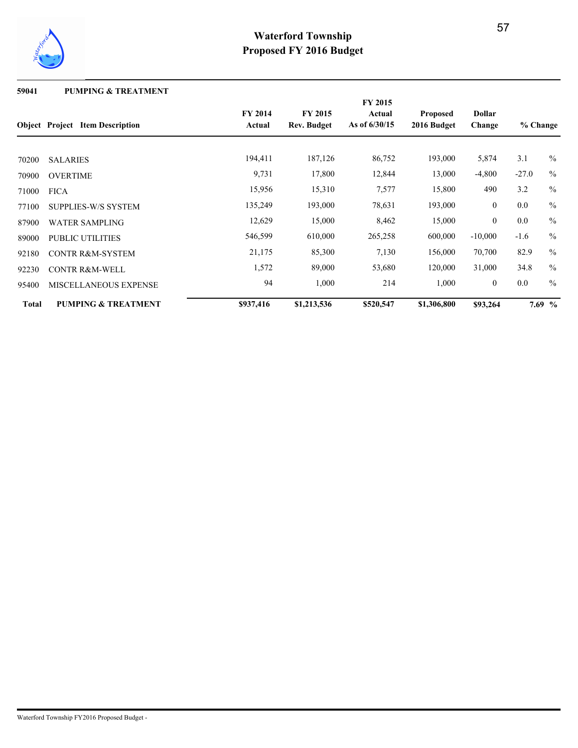

**59041 PUMPING & TREATMENT**

|              |                                        |                          |                               | <b>FY 2015</b>            |                                |                         |          |               |
|--------------|----------------------------------------|--------------------------|-------------------------------|---------------------------|--------------------------------|-------------------------|----------|---------------|
|              | <b>Object</b> Project Item Description | <b>FY 2014</b><br>Actual | <b>FY 2015</b><br>Rev. Budget | Actual<br>As of $6/30/15$ | <b>Proposed</b><br>2016 Budget | <b>Dollar</b><br>Change | % Change |               |
|              |                                        |                          |                               |                           |                                |                         |          |               |
| 70200        | <b>SALARIES</b>                        | 194,411                  | 187,126                       | 86,752                    | 193,000                        | 5,874                   | 3.1      | $\%$          |
| 70900        | <b>OVERTIME</b>                        | 9,731                    | 17,800                        | 12,844                    | 13,000                         | $-4,800$                | $-27.0$  | $\frac{0}{0}$ |
| 71000        | <b>FICA</b>                            | 15,956                   | 15,310                        | 7,577                     | 15,800                         | 490                     | 3.2      | $\frac{0}{0}$ |
| 77100        | <b>SUPPLIES-W/S SYSTEM</b>             | 135,249                  | 193,000                       | 78,631                    | 193,000                        | $\boldsymbol{0}$        | 0.0      | $\frac{0}{0}$ |
| 87900        | <b>WATER SAMPLING</b>                  | 12,629                   | 15,000                        | 8,462                     | 15,000                         | $\boldsymbol{0}$        | 0.0      | $\frac{0}{0}$ |
| 89000        | <b>PUBLIC UTILITIES</b>                | 546,599                  | 610,000                       | 265,258                   | 600,000                        | $-10,000$               | $-1.6$   | $\frac{0}{0}$ |
| 92180        | <b>CONTR R&amp;M-SYSTEM</b>            | 21,175                   | 85,300                        | 7,130                     | 156,000                        | 70,700                  | 82.9     | $\frac{0}{0}$ |
| 92230        | <b>CONTR R&amp;M-WELL</b>              | 1,572                    | 89,000                        | 53,680                    | 120,000                        | 31,000                  | 34.8     | $\frac{0}{0}$ |
| 95400        | MISCELLANEOUS EXPENSE                  | 94                       | 1,000                         | 214                       | 1,000                          | $\mathbf{0}$            | 0.0      | $\frac{0}{0}$ |
| <b>Total</b> | <b>PUMPING &amp; TREATMENT</b>         | \$937,416                | \$1,213,536                   | \$520,547                 | \$1,306,800                    | \$93,264                |          | $7.69\%$      |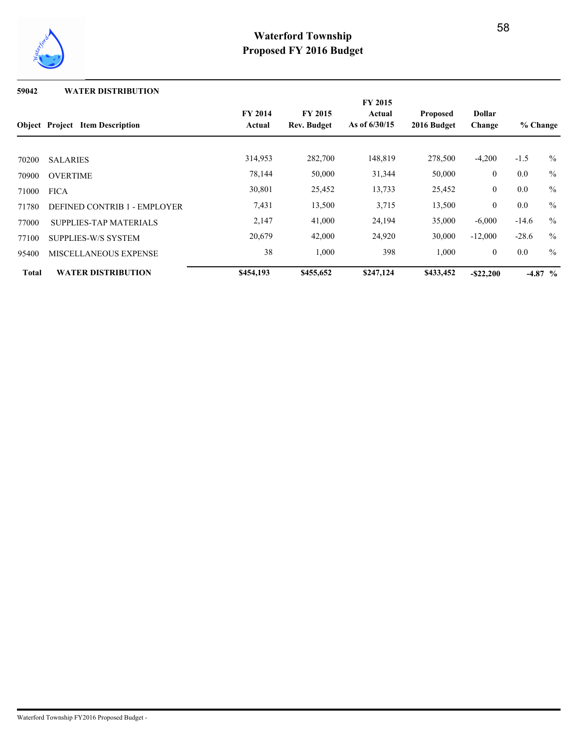

### **59042 WATER DISTRIBUTION**

|              |                                        |                          |                                      | <b>FY 2015</b>            |                                |                         |                                                                                                |               |
|--------------|----------------------------------------|--------------------------|--------------------------------------|---------------------------|--------------------------------|-------------------------|------------------------------------------------------------------------------------------------|---------------|
|              | <b>Object</b> Project Item Description | <b>FY 2014</b><br>Actual | <b>FY 2015</b><br><b>Rev. Budget</b> | Actual<br>As of $6/30/15$ | <b>Proposed</b><br>2016 Budget | <b>Dollar</b><br>Change | % Change<br>$-1.5$<br>$\frac{0}{0}$<br>$0.0\,$<br>$\frac{0}{0}$<br>0.0<br>0.0<br>$\frac{0}{0}$ |               |
|              |                                        |                          |                                      |                           |                                |                         |                                                                                                |               |
| 70200        | <b>SALARIES</b>                        | 314,953                  | 282,700                              | 148,819                   | 278,500                        | $-4,200$                |                                                                                                | $\%$          |
| 70900        | <b>OVERTIME</b>                        | 78,144                   | 50,000                               | 31,344                    | 50,000                         | $\boldsymbol{0}$        |                                                                                                |               |
| 71000        | <b>FICA</b>                            | 30,801                   | 25,452                               | 13,733                    | 25,452                         | $\overline{0}$          |                                                                                                |               |
| 71780        | DEFINED CONTRIB 1 - EMPLOYER           | 7,431                    | 13,500                               | 3,715                     | 13,500                         | $\mathbf{0}$            |                                                                                                |               |
| 77000        | <b>SUPPLIES-TAP MATERIALS</b>          | 2,147                    | 41,000                               | 24,194                    | 35,000                         | $-6,000$                | $-14.6$                                                                                        | $\frac{0}{0}$ |
| 77100        | SUPPLIES-W/S SYSTEM                    | 20,679                   | 42,000                               | 24,920                    | 30,000                         | $-12,000$               | $-28.6$                                                                                        | $\frac{0}{0}$ |
| 95400        | MISCELLANEOUS EXPENSE                  | 38                       | 1,000                                | 398                       | 1,000                          | $\overline{0}$          | $0.0\,$                                                                                        | $\frac{0}{0}$ |
| <b>Total</b> | <b>WATER DISTRIBUTION</b>              | \$454,193                | \$455,652                            | \$247,124                 | \$433,452                      | $-$ \$22,200            |                                                                                                | $-4.87\%$     |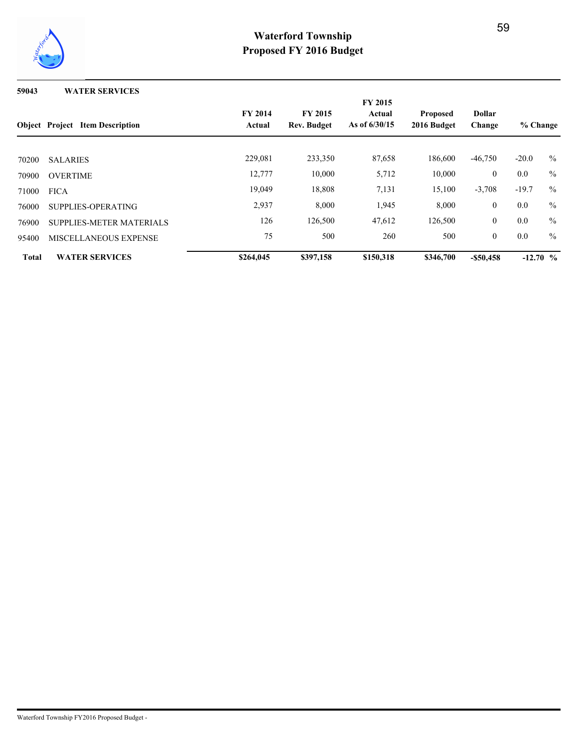

**59043 WATER SERVICES**

|              | <b>Object</b> Project Item Description | <b>FY 2015</b><br>Actual<br>As of $6/30/15$ | <b>Proposed</b><br>2016 Budget | <b>Dollar</b><br>Change | % Change  |                |         |               |
|--------------|----------------------------------------|---------------------------------------------|--------------------------------|-------------------------|-----------|----------------|---------|---------------|
| 70200        | <b>SALARIES</b>                        | 229,081                                     | 233,350                        | 87,658                  | 186,600   | $-46,750$      | $-20.0$ | $\%$          |
| 70900        | <b>OVERTIME</b>                        | 12,777                                      | 10,000                         | 5,712                   | 10,000    | $\overline{0}$ | 0.0     | $\frac{0}{0}$ |
| 71000        | <b>FICA</b>                            | 19,049                                      | 18,808                         | 7,131                   | 15,100    | $-3,708$       | $-19.7$ | $\frac{0}{0}$ |
| 76000        | SUPPLIES-OPERATING                     | 2,937                                       | 8,000                          | 1,945                   | 8,000     | $\overline{0}$ | 0.0     | $\frac{0}{0}$ |
| 76900        | SUPPLIES-METER MATERIALS               | 126                                         | 126,500                        | 47,612                  | 126,500   | $\overline{0}$ | 0.0     | $\%$          |
| 95400        | MISCELLANEOUS EXPENSE                  | 75                                          | 500                            | 260                     | 500       | $\overline{0}$ | 0.0     | $\frac{0}{0}$ |
| <b>Total</b> | <b>WATER SERVICES</b>                  | \$264,045                                   | \$397,158                      | \$150,318               | \$346,700 | $-$ \$50,458   |         | $-12.70$ %    |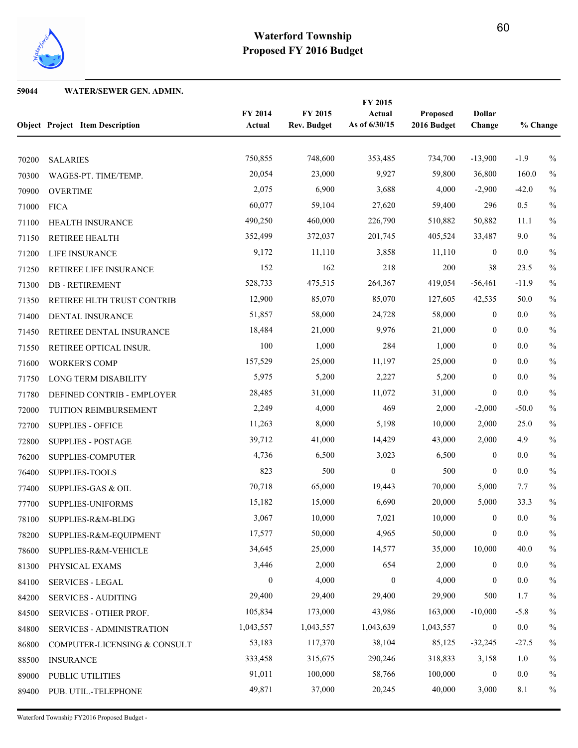

### **WATER/SEWER GEN. ADMIN.**

|       | <b>Object Project Item Description</b> | FY 2014<br>Actual | FY 2015<br><b>Rev. Budget</b> | FY 2015<br>Actual<br>As of 6/30/15 | Proposed<br>2016 Budget | <b>Dollar</b><br>Change | % Change |               |
|-------|----------------------------------------|-------------------|-------------------------------|------------------------------------|-------------------------|-------------------------|----------|---------------|
| 70200 | <b>SALARIES</b>                        | 750,855           | 748,600                       | 353,485                            | 734,700                 | $-13,900$               | $-1.9$   | $\%$          |
| 70300 | WAGES-PT. TIME/TEMP.                   | 20,054            | 23,000                        | 9,927                              | 59,800                  | 36,800                  | 160.0    | $\%$          |
| 70900 | <b>OVERTIME</b>                        | 2,075             | 6,900                         | 3,688                              | 4,000                   | $-2,900$                | $-42.0$  | $\%$          |
| 71000 | <b>FICA</b>                            | 60,077            | 59,104                        | 27,620                             | 59,400                  | 296                     | 0.5      | $\%$          |
| 71100 | HEALTH INSURANCE                       | 490,250           | 460,000                       | 226,790                            | 510,882                 | 50,882                  | 11.1     | $\%$          |
| 71150 | RETIREE HEALTH                         | 352,499           | 372,037                       | 201,745                            | 405,524                 | 33,487                  | 9.0      | $\%$          |
| 71200 | LIFE INSURANCE                         | 9,172             | 11,110                        | 3,858                              | 11,110                  | $\mathbf{0}$            | $0.0\,$  | $\%$          |
| 71250 | RETIREE LIFE INSURANCE                 | 152               | 162                           | 218                                | 200                     | 38                      | 23.5     | $\%$          |
| 71300 | <b>DB-RETIREMENT</b>                   | 528,733           | 475,515                       | 264,367                            | 419,054                 | $-56,461$               | $-11.9$  | $\%$          |
| 71350 | RETIREE HLTH TRUST CONTRIB             | 12,900            | 85,070                        | 85,070                             | 127,605                 | 42,535                  | 50.0     | $\%$          |
| 71400 | DENTAL INSURANCE                       | 51,857            | 58,000                        | 24,728                             | 58,000                  | $\boldsymbol{0}$        | $0.0\,$  | $\%$          |
| 71450 | RETIREE DENTAL INSURANCE               | 18,484            | 21,000                        | 9,976                              | 21,000                  | $\boldsymbol{0}$        | 0.0      | $\%$          |
| 71550 | RETIREE OPTICAL INSUR.                 | 100               | 1,000                         | 284                                | 1,000                   | $\boldsymbol{0}$        | 0.0      | $\%$          |
| 71600 | <b>WORKER'S COMP</b>                   | 157,529           | 25,000                        | 11,197                             | 25,000                  | $\boldsymbol{0}$        | 0.0      | $\frac{0}{0}$ |
| 71750 | LONG TERM DISABILITY                   | 5,975             | 5,200                         | 2,227                              | 5,200                   | $\mathbf{0}$            | 0.0      | $\%$          |
| 71780 | DEFINED CONTRIB - EMPLOYER             | 28,485            | 31,000                        | 11,072                             | 31,000                  | $\boldsymbol{0}$        | $0.0\,$  | $\%$          |
| 72000 | TUITION REIMBURSEMENT                  | 2,249             | 4,000                         | 469                                | 2,000                   | $-2,000$                | $-50.0$  | $\%$          |
| 72700 | <b>SUPPLIES - OFFICE</b>               | 11,263            | 8,000                         | 5,198                              | 10,000                  | 2,000                   | 25.0     | $\%$          |
| 72800 | <b>SUPPLIES - POSTAGE</b>              | 39,712            | 41,000                        | 14,429                             | 43,000                  | 2,000                   | 4.9      | $\%$          |
| 76200 | SUPPLIES-COMPUTER                      | 4,736             | 6,500                         | 3,023                              | 6,500                   | $\mathbf{0}$            | 0.0      | $\%$          |
| 76400 | <b>SUPPLIES-TOOLS</b>                  | 823               | 500                           | $\boldsymbol{0}$                   | 500                     | $\boldsymbol{0}$        | 0.0      | $\frac{0}{0}$ |
| 77400 | <b>SUPPLIES-GAS &amp; OIL</b>          | 70,718            | 65,000                        | 19,443                             | 70,000                  | 5,000                   | 7.7      | $\%$          |
| 77700 | SUPPLIES-UNIFORMS                      | 15,182            | 15,000                        | 6,690                              | 20,000                  | 5,000                   | 33.3     | $\%$          |
|       | 78100 SUPPLIES-R&M-BLDG                | 3,067             | 10,000                        | 7,021                              | 10,000                  | $\theta$                | $0.0\,$  | $\%$          |
| 78200 | SUPPLIES-R&M-EQUIPMENT                 | 17,577            | 50,000                        | 4,965                              | 50,000                  | $\boldsymbol{0}$        | 0.0      | $\%$          |
| 78600 | SUPPLIES-R&M-VEHICLE                   | 34,645            | 25,000                        | 14,577                             | 35,000                  | 10,000                  | 40.0     | $\%$          |
| 81300 | PHYSICAL EXAMS                         | 3,446             | 2,000                         | 654                                | 2,000                   | $\boldsymbol{0}$        | 0.0      | $\%$          |
| 84100 | <b>SERVICES - LEGAL</b>                | $\boldsymbol{0}$  | 4,000                         | $\boldsymbol{0}$                   | 4,000                   | $\boldsymbol{0}$        | $0.0\,$  | $\%$          |
| 84200 | <b>SERVICES - AUDITING</b>             | 29,400            | 29,400                        | 29,400                             | 29,900                  | 500                     | 1.7      | $\%$          |
| 84500 | SERVICES - OTHER PROF.                 | 105,834           | 173,000                       | 43,986                             | 163,000                 | $-10,000$               | $-5.8$   | $\%$          |
| 84800 | <b>SERVICES - ADMINISTRATION</b>       | 1,043,557         | 1,043,557                     | 1,043,639                          | 1,043,557               | $\boldsymbol{0}$        | $0.0\,$  | $\%$          |
| 86800 | COMPUTER-LICENSING & CONSULT           | 53,183            | 117,370                       | 38,104                             | 85,125                  | $-32,245$               | $-27.5$  | $\%$          |
| 88500 | <b>INSURANCE</b>                       | 333,458           | 315,675                       | 290,246                            | 318,833                 | 3,158                   | 1.0      | $\%$          |
| 89000 | PUBLIC UTILITIES                       | 91,011            | 100,000                       | 58,766                             | 100,000                 | $\boldsymbol{0}$        | $0.0\,$  | $\%$          |
| 89400 | PUB. UTIL.-TELEPHONE                   | 49,871            | 37,000                        | 20,245                             | 40,000                  | 3,000                   | 8.1      | $\%$          |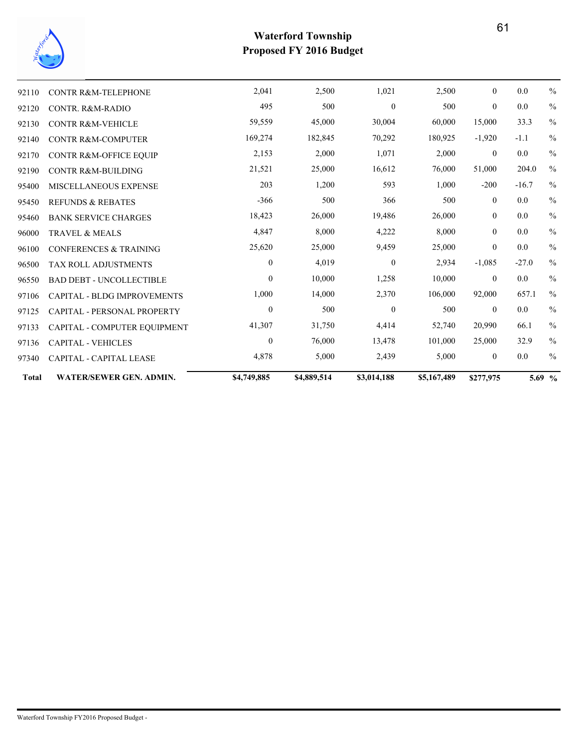

| <b>Total</b> | <b>WATER/SEWER GEN. ADMIN.</b>     | \$4,749,885  | \$4,889,514 | \$3,014,188      | \$5,167,489 | \$277,975      |         | 5.69 %        |
|--------------|------------------------------------|--------------|-------------|------------------|-------------|----------------|---------|---------------|
| 97340        | <b>CAPITAL - CAPITAL LEASE</b>     | 4,878        | 5,000       | 2,439            | 5,000       | $\overline{0}$ | 0.0     | $\frac{0}{0}$ |
| 97136        | <b>CAPITAL - VEHICLES</b>          | $\mathbf{0}$ | 76,000      | 13,478           | 101,000     | 25,000         | 32.9    | $\frac{0}{0}$ |
| 97133        | CAPITAL - COMPUTER EQUIPMENT       | 41,307       | 31,750      | 4,414            | 52,740      | 20,990         | 66.1    | $\%$          |
| 97125        | CAPITAL - PERSONAL PROPERTY        | $\mathbf{0}$ | 500         | $\theta$         | 500         | $\theta$       | 0.0     | $\frac{0}{0}$ |
| 97106        | <b>CAPITAL - BLDG IMPROVEMENTS</b> | 1,000        | 14,000      | 2,370            | 106,000     | 92,000         | 657.1   | $\frac{0}{0}$ |
| 96550        | <b>BAD DEBT - UNCOLLECTIBLE</b>    | $\theta$     | 10,000      | 1,258            | 10,000      | $\overline{0}$ | 0.0     | $\%$          |
| 96500        | <b>TAX ROLL ADJUSTMENTS</b>        | $\mathbf{0}$ | 4,019       | $\boldsymbol{0}$ | 2,934       | $-1,085$       | $-27.0$ | $\frac{0}{0}$ |
| 96100        | <b>CONFERENCES &amp; TRAINING</b>  | 25,620       | 25,000      | 9,459            | 25,000      | $\mathbf{0}$   | 0.0     | $\frac{0}{0}$ |
| 96000        | <b>TRAVEL &amp; MEALS</b>          | 4,847        | 8,000       | 4,222            | 8,000       | $\overline{0}$ | 0.0     | $\frac{0}{0}$ |
| 95460        | <b>BANK SERVICE CHARGES</b>        | 18,423       | 26,000      | 19,486           | 26,000      | $\overline{0}$ | 0.0     | $\frac{0}{0}$ |
| 95450        | <b>REFUNDS &amp; REBATES</b>       | $-366$       | 500         | 366              | 500         | $\overline{0}$ | 0.0     | $\%$          |
| 95400        | MISCELLANEOUS EXPENSE              | 203          | 1,200       | 593              | 1,000       | $-200$         | $-16.7$ | $\frac{0}{0}$ |
| 92190        | <b>CONTR R&amp;M-BUILDING</b>      | 21,521       | 25,000      | 16,612           | 76,000      | 51,000         | 204.0   | $\frac{0}{0}$ |
| 92170        | CONTR R&M-OFFICE EQUIP             | 2,153        | 2,000       | 1,071            | 2,000       | $\overline{0}$ | $0.0\,$ | $\frac{0}{0}$ |
| 92140        | <b>CONTR R&amp;M-COMPUTER</b>      | 169,274      | 182,845     | 70,292           | 180,925     | $-1,920$       | $-1.1$  | $\frac{0}{0}$ |
| 92130        | <b>CONTR R&amp;M-VEHICLE</b>       | 59,559       | 45,000      | 30,004           | 60,000      | 15,000         | 33.3    | $\frac{0}{0}$ |
| 92120        | CONTR. R&M-RADIO                   | 495          | 500         | $\theta$         | 500         | $\theta$       | 0.0     | $\%$          |
| 92110        | <b>CONTR R&amp;M-TELEPHONE</b>     | 2,041        | 2,500       | 1,021            | 2,500       | $\overline{0}$ | 0.0     | $\frac{0}{0}$ |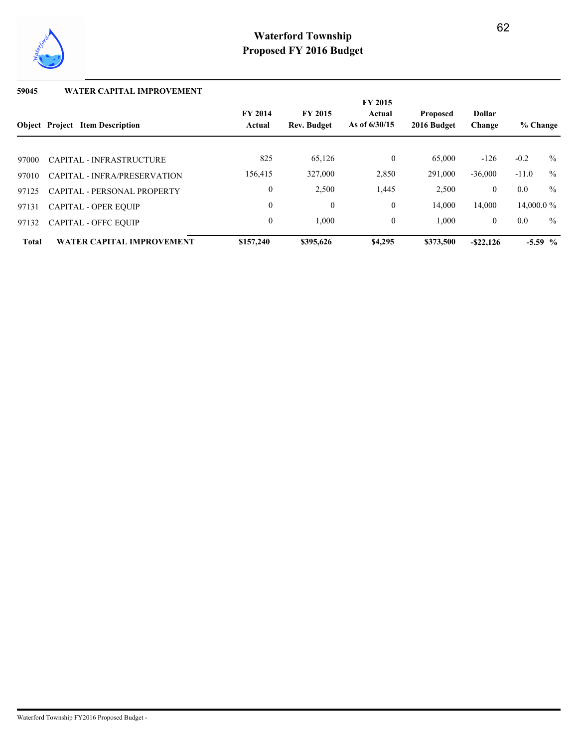

## **59045 WATER CAPITAL IMPROVEMENT**

|              |                                        |                          |                                      | <b>FY 2015</b>            |                                |                         |               |           |  |
|--------------|----------------------------------------|--------------------------|--------------------------------------|---------------------------|--------------------------------|-------------------------|---------------|-----------|--|
|              | <b>Object</b> Project Item Description | <b>FY 2014</b><br>Actual | <b>FY 2015</b><br><b>Rev. Budget</b> | Actual<br>As of $6/30/15$ | <b>Proposed</b><br>2016 Budget | <b>Dollar</b><br>Change | % Change      |           |  |
|              |                                        |                          |                                      |                           |                                |                         |               |           |  |
| 97000        | CAPITAL - INFRASTRUCTURE               | 825                      | 65,126                               | $\mathbf{0}$              | 65,000                         | $-126$                  | $-0.2$        | $\%$      |  |
| 97010        | CAPITAL - INFRA/PRESERVATION           | 156,415                  | 327,000                              | 2,850                     | 291,000                        | $-36,000$               | $-11.0$       | $\%$      |  |
| 97125        | CAPITAL - PERSONAL PROPERTY            | $\mathbf{0}$             | 2,500                                | 1,445                     | 2,500                          | $\overline{0}$          | 0.0           | $\%$      |  |
| 97131        | <b>CAPITAL - OPER EQUIP</b>            | $\mathbf{0}$             | $\mathbf{0}$                         | $\mathbf{0}$              | 14.000                         | 14.000                  | 14,000.0 $\%$ |           |  |
| 97132        | <b>CAPITAL - OFFC EQUIP</b>            | $\mathbf{0}$             | 1,000                                | $\mathbf{0}$              | 1.000                          | $\overline{0}$          | 0.0           | $\%$      |  |
| <b>Total</b> | <b>WATER CAPITAL IMPROVEMENT</b>       | \$157,240                | \$395.626                            | \$4,295                   | \$373,500                      | $-$ \$22,126            |               | $-5.59$ % |  |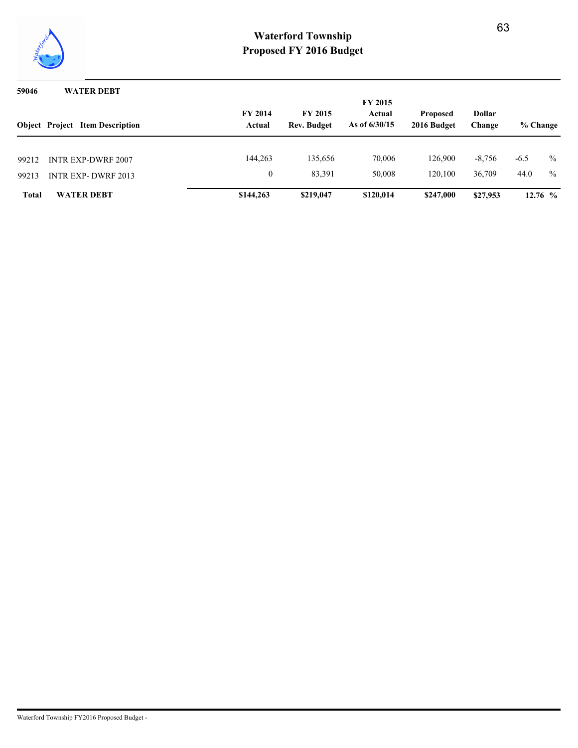

## **59046 WATER DEBT**

|                | <b>Object</b> Project Item Description                 | <b>FY 2014</b><br>Actual | <b>FY 2015</b><br><b>Rev. Budget</b> | <b>FY 2015</b><br>Actual<br>As of $6/30/15$ | <b>Proposed</b><br>2016 Budget | <b>Dollar</b><br>Change | % Change       |                                |
|----------------|--------------------------------------------------------|--------------------------|--------------------------------------|---------------------------------------------|--------------------------------|-------------------------|----------------|--------------------------------|
| 99212<br>99213 | <b>INTR EXP-DWRF 2007</b><br><b>INTR EXP-DWRF 2013</b> | 144.263                  | 135,656<br>83,391                    | 70,006<br>50,008                            | 126.900<br>120.100             | $-8,756$<br>36,709      | $-6.5$<br>44.0 | $\frac{0}{0}$<br>$\frac{0}{0}$ |
| <b>Total</b>   | <b>WATER DEBT</b>                                      | \$144,263                | \$219,047                            | \$120,014                                   | \$247,000                      | \$27,953                |                | $12.76\,%$                     |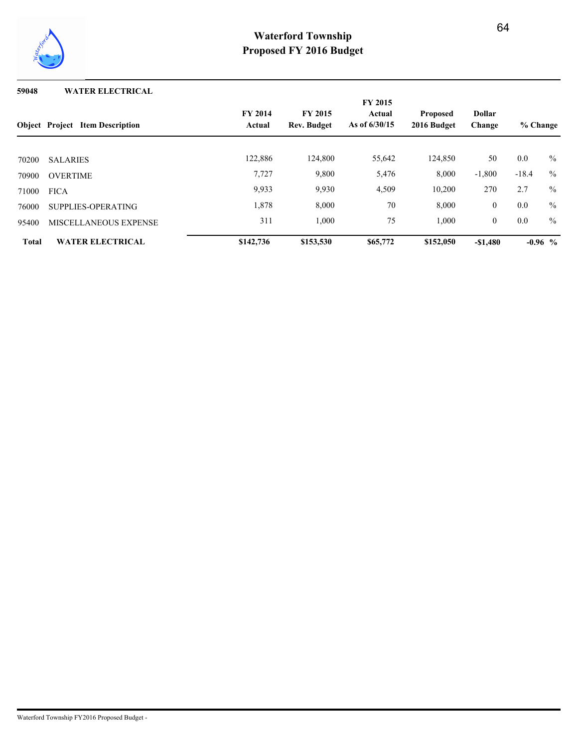

### **59048 WATER ELECTRICAL**

|              |                                        |                          |                                      | <b>FY 2015</b>            |                                |                         |          |               |
|--------------|----------------------------------------|--------------------------|--------------------------------------|---------------------------|--------------------------------|-------------------------|----------|---------------|
|              | <b>Object</b> Project Item Description | <b>FY 2014</b><br>Actual | <b>FY 2015</b><br><b>Rev. Budget</b> | Actual<br>As of $6/30/15$ | <b>Proposed</b><br>2016 Budget | <b>Dollar</b><br>Change | % Change |               |
|              |                                        |                          |                                      |                           |                                |                         |          |               |
| 70200        | <b>SALARIES</b>                        | 122,886                  | 124,800                              | 55,642                    | 124,850                        | 50                      | 0.0      | $\frac{0}{0}$ |
| 70900        | <b>OVERTIME</b>                        | 7,727                    | 9,800                                | 5,476                     | 8,000                          | $-1,800$                | $-18.4$  | $\frac{0}{0}$ |
| 71000        | <b>FICA</b>                            | 9.933                    | 9,930                                | 4,509                     | 10,200                         | 270                     | 2.7      | $\frac{0}{0}$ |
| 76000        | SUPPLIES-OPERATING                     | 1,878                    | 8,000                                | 70                        | 8,000                          | $\overline{0}$          | 0.0      | $\frac{0}{0}$ |
| 95400        | <b>MISCELLANEOUS EXPENSE</b>           | 311                      | 1,000                                | 75                        | 1,000                          | $\overline{0}$          | 0.0      | $\frac{0}{0}$ |
| <b>Total</b> | <b>WATER ELECTRICAL</b>                | \$142,736                | \$153,530                            | \$65,772                  | \$152,050                      | $-\$1.480$              |          | $-0.96$ %     |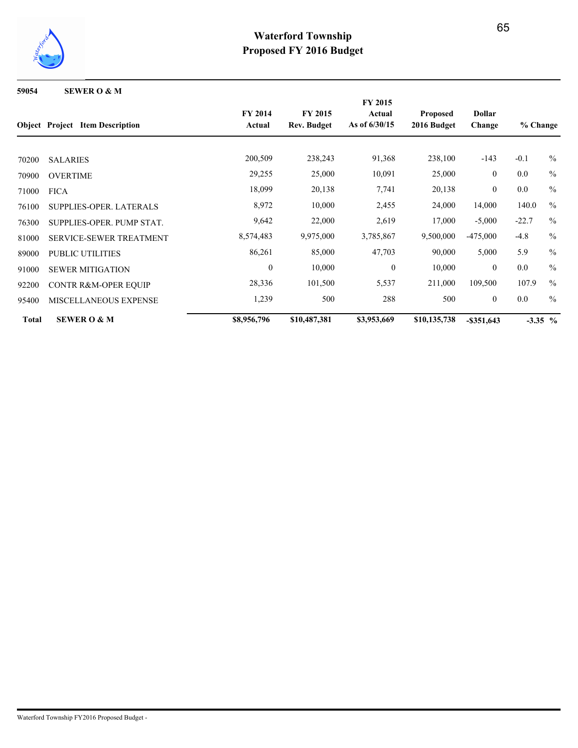

**59054 SEWER O & M**

|              |                                        | <b>FY 2015</b>           |                                      |                           |                                |                |          |               |
|--------------|----------------------------------------|--------------------------|--------------------------------------|---------------------------|--------------------------------|----------------|----------|---------------|
|              | <b>Object</b> Project Item Description | <b>FY 2014</b><br>Actual | <b>FY 2015</b><br><b>Rev. Budget</b> | Actual<br>As of $6/30/15$ | <b>Proposed</b><br>2016 Budget | <b>Dollar</b>  |          |               |
|              |                                        |                          |                                      |                           |                                | Change         | % Change |               |
|              |                                        |                          |                                      |                           |                                |                |          |               |
| 70200        | <b>SALARIES</b>                        | 200,509                  | 238,243                              | 91,368                    | 238,100                        | $-143$         | $-0.1$   | $\frac{0}{0}$ |
| 70900        | <b>OVERTIME</b>                        | 29,255                   | 25,000                               | 10,091                    | 25,000                         | $\overline{0}$ | 0.0      | $\frac{0}{0}$ |
| 71000        | <b>FICA</b>                            | 18,099                   | 20,138                               | 7,741                     | 20,138                         | $\overline{0}$ | 0.0      | $\frac{0}{0}$ |
| 76100        | <b>SUPPLIES-OPER, LATERALS</b>         | 8,972                    | 10,000                               | 2,455                     | 24,000                         | 14,000         | 140.0    | $\frac{0}{0}$ |
| 76300        | SUPPLIES-OPER. PUMP STAT.              | 9,642                    | 22,000                               | 2,619                     | 17,000                         | $-5,000$       | $-22.7$  | $\frac{0}{0}$ |
| 81000        | <b>SERVICE-SEWER TREATMENT</b>         | 8,574,483                | 9,975,000                            | 3,785,867                 | 9,500,000                      | $-475,000$     | $-4.8$   | $\%$          |
| 89000        | <b>PUBLIC UTILITIES</b>                | 86,261                   | 85,000                               | 47,703                    | 90,000                         | 5,000          | 5.9      | $\frac{0}{0}$ |
| 91000        | <b>SEWER MITIGATION</b>                | $\mathbf{0}$             | 10,000                               | $\overline{0}$            | 10,000                         | $\theta$       | 0.0      | $\frac{0}{0}$ |
| 92200        | <b>CONTR R&amp;M-OPER EQUIP</b>        | 28,336                   | 101,500                              | 5,537                     | 211,000                        | 109,500        | 107.9    | $\frac{0}{0}$ |
| 95400        | <b>MISCELLANEOUS EXPENSE</b>           | 1,239                    | 500                                  | 288                       | 500                            | $\overline{0}$ | 0.0      | $\frac{0}{0}$ |
| <b>Total</b> | <b>SEWER O &amp; M</b>                 | \$8,956,796              | \$10,487,381                         | \$3,953,669               | \$10,135,738                   | $-$ \$351,643  |          | $-3.35\%$     |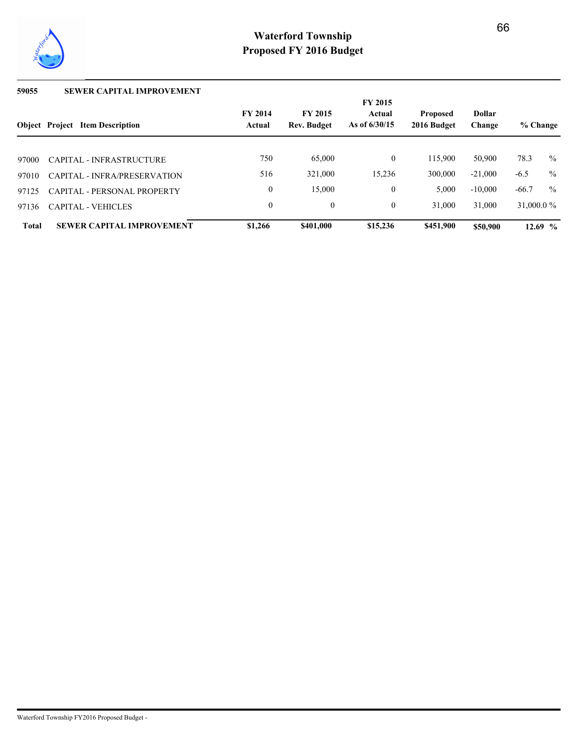

## **59055 SEWER CAPITAL IMPROVEMENT**

|              |                                        |                          |                                      | <b>FY 2015</b>            |                                |                         |               |               |
|--------------|----------------------------------------|--------------------------|--------------------------------------|---------------------------|--------------------------------|-------------------------|---------------|---------------|
|              | <b>Object Project Item Description</b> | <b>FY 2014</b><br>Actual | <b>FY 2015</b><br><b>Rev. Budget</b> | Actual<br>As of $6/30/15$ | <b>Proposed</b><br>2016 Budget | <b>Dollar</b><br>Change | % Change      |               |
|              |                                        |                          |                                      |                           |                                |                         |               |               |
| 97000        | CAPITAL - INFRASTRUCTURE               | 750                      | 65,000                               | $\mathbf{0}$              | 115,900                        | 50,900                  | 78.3          | $\frac{0}{0}$ |
| 97010        | CAPITAL - INFRA/PRESERVATION           | 516                      | 321,000                              | 15,236                    | 300,000                        | $-21.000$               | $-6.5$        | $\frac{0}{0}$ |
| 97125        | <b>CAPITAL - PERSONAL PROPERTY</b>     | $\theta$                 | 15,000                               | $\mathbf{0}$              | 5,000                          | $-10,000$               | $-66.7$       | $\frac{0}{0}$ |
| 97136        | <b>CAPITAL - VEHICLES</b>              | $\theta$                 | $\mathbf{0}$                         | $\theta$                  | 31,000                         | 31,000                  | 31,000.0 $\%$ |               |
| <b>Total</b> | <b>SEWER CAPITAL IMPROVEMENT</b>       | \$1,266                  | \$401,000                            | \$15,236                  | \$451,900                      | \$50,900                |               | $12.69~\%$    |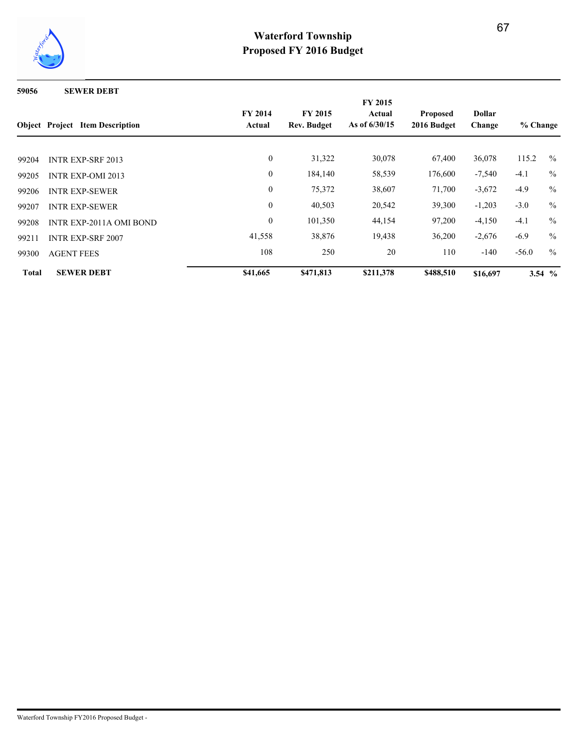

**59056 SEWER DEBT**

|              | <b>Object</b> Project Item Description | <b>FY 2014</b><br>Actual | <b>FY 2015</b><br><b>Rev. Budget</b> | <b>FY 2015</b><br>Actual<br>As of $6/30/15$ | <b>Proposed</b><br>2016 Budget | <b>Dollar</b><br>Change | % Change |               |
|--------------|----------------------------------------|--------------------------|--------------------------------------|---------------------------------------------|--------------------------------|-------------------------|----------|---------------|
| 99204        | <b>INTR EXP-SRF 2013</b>               | $\mathbf{0}$             | 31,322                               | 30,078                                      | 67,400                         | 36,078                  | 115.2    | $\frac{0}{0}$ |
| 99205        | <b>INTR EXP-OMI 2013</b>               | $\mathbf{0}$             | 184,140                              | 58,539                                      | 176,600                        | $-7,540$                | $-4.1$   | $\frac{0}{0}$ |
| 99206        | <b>INTR EXP-SEWER</b>                  | $\mathbf{0}$             | 75,372                               | 38,607                                      | 71,700                         | $-3,672$                | $-4.9$   | $\frac{0}{0}$ |
| 99207        | <b>INTR EXP-SEWER</b>                  | $\boldsymbol{0}$         | 40,503                               | 20,542                                      | 39,300                         | $-1,203$                | $-3.0$   | $\%$          |
| 99208        | <b>INTR EXP-2011A OMI BOND</b>         | $\boldsymbol{0}$         | 101,350                              | 44,154                                      | 97,200                         | $-4,150$                | $-4.1$   | $\frac{0}{0}$ |
| 99211        | <b>INTR EXP-SRF 2007</b>               | 41,558                   | 38,876                               | 19,438                                      | 36,200                         | $-2,676$                | $-6.9$   | $\frac{0}{0}$ |
| 99300        | <b>AGENT FEES</b>                      | 108                      | 250                                  | 20                                          | 110                            | $-140$                  | $-56.0$  | $\frac{0}{0}$ |
| <b>Total</b> | <b>SEWER DEBT</b>                      | \$41,665                 | \$471,813                            | \$211,378                                   | \$488,510                      | \$16,697                |          | 3.54 $%$      |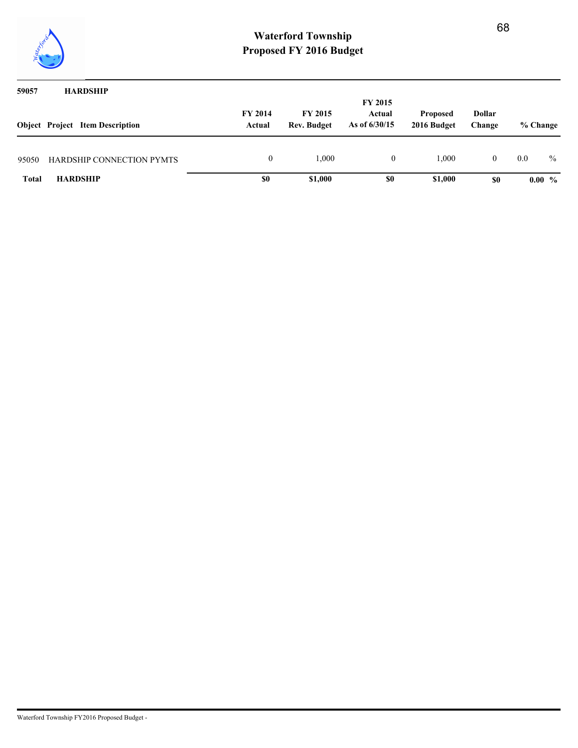

| 59057        | <b>HARDSHIP</b>                        |                          |                                      | <b>FY 2015</b>            |                                |                         |          |               |
|--------------|----------------------------------------|--------------------------|--------------------------------------|---------------------------|--------------------------------|-------------------------|----------|---------------|
|              | <b>Object</b> Project Item Description | <b>FY 2014</b><br>Actual | <b>FY 2015</b><br><b>Rev. Budget</b> | Actual<br>As of $6/30/15$ | <b>Proposed</b><br>2016 Budget | <b>Dollar</b><br>Change | % Change |               |
| 95050        | <b>HARDSHIP CONNECTION PYMTS</b>       | 0                        | 1,000                                | $\theta$                  | 1.000                          | $\overline{0}$          | 0.0      | $\frac{0}{0}$ |
| <b>Total</b> | <b>HARDSHIP</b>                        | \$0                      | \$1,000                              | \$0                       | \$1,000                        | \$0                     |          | $0.00\%$      |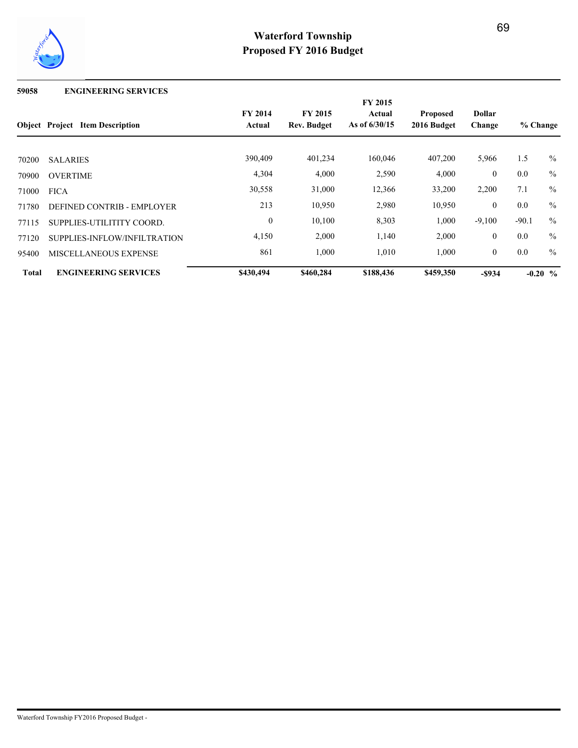

### **59058 ENGINEERING SERVICES**

|              |                                        | FY 2015        |                |                 |                 |               |                         |               |  |
|--------------|----------------------------------------|----------------|----------------|-----------------|-----------------|---------------|-------------------------|---------------|--|
|              |                                        | <b>FY 2014</b> | <b>FY 2015</b> | Actual          | <b>Proposed</b> | <b>Dollar</b> | % Change<br>1.5<br>$\%$ |               |  |
|              | <b>Object Project Item Description</b> | Actual         | Rev. Budget    | As of $6/30/15$ | 2016 Budget     | Change        |                         |               |  |
| 70200        | <b>SALARIES</b>                        | 390,409        | 401,234        | 160,046         | 407,200         | 5,966         |                         |               |  |
| 70900        | <b>OVERTIME</b>                        | 4,304          | 4,000          | 2,590           | 4,000           | $\mathbf{0}$  | 0.0                     | $\frac{0}{0}$ |  |
| 71000        | <b>FICA</b>                            | 30,558         | 31,000         | 12,366          | 33,200          | 2,200         | 7.1                     | $\frac{0}{0}$ |  |
| 71780        | DEFINED CONTRIB - EMPLOYER             | 213            | 10,950         | 2,980           | 10,950          | $\theta$      | 0.0                     | $\frac{0}{0}$ |  |
| 77115        | SUPPLIES-UTILITITY COORD.              | $\theta$       | 10,100         | 8,303           | 1,000           | $-9,100$      | $-90.1$                 | $\frac{0}{0}$ |  |
| 77120        | SUPPLIES-INFLOW/INFILTRATION           | 4,150          | 2,000          | 1,140           | 2,000           | $\mathbf{0}$  | 0.0                     | $\frac{0}{0}$ |  |
| 95400        | MISCELLANEOUS EXPENSE                  | 861            | 1,000          | 1,010           | 1,000           | $\mathbf{0}$  | 0.0                     | $\frac{0}{0}$ |  |
| <b>Total</b> | <b>ENGINEERING SERVICES</b>            | \$430,494      | \$460,284      | \$188,436       | \$459,350       | $-$ \$934     |                         | $-0.20\,%$    |  |